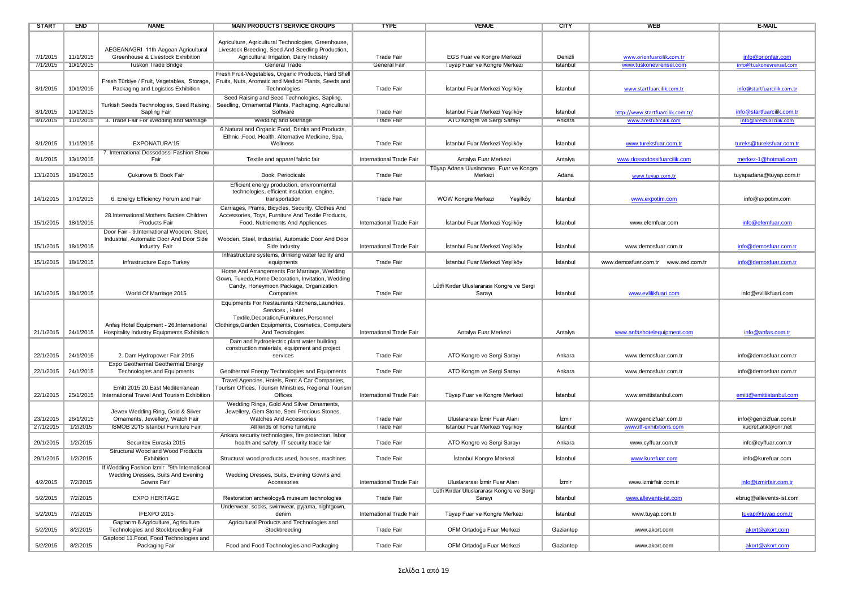| <b>START</b> | <b>END</b> | <b>NAME</b>                                                                                            | <b>MAIN PRODUCTS / SERVICE GROUPS</b>                                                                                                                                                     | <b>TYPE</b>              | <b>VENUE</b>                                        | <b>CITY</b> | <b>WEB</b>                                       | <b>E-MAIL</b>                                 |
|--------------|------------|--------------------------------------------------------------------------------------------------------|-------------------------------------------------------------------------------------------------------------------------------------------------------------------------------------------|--------------------------|-----------------------------------------------------|-------------|--------------------------------------------------|-----------------------------------------------|
|              |            | AEGEANAGRI 11th Aegean Agricultural                                                                    | Agriculture, Agricultural Technologies, Greenhouse,<br>Livestock Breeding, Seed And Seedling Production,                                                                                  |                          |                                                     |             |                                                  |                                               |
| 7/1/2015     | 11/1/2015  | Greenhouse & Livestock Exhibition                                                                      | Agricultural Irrigation, Dairy Industry                                                                                                                                                   | <b>Trade Fair</b>        | EGS Fuar ve Kongre Merkezi                          | Denizli     | www.orionfuarcilik.com.tr                        | info@orionfair.com                            |
| //1/2015     | 10/1/2015  | <b>I uskon Trade Bridge</b>                                                                            | General Trade                                                                                                                                                                             | General Fair             | Tuyap Fuar ve Kongre Merkezi                        | Istanbul    | www.tuskonevrensel.com                           | info@tuskonevrensel.com                       |
| 8/1/2015     | 10/1/2015  | Fresh Türkiye / Fruit, Vegetables, Storage,<br>Packaging and Logistics Exhibition                      | Fresh Fruit-Vegetables, Organic Products, Hard Shell<br>Fruits, Nuts, Aromatic and Medical Plants, Seeds and<br>Technologies                                                              | <b>Trade Fair</b>        | İstanbul Fuar Merkezi Yeşilköy                      | İstanbul    | www.startfuarcilik.com.tr                        | info@startfuarcilik.com.tr                    |
| 8/1/2015     | 10/1/2015  | Turkish Seeds Technologies, Seed Raising,<br>Sapling Fair                                              | Seed Raising and Seed Technologies, Sapling,<br>Seedling, Ornamental Plants, Pachaging, Agricultural<br>Software                                                                          | <b>Trade Fair</b>        | İstanbul Fuar Merkezi Yeşilköy                      | İstanbul    | http://www.startfuarcilik.com.tr/                | info@startfuarcilik.com.tr                    |
| 8/1/2015     | 11/1/2015  | 3. Trade Fair For Wedding and Marriage                                                                 | <b>Wedding and Marriage</b>                                                                                                                                                               | <b>Trade Fair</b>        | ATO Kongre ve Sergi Sarayı                          | Ankara      | www.aresfuarcilik.com                            | info@aresfuarcilik.com                        |
| 8/1/2015     | 11/1/2015  | EXPONATURA'15                                                                                          | 6. Natural and Organic Food, Drinks and Products,<br>Ethnic ,Food, Health, Alternative Medicine, Spa,<br>Wellness                                                                         | <b>Trade Fair</b>        | İstanbul Fuar Merkezi Yeşilköy                      | İstanbul    | www.tureksfuar.com.tr                            | tureks@tureksfuar.com.tr                      |
| 8/1/2015     | 13/1/2015  | 7. International Dossodossi Fashion Show<br>Fair                                                       | Textile and apparel fabric fair                                                                                                                                                           | International Trade Fair | Antalya Fuar Merkezi                                | Antalya     | www.dossodossifuarcilik.com                      | merkez-1@hotmail.com                          |
| 13/1/2015    | 18/1/2015  | Cukurova 8. Book Fair                                                                                  | Book, Periodicals                                                                                                                                                                         | <b>Trade Fair</b>        | Tüyap Adana Uluslararası Fuar ve Kongre<br>Merkezi  | Adana       | www.tuyap.com.tr                                 | tuyapadana@tuyap.com.tr                       |
| 14/1/2015    | 17/1/2015  | 6. Energy Efficiency Forum and Fair                                                                    | Efficient energy production, environmental<br>technologies, efficient insulation, engine,<br>transportation                                                                               | <b>Trade Fair</b>        | WOW Kongre Merkezi<br>Yeşilköy                      | İstanbul    | www.expotim.com                                  | info@expotim.com                              |
| 15/1/2015    | 18/1/2015  | 28.International Mothers Babies Children<br><b>Products Fair</b>                                       | Carriages, Prams, Bicycles, Security, Clothes And<br>Accessories, Toys, Furniture And Textile Products,<br>Food, Nutriements And Appliences                                               | International Trade Fair | İstanbul Fuar Merkezi Yeşilköy                      | İstanbul    | www.efemfuar.com                                 | info@efemfuar.com                             |
| 15/1/2015    | 18/1/2015  | Door Fair - 9.International Wooden, Steel<br>Industrial, Automatic Door And Door Side<br>Industry Fair | Wooden, Steel, Industrial, Automatic Door And Door<br>Side Industry                                                                                                                       | International Trade Fair | Istanbul Fuar Merkezi Yeşilköy                      | İstanbul    | www.demosfuar.com.tr                             | info@demosfuar.com.tr                         |
| 15/1/2015    | 18/1/2015  | Infrastructure Expo Turkey                                                                             | Infrastructure systems, drinking water facility and<br>equipments                                                                                                                         | <b>Trade Fair</b>        | İstanbul Fuar Merkezi Yeşilköy                      | İstanbul    | www.demosfuar.com.tr www.zed.com.tr              | info@demosfuar.com.tr                         |
| 16/1/2015    | 18/1/2015  | World Of Marriage 2015                                                                                 | Home And Arrangements For Marriage, Wedding<br>Gown, Tuxedo, Home Decoration, Invitation, Wedding<br>Candy, Honeymoon Package, Organization<br>Companies                                  | <b>Trade Fair</b>        | Lütfi Kırdar Uluslararası Kongre ve Sergi<br>Sarayı | İstanbul    | www.evlilikfuari.com                             | info@evlilikfuari.com                         |
|              |            |                                                                                                        |                                                                                                                                                                                           |                          |                                                     |             |                                                  |                                               |
| 21/1/2015    | 24/1/2015  | Anfaş Hotel Equipment - 26. International<br>Hospitality Industry Equipments Exhibition                | Equipments For Restaurants Kitchens, Laundries,<br>Services, Hotel<br>Textile, Decoration, Furnitures, Personnel<br>Clothings, Garden Equipments, Cosmetics, Computers<br>And Tecnologies | International Trade Fair | Antalya Fuar Merkezi                                | Antalya     | www.anfashotelequipment.com                      | info@anfas.com.tr                             |
| 22/1/2015    | 24/1/2015  | 2. Dam Hydropower Fair 2015                                                                            | Dam and hydroelectric plant water building<br>construction materials, equipment and project<br>services                                                                                   | <b>Trade Fair</b>        | ATO Kongre ve Sergi Sarayı                          | Ankara      | www.demosfuar.com.tr                             | info@demosfuar.com.tr                         |
| 22/1/2015    | 24/1/2015  | Expo Geothermal Geothermal Energy<br>Technologies and Equipments                                       | Geothermal Energy Technologies and Equipments                                                                                                                                             | <b>Trade Fair</b>        | ATO Kongre ve Sergi Sarayı                          | Ankara      | www.demosfuar.com.tr                             | info@demosfuar.com.tr                         |
| 22/1/2015    | 25/1/2015  | Emitt 2015 20. East Mediterranean<br>International Travel And Tourism Exhibition                       | Travel Agencies, Hotels, Rent A Car Companies,<br>Tourism Offices, Tourism Ministries, Regional Tourism<br>Offices                                                                        | International Trade Fair | Tüyap Fuar ve Kongre Merkezi                        | İstanbul    | www.emittistanbul.com                            | emitt@emittistanbul.com                       |
| 23/1/2015    | 26/1/2015  | Jewex Wedding Ring, Gold & Silver<br>Ornaments, Jewellery, Watch Fair                                  | Wedding Rings, Gold And Silver Ornaments,<br>Jewellery, Gem Stone, Semi Precious Stones,<br>Watches And Accessories                                                                       | <b>Trade Fair</b>        | Uluslararası İzmir Fuar Alanı                       | İzmir       | www.gencizfuar.com.tr<br>www.itf-exhibitions.com | info@gencizfuar.com.tr<br>kudret.atik@cnr.net |
| 27/1/2015    | 1/2/2015   | ISMOB 2015 Istanbul Furniture Fair                                                                     | All kinds of home furniture<br>Ankara security technologies, fire protection, labor                                                                                                       | <b>Trade Fair</b>        | Istanbul Fuar Merkezi Yeşilköy                      | Istanbul    |                                                  |                                               |
| 29/1/2015    | 1/2/2015   | Securitex Eurasia 2015<br>Structural Wood and Wood Products                                            | health and safety, IT security trade fair                                                                                                                                                 | <b>Trade Fair</b>        | ATO Kongre ve Sergi Sarayı                          | Ankara      | www.cyffuar.com.tr                               | info@cyffuar.com.tr                           |
| 29/1/2015    | 1/2/2015   | Exhibition                                                                                             | Structural wood products used, houses, machines                                                                                                                                           | <b>Trade Fair</b>        | İstanbul Kongre Merkezi                             | İstanbul    | www.kurefuar.com                                 | info@kurefuar.com                             |
| 4/2/2015     | 7/2/2015   | If Wedding Fashion Izmir "9th International<br>Wedding Dresses, Suits And Evening<br>Gowns Fair"       | Wedding Dresses, Suits, Evening Gowns and<br>Accessories                                                                                                                                  | International Trade Fair | Uluslararası İzmir Fuar Alanı                       | İzmir       | www.izmirfair.com.tr                             | info@izmirfair.com.tr                         |
| 5/2/2015     | 7/2/2015   | EXPO HERITAGE                                                                                          | Restoration archeology& museum technologies                                                                                                                                               | Trade Fair               | Lütfi Kırdar Uluslararası Kongre ve Sergi<br>Sarayı | İstanbul    | www.allevents-ist.com                            | ebrug@allevents-ist.com                       |
| 5/2/2015     | 7/2/2015   | IFEXPO 2015                                                                                            | Underwear, socks, swimwear, pyjama, nightgown,<br>denim                                                                                                                                   | International Trade Fair | Tüyap Fuar ve Kongre Merkezi                        | İstanbul    | www.tuyap.com.tr                                 | tuyap@tuyap.com.tr                            |
| 5/2/2015     | 8/2/2015   | Gaptarım 6.Agriculture, Agriculture<br>Technologies and Stockbreeding Fair                             | Agricultural Products and Technologies and<br>Stockbreeding                                                                                                                               | <b>Trade Fair</b>        | OFM Ortadoğu Fuar Merkezi                           | Gaziantep   | www.akort.com                                    | akort@akort.com                               |
| 5/2/2015     | 8/2/2015   | Gapfood 11.Food, Food Technologies and<br>Packaging Fair                                               | Food and Food Technologies and Packaging                                                                                                                                                  | <b>Trade Fair</b>        | OFM Ortadoğu Fuar Merkezi                           | Gaziantep   | www.akort.com                                    | akort@akort.com                               |
|              |            |                                                                                                        |                                                                                                                                                                                           |                          |                                                     |             |                                                  |                                               |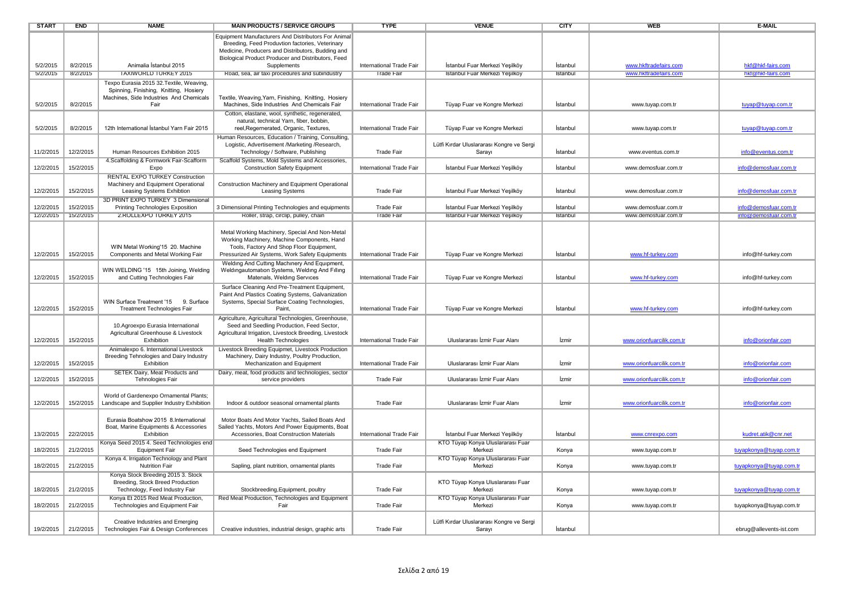| <b>START</b> | <b>END</b> | <b>NAME</b>                                                                                                | <b>MAIN PRODUCTS / SERVICE GROUPS</b>                                                                                                                                                        | <b>TYPE</b>              | <b>VENUE</b>                                        | <b>CITY</b> | <b>WEB</b>                | <b>E-MAIL</b>           |
|--------------|------------|------------------------------------------------------------------------------------------------------------|----------------------------------------------------------------------------------------------------------------------------------------------------------------------------------------------|--------------------------|-----------------------------------------------------|-------------|---------------------------|-------------------------|
|              |            |                                                                                                            | Equipment Manufacturers And Distributors For Animal<br>Breeding, Feed Produvtion factories, Veterinary<br>Medicine, Producers and Distributors, Budding and                                  |                          |                                                     |             |                           |                         |
| 5/2/2015     | 8/2/2015   | Animalia İstanbul 2015                                                                                     | Biological Product Producer and Distributors, Feed<br>Supplements                                                                                                                            | International Trade Fair | İstanbul Fuar Merkezi Yeşilköy                      | İstanbul    | www.hkftradefairs.com     | hkf@hkf-fairs.com       |
| 5/2/2015     | 8/2/2015   | <b>TAXIWORLD TURKEY 2015</b>                                                                               | Road, sea, air taxi procedures and subindustry                                                                                                                                               | <b>Trade Fair</b>        | Istanbul Fuar Merkezi Yeşilköy                      | Istanbul    | www.hkftradefairs.com     | hkf@hkf-fairs.com       |
|              |            | Texpo Eurasia 2015 32. Textile, Weaving,                                                                   |                                                                                                                                                                                              |                          |                                                     |             |                           |                         |
|              |            | Spinning, Finishing, Knitting, Hosiery                                                                     |                                                                                                                                                                                              |                          |                                                     |             |                           |                         |
|              |            | Machines, Side Industries And Chemicals                                                                    | Textile, Weaving, Yarn, Finishing, Knitting, Hosiery                                                                                                                                         |                          |                                                     |             |                           |                         |
| 5/2/2015     | 8/2/2015   | Fair                                                                                                       | Machines, Side Industries And Chemicals Fair                                                                                                                                                 | International Trade Fair | Tüyap Fuar ve Kongre Merkezi                        | İstanbul    | www.tuyap.com.tr          | tuyap@tuyap.com.tr      |
| 5/2/2015     | 8/2/2015   | 12th International İstanbul Yarn Fair 2015                                                                 | Cotton, elastane, wool, synthetic, regenerated,<br>natural, technical Yarn, fiber, bobbin,<br>reel, Regernerated, Organic, Textures,                                                         | International Trade Fair | Tüyap Fuar ve Kongre Merkezi                        | Istanbul    | www.tuyap.com.tr          | tuyap@tuyap.com.tr      |
| 11/2/2015    | 12/2/2015  | Human Resources Exhibition 2015                                                                            | Human Resources, Education / Training, Consulting,<br>Logistic, Advertisement /Marketing /Research,<br>Technology / Software, Publishing                                                     | Trade Fair               | Lütfi Kırdar Uluslararası Kongre ve Sergi<br>Sarayı | İstanbul    | www.eventus.com.tr        | info@eventus.com.tr     |
| 12/2/2015    | 15/2/2015  | 4.Scaffolding & Formwork Fair-Scafform<br>Expo                                                             | Scaffold Systems, Mold Systems and Accessories,<br><b>Construction Safety Equipment</b>                                                                                                      | International Trade Fair | İstanbul Fuar Merkezi Yeşilköy                      | İstanbul    | www.demosfuar.com.tr      | info@demosfuar.com.tr   |
| 12/2/2015    | 15/2/2015  | <b>RENTAL EXPO TURKEY Construction</b><br>Machinery and Equipment Operational<br>Leasing Systems Exhibtion | Construction Machinery and Equipment Operational<br><b>Leasing Systems</b>                                                                                                                   | <b>Trade Fair</b>        | İstanbul Fuar Merkezi Yeşilköy                      | İstanbul    | www.demosfuar.com.tr      | info@demosfuar.com.tr   |
| 12/2/2015    | 15/2/2015  | 3D PRINT EXPO TURKEY 3 Dimensional<br>Printing Technologies Exposition                                     | 3 Dimensional Printing Technologies and equipments                                                                                                                                           | <b>Trade Fair</b>        | İstanbul Fuar Merkezi Yeşilköy                      | İstanbul    | www.demosfuar.com.tr      | info@demosfuar.com.tr   |
| 12/2/2015    | 15/2/2015  | 2.ROLLEXPO TURKEY 2015                                                                                     | Roller, strap, circlip, pulley, chain                                                                                                                                                        | Trade Fair               | Istanbul Fuar Merkezi Yeşilköy                      | Istanbul    | www.demostuar.com.tr      | into@demostuar.com.tr   |
|              |            |                                                                                                            |                                                                                                                                                                                              |                          |                                                     |             |                           |                         |
| 12/2/2015    | 15/2/2015  | WIN Metal Working'15 20. Machine<br>Components and Metal Working Fair                                      | Metal Working Machinery, Special And Non-Metal<br>Working Machinery, Machine Components, Hand<br>Tools, Factory And Shop Floor Equipment,<br>Pressurized Air Systems, Work Safety Equipments | International Trade Fair | Tüyap Fuar ve Kongre Merkezi                        | İstanbul    | www.hf-turkey.com         | info@hf-turkey.com      |
|              |            |                                                                                                            | Welding And Cutting Machinery And Equipment,                                                                                                                                                 |                          |                                                     |             |                           |                         |
| 12/2/2015    | 15/2/2015  | WIN WELDING '15 15th Joining, Welding<br>and Cutting Technologies Fair                                     | Weldingautomation Systems, Welding And Filling<br>Materials, Welding Services                                                                                                                | International Trade Fair | Tüyap Fuar ve Kongre Merkezi                        | İstanbul    | www.hf-turkey.com         | info@hf-turkey.com      |
| 12/2/2015    | 15/2/2015  | WIN Surface Treatment '15 9. Surface<br><b>Treatment Technologies Fair</b>                                 | Surface Cleaning And Pre-Treatment Equipment<br>Paint And Plastics Coating Systems, Galvanization<br>Systems, Special Surface Coating Technologies,<br>Paint.                                | International Trade Fair | Tüyap Fuar ve Kongre Merkezi                        | İstanbul    | www.hf-turkey.com         | info@hf-turkey.com      |
| 12/2/2015    | 15/2/2015  | 10. Agroexpo Eurasia International<br>Agricultural Greenhouse & Livestock<br>Exhibition                    | Agriculture, Agricultural Technologies, Greenhouse,<br>Seed and Seedling Production, Feed Sector,<br>Agricultural Irrigation, Livestock Breeding, Livestock<br><b>Health Technologies</b>    | International Trade Fair | Uluslararası İzmir Fuar Alanı                       | İzmir       | www.orionfuarcilik.com.tr | info@orionfair.com      |
| 12/2/2015    | 15/2/2015  | Animalexpo 6. International Livestock<br>Breeding Tehnologies and Dairy Industry<br>Exhibition             | Livestock Breeding Equipmet, Livestock Production<br>Machinery, Dairy Industry, Poultry Production,<br>Mechanization and Equipment                                                           | International Trade Fair | Uluslararası İzmir Fuar Alanı                       | İzmir       | www.orionfuarcilik.com.tr | info@orionfair.com      |
|              |            | SETEK Dairy, Meat Products and                                                                             | Dairy, meat, food products and technologies, sector                                                                                                                                          |                          |                                                     |             |                           |                         |
| 12/2/2015    | 15/2/2015  | Tehnologies Fair                                                                                           | service providers                                                                                                                                                                            | <b>Trade Fair</b>        | Uluslararası İzmir Fuar Alanı                       | İzmir       | www.orionfuarcilik.com.tr | info@orionfair.com      |
| 12/2/2015    | 15/2/2015  | World of Gardenexpo Ornamental Plants;<br>Landscape and Supplier Industry Exhibition                       | Indoor & outdoor seasonal ornamental plants                                                                                                                                                  | <b>Trade Fair</b>        | Uluslararası İzmir Fuar Alanı                       | İzmir       | www.orionfuarcilik.com.tr | info@orionfair.com      |
|              |            | Eurasia Boatshow 2015 8. International<br>Boat, Marine Equipments & Accessories                            | Motor Boats And Motor Yachts, Sailed Boats And<br>Sailed Yachts, Motors And Power Equipments, Boat                                                                                           |                          |                                                     |             |                           |                         |
| 13/2/2015    | 22/2/2015  | Exhibition                                                                                                 | Accessories, Boat Construction Materials                                                                                                                                                     | International Trade Fair | İstanbul Fuar Merkezi Yeşilköy                      | İstanbul    | www.cnrexpo.com           | kudret.atik@cnr.net     |
| 18/2/2015    | 21/2/2015  | Konya Seed 2015 4. Seed Technologies end<br><b>Equipment Fair</b>                                          | Seed Technologies end Equipment                                                                                                                                                              | <b>Trade Fair</b>        | KTO Tüyap Konya Uluslararası Fuar<br>Merkezi        | Konya       | www.tuyap.com.tr          | tuyapkonya@tuyap.com.tr |
| 18/2/2015    | 21/2/2015  | Konya 4. Irrigation Technology and Plant<br><b>Nutrition Fair</b>                                          | Sapling, plant nutrition, ornamental plants                                                                                                                                                  | <b>Trade Fair</b>        | KTO Tüyap Konya Uluslararası Fuar<br>Merkezi        | Konya       | www.tuyap.com.tr          | tuyapkonya@tuyap.com.tr |
| 18/2/2015    | 21/2/2015  | Konya Stock Breeding 2015 3. Stock<br>Breeding, Stock Breed Production<br>Technology, Feed Industry Fair   | Stockbreeding, Equipment, poultry                                                                                                                                                            | <b>Trade Fair</b>        | KTO Tüyap Konya Uluslararası Fuar<br>Merkezi        | Konya       | www.tuyap.com.tr          | tuyapkonya@tuyap.com.tr |
| 18/2/2015    | 21/2/2015  | Konya Et 2015 Red Meat Production,<br>Technologies and Equipment Fair                                      | Red Meat Production, Technologies and Equipment<br>Fair                                                                                                                                      | <b>Trade Fair</b>        | KTO Tüyap Konya Uluslararası Fuar<br>Merkezi        | Konya       | www.tuyap.com.tr          | tuyapkonya@tuyap.com.tr |
|              |            |                                                                                                            |                                                                                                                                                                                              |                          |                                                     |             |                           |                         |
| 19/2/2015    | 21/2/2015  | Creative Industries and Emerging<br>Technologies Fair & Design Conferences                                 | Creative industries, industrial design, graphic arts                                                                                                                                         | <b>Trade Fair</b>        | Lütfi Kırdar Uluslararası Kongre ve Sergi<br>Sarayı | İstanbul    |                           | ebrug@allevents-ist.com |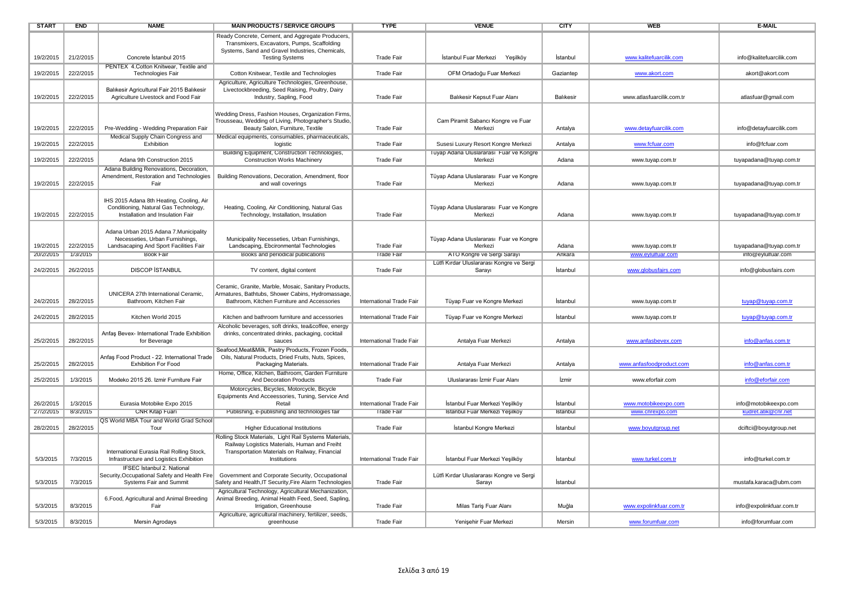| <b>START</b> | <b>END</b> | <b>NAME</b>                                                                       | <b>MAIN PRODUCTS / SERVICE GROUPS</b>                                                            | <b>TYPE</b>              | <b>VENUE</b>                                                            | <b>CITY</b> | <b>WEB</b>                | <b>E-MAIL</b>            |
|--------------|------------|-----------------------------------------------------------------------------------|--------------------------------------------------------------------------------------------------|--------------------------|-------------------------------------------------------------------------|-------------|---------------------------|--------------------------|
|              |            |                                                                                   | Ready Concrete, Cement, and Aggregate Producers,                                                 |                          |                                                                         |             |                           |                          |
|              |            |                                                                                   | Transmixers, Excavators, Pumps, Scaffolding<br>Systems, Sand and Gravel Industries, Chemicals,   |                          |                                                                         |             |                           |                          |
| 19/2/2015    | 21/2/2015  | Concrete Istanbul 2015                                                            | <b>Testing Systems</b>                                                                           | <b>Trade Fair</b>        | İstanbul Fuar Merkezi<br>Yeşilköy                                       | İstanbul    | www.kalitefuarcilik.com   | info@kalitefuarcilik.com |
|              |            | PENTEX 4. Cotton Knitwear, Textile and                                            |                                                                                                  |                          |                                                                         |             |                           |                          |
| 19/2/2015    | 22/2/2015  | Technologies Fair                                                                 | Cotton Knitwear, Textile and Technologies                                                        | <b>Trade Fair</b>        | OFM Ortadoğu Fuar Merkezi                                               | Gaziantep   | www.akort.com             | akort@akort.com          |
|              |            |                                                                                   | Agriculture, Agriculture Technologies, Greenhouse,                                               |                          |                                                                         |             |                           |                          |
| 19/2/2015    | 22/2/2015  | Balıkesir Agricultural Fair 2015 Balıkesir<br>Agriculture Livestock and Food Fair | Livectockbreeding, Seed Raising, Poultry, Dairy<br>Industry, Sapling, Food                       | <b>Trade Fair</b>        | Balıkesir Kepsut Fuar Alanı                                             | Balıkesir   | www.atlasfuarcilik.com.tr | atlasfuar@gmail.com      |
|              |            |                                                                                   |                                                                                                  |                          |                                                                         |             |                           |                          |
|              |            |                                                                                   | Wedding Dress, Fashion Houses, Organization Firms,                                               |                          |                                                                         |             |                           |                          |
|              |            |                                                                                   | Trousseau, Wedding of Living, Photographer's Studio,                                             |                          | Cam Piramit Sabancı Kongre ve Fuar                                      |             |                           |                          |
| 19/2/2015    | 22/2/2015  | Pre-Wedding - Wedding Preparation Fair<br>Medical Supply Chain Congress and       | Beauty Salon, Furniture, Textile<br>Medical equipments, consumables, pharmaceuticals,            | <b>Trade Fair</b>        | Merkezi                                                                 | Antalya     | www.detayfuarcilik.com    | info@detayfuarcilik.com  |
| 19/2/2015    | 22/2/2015  | Exhibition                                                                        | logistic                                                                                         | <b>Trade Fair</b>        | Susesi Luxury Resort Kongre Merkezi                                     | Antalya     | www.fcfuar.com            | info@fcfuar.com          |
|              |            |                                                                                   | Building Equipment, Construction Technologies,                                                   |                          | Tüyap Adana Uluslararası Fuar ve Kongre                                 |             |                           |                          |
| 19/2/2015    | 22/2/2015  | Adana 9th Construction 2015                                                       | <b>Construction Works Machinery</b>                                                              | <b>Trade Fair</b>        | Merkezi                                                                 | Adana       | www.tuyap.com.tr          | tuyapadana@tuyap.com.tr  |
|              |            | Adana Building Renovations, Decoration,                                           | Building Renovations, Decoration, Amendment, floor                                               |                          | Tüyap Adana Uluslararası Fuar ve Kongre                                 |             |                           |                          |
| 19/2/2015    | 22/2/2015  | Amendment, Restoration and Technologies<br>Fair                                   | and wall coverings                                                                               | <b>Trade Fair</b>        | Merkezi                                                                 | Adana       | www.tuyap.com.tr          | tuyapadana@tuyap.com.tr  |
|              |            |                                                                                   |                                                                                                  |                          |                                                                         |             |                           |                          |
|              |            | IHS 2015 Adana 8th Heating, Cooling, Air                                          |                                                                                                  |                          |                                                                         |             |                           |                          |
|              |            | Conditioning, Natural Gas Technology,                                             | Heating, Cooling, Air Conditioning, Natural Gas                                                  |                          | Tüyap Adana Uluslararası Fuar ve Kongre                                 |             |                           |                          |
| 19/2/2015    | 22/2/2015  | Installation and Insulation Fair                                                  | Technology, Installation, Insulation                                                             | <b>Trade Fair</b>        | Merkezi                                                                 | Adana       | www.tuyap.com.tr          | tuyapadana@tuyap.com.tr  |
|              |            | Adana Urban 2015 Adana 7.Municipality                                             |                                                                                                  |                          |                                                                         |             |                           |                          |
|              |            | Necesseties, Urban Furnishings,                                                   | Municipality Necesseties, Urban Furnishings,                                                     |                          | Tüyap Adana Uluslararası Fuar ve Kongre                                 |             |                           |                          |
| 19/2/2015    | 22/2/2015  | Landsacaping And Sport Facilities Fair                                            | Landscaping, Ebcironmental Technologies                                                          | <b>Trade Fair</b>        | Merkezi                                                                 | Adana       | www.tuyap.com.tr          | tuyapadana@tuyap.com.tr  |
| 20/2/2015    | 1/3/2015   | <b>Book Fair</b>                                                                  | Books and periodical publications                                                                | <b>Trade Fair</b>        | ATO Kongre ve Sergi Sarayı<br>Lütfi Kırdar Uluslararası Kongre ve Sergi | Ankara      | www.eylulfuar.com         | info@eylulfuar.com       |
| 24/2/2015    | 26/2/2015  | <b>DISCOP ISTANBUL</b>                                                            | TV content, digital content                                                                      | <b>Trade Fair</b>        | Sarayı                                                                  | İstanbul    | www.globusfairs.com       | info@globusfairs.com     |
|              |            |                                                                                   |                                                                                                  |                          |                                                                         |             |                           |                          |
|              |            |                                                                                   | Ceramic, Granite, Marble, Mosaic, Sanitary Products,                                             |                          |                                                                         |             |                           |                          |
| 24/2/2015    | 28/2/2015  | UNICERA 27th International Ceramic,<br>Bathroom, Kitchen Fair                     | Armatures, Bathtubs, Shower Cabins, Hydromassage,<br>Bathroom, Kitchen Furniture and Accessories | International Trade Fair | Tüyap Fuar ve Kongre Merkezi                                            | İstanbul    | www.tuyap.com.tr          | tuyap@tuyap.com.tr       |
|              |            |                                                                                   |                                                                                                  |                          |                                                                         |             |                           |                          |
| 24/2/2015    | 28/2/2015  | Kitchen World 2015                                                                | Kitchen and bathroom furniture and accessories                                                   | International Trade Fair | Tüyap Fuar ve Kongre Merkezi                                            | İstanbul    | www.tuyap.com.tr          | tuyap@tuyap.com.tr       |
|              |            |                                                                                   | Alcoholic beverages, soft drinks, tea&coffee, energy                                             |                          |                                                                         |             |                           |                          |
| 25/2/2015    | 28/2/2015  | Anfaş Bevex- International Trade Exhibition<br>for Beverage                       | drinks, concentrated drinks, packaging, cocktail<br>sauces                                       | International Trade Fair | Antalya Fuar Merkezi                                                    | Antalya     | www.anfasbevex.com        | info@anfas.com.tr        |
|              |            |                                                                                   | Seafood, Meat&Milk, Pastry Products, Frozen Foods,                                               |                          |                                                                         |             |                           |                          |
|              |            | Anfaş Food Product - 22. International Trade                                      | Oils, Natural Products, Dried Fruits, Nuts, Spices,                                              |                          |                                                                         |             |                           |                          |
| 25/2/2015    | 28/2/2015  | <b>Exhibition For Food</b>                                                        | Packaging Materials.                                                                             | International Trade Fair | Antalya Fuar Merkezi                                                    | Antalya     | www.anfasfoodproduct.com  | info@anfas.com.tr        |
| 25/2/2015    | 1/3/2015   | Modeko 2015 26. Izmir Furniture Fair                                              | Home, Office, Kitchen, Bathroom, Garden Furniture<br>And Decoration Products                     | <b>Trade Fair</b>        | Uluslararası İzmir Fuar Alanı                                           | İzmir       | www.eforfair.com          | info@eforfair.com        |
|              |            |                                                                                   | Motorcycles, Bicycles, Motorcycle, Bicycle                                                       |                          |                                                                         |             |                           |                          |
|              |            |                                                                                   | Equipments And Acceessories, Tuning, Service And                                                 |                          |                                                                         |             |                           |                          |
| 26/2/2015    | 1/3/2015   | Eurasia Motobike Expo 2015                                                        | Retail                                                                                           | International Trade Fair | İstanbul Fuar Merkezi Yeşilköy                                          | İstanbul    | www.motobikeexpo.com      | info@motobikeexpo.com    |
| 27/2/2015    | 8/3/2015   | <b>CNR Kitap Fuari</b>                                                            | Publishing, e-publishing and technologies fair                                                   | <b>Trade Fair</b>        | Istanbul Fuar Merkezi Yeşilköy                                          | Istanbul    | www.cnrexpo.com           | kudret.atik@cnr.net      |
| 28/2/2015    | 28/2/2015  | QS World MBA Tour and World Grad School<br>Tour                                   | <b>Higher Educational Institutions</b>                                                           | <b>Trade Fair</b>        | İstanbul Kongre Merkezi                                                 | İstanbul    | www.boyutgroup.net        | dciftci@boyutgroup.net   |
|              |            |                                                                                   | Rolling Stock Materials, Light Rail Systems Materials,                                           |                          |                                                                         |             |                           |                          |
|              |            |                                                                                   | Railway Logistics Materials, Human and Freiht                                                    |                          |                                                                         |             |                           |                          |
|              |            | International Eurasia Rail Rolling Stock,                                         | Transportation Materials on Railway, Financial                                                   |                          |                                                                         |             |                           |                          |
| 5/3/2015     | 7/3/2015   | Infrastructure and Logistics Exhibition<br><b>IFSEC Istanbul 2. National</b>      | Institutions                                                                                     | International Trade Fair | İstanbul Fuar Merkezi Yeşilköy                                          | Istanbul    | www.turkel.com.tr         | info@turkel.com.tr       |
|              |            | Security, Occupational Safety and Health Fire                                     | Government and Corporate Security, Occupational                                                  |                          | Lütfi Kırdar Uluslararası Kongre ve Sergi                               |             |                           |                          |
| 5/3/2015     | 7/3/2015   | Systems Fair and Summit                                                           | Safety and Health, IT Security, Fire Alarm Technologies                                          | <b>Trade Fair</b>        | Sarayı                                                                  | İstanbul    |                           | mustafa.karaca@ubm.com   |
|              |            |                                                                                   | Agricultural Technology, Agricultural Mechanization,                                             |                          |                                                                         |             |                           |                          |
| 5/3/2015     | 8/3/2015   | 6. Food, Agricultural and Animal Breeding<br>Fair                                 | Animal Breeding, Animal Health Feed, Seed, Sapling,<br>Irrigation, Greenhouse                    | <b>Trade Fair</b>        | Milas Taris Fuar Alanı                                                  | Muğla       | www.expolinkfuar.com.tr   | info@expolinkfuar.com.tr |
|              |            |                                                                                   | Agriculture, agricultural machinery, fertilizer, seeds,                                          |                          |                                                                         |             |                           |                          |
|              |            |                                                                                   |                                                                                                  |                          |                                                                         |             |                           |                          |
| 5/3/2015     | 8/3/2015   | Mersin Agrodays                                                                   | greenhouse                                                                                       | <b>Trade Fair</b>        | Yenisehir Fuar Merkezi                                                  | Mersin      | www.forumfuar.com         | info@forumfuar.com       |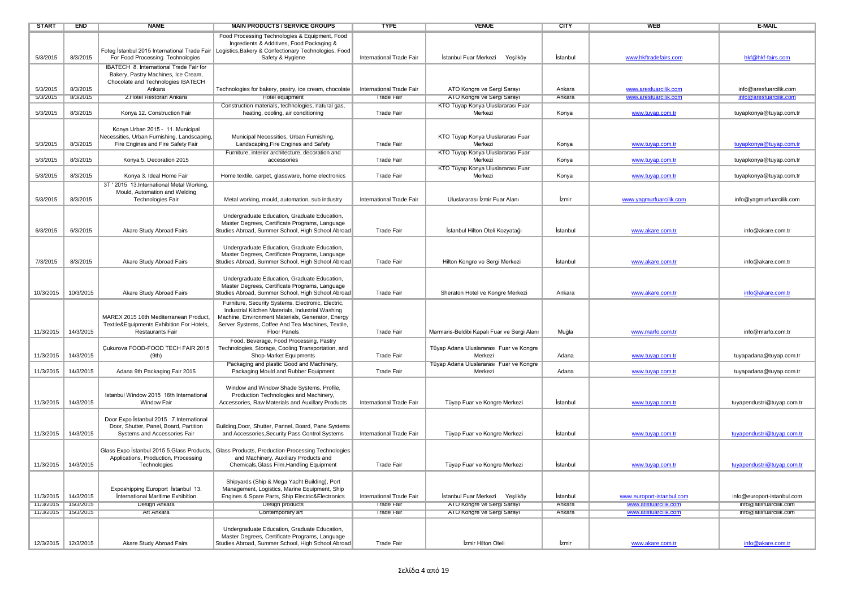| <b>START</b>         | <b>END</b>           | <b>NAME</b>                                                                        | <b>MAIN PRODUCTS / SERVICE GROUPS</b>                                                                                   | <b>TYPE</b>                                   | <b>VENUE</b>                                             | <b>CITY</b>      | <b>WEB</b>                                     | E-MAIL                                           |
|----------------------|----------------------|------------------------------------------------------------------------------------|-------------------------------------------------------------------------------------------------------------------------|-----------------------------------------------|----------------------------------------------------------|------------------|------------------------------------------------|--------------------------------------------------|
|                      |                      |                                                                                    | Food Processing Technologies & Equipment, Food<br>Ingredients & Additives, Food Packaging &                             |                                               |                                                          |                  |                                                |                                                  |
| 5/3/2015             | 8/3/2015             | For Food Processing Technologies                                                   | Foteg İstanbul 2015 International Trade Fair   Logistics, Bakery & Confectionary Technologies, Food<br>Safety & Hygiene | International Trade Fair                      | İstanbul Fuar Merkezi<br>Yeşilköy                        | İstanbul         | www.hkftradefairs.com                          | hkf@hkf-fairs.com                                |
|                      |                      | IBATECH 8. International Trade Fair for<br>Bakery, Pastry Machines, Ice Cream,     |                                                                                                                         |                                               |                                                          |                  |                                                |                                                  |
|                      |                      | Chocolate and Technologies IBATECH                                                 |                                                                                                                         |                                               |                                                          |                  |                                                |                                                  |
| 5/3/2015<br>5/3/2015 | 8/3/2015<br>8/3/2015 | Ankara<br>2. Hotel Restoran Ankara                                                 | Technologies for bakery, pastry, ice cream, chocolate<br>Hotel equipment                                                | International Trade Fair<br><b>Trade Fair</b> | ATO Kongre ve Sergi Sarayı<br>ATO Kongre ve Sergi Sarayı | Ankara<br>Ankara | www.aresfuarcilik.com<br>www.aresfuarcilik.com | info@aresfuarcilik.com<br>info@aresfuarcilik.com |
|                      |                      |                                                                                    | Construction materials, technologies, natural gas,                                                                      |                                               | KTO Tüyap Konya Uluslararası Fuar                        |                  |                                                |                                                  |
| 5/3/2015             | 8/3/2015             | Konya 12. Construction Fair                                                        | heating, cooling, air conditioning                                                                                      | <b>Trade Fair</b>                             | Merkezi                                                  | Konya            | www.tuyap.com.tr                               | tuyapkonya@tuyap.com.tr                          |
|                      |                      |                                                                                    |                                                                                                                         |                                               |                                                          |                  |                                                |                                                  |
|                      |                      | Konya Urban 2015 - 11Municipal<br>Necessities, Urban Furnishing, Landscaping,      | Municipal Necessities, Urban Furnishing,                                                                                |                                               | KTO Tüyap Konya Uluslararası Fuar                        |                  |                                                |                                                  |
| 5/3/2015             | 8/3/2015             | Fire Engines and Fire Safety Fair                                                  | Landscaping, Fire Engines and Safety                                                                                    | <b>Trade Fair</b>                             | Merkezi                                                  | Konya            | www.tuyap.com.tr                               | tuyapkonya@tuyap.com.tr                          |
|                      |                      |                                                                                    | Furniture, interior architecture, decoration and                                                                        |                                               | KTO Tüyap Konya Uluslararası Fuar                        |                  |                                                |                                                  |
| 5/3/2015             | 8/3/2015             | Konya 5. Decoration 2015                                                           | accessories                                                                                                             | <b>Trade Fair</b>                             | Merkezi<br>KTO Tüyap Konya Uluslararası Fuar             | Konya            | www.tuyap.com.tr                               | tuyapkonya@tuyap.com.tr                          |
| 5/3/2015             | 8/3/2015             | Konya 3. Ideal Home Fair                                                           | Home textile, carpet, glassware, home electronics                                                                       | Trade Fair                                    | Merkezi                                                  | Konya            | www.tuyap.com.tr                               | tuyapkonya@tuyap.com.tr                          |
|                      |                      | 3T ' 2015 13. International Metal Working,                                         |                                                                                                                         |                                               |                                                          |                  |                                                |                                                  |
| 5/3/2015             | 8/3/2015             | Mould, Automation and Welding<br>Technologies Fair                                 | Metal working, mould, automation, sub industry                                                                          | International Trade Fair                      | Uluslararası İzmir Fuar Alanı                            | <i>zmir</i>      | www.yagmurfuarcilik.com                        | info@yagmurfuarcilik.com                         |
|                      |                      |                                                                                    |                                                                                                                         |                                               |                                                          |                  |                                                |                                                  |
|                      |                      |                                                                                    | Undergraduate Education, Graduate Education,                                                                            |                                               |                                                          |                  |                                                |                                                  |
| 6/3/2015             | 6/3/2015             | Akare Study Abroad Fairs                                                           | Master Degrees, Certificate Programs, Language<br>Studies Abroad, Summer School, High School Abroad                     | Trade Fair                                    | İstanbul Hilton Oteli Kozyatağı                          | İstanbul         | www.akare.com.tr                               | info@akare.com.tr                                |
|                      |                      |                                                                                    |                                                                                                                         |                                               |                                                          |                  |                                                |                                                  |
|                      |                      |                                                                                    | Undergraduate Education, Graduate Education,                                                                            |                                               |                                                          |                  |                                                |                                                  |
| 7/3/2015             | 8/3/2015             | Akare Study Abroad Fairs                                                           | Master Degrees, Certificate Programs, Language<br>Studies Abroad, Summer School, High School Abroad                     | <b>Trade Fair</b>                             | Hilton Kongre ve Sergi Merkezi                           | İstanbul         | www.akare.com.tr                               | info@akare.com.tr                                |
|                      |                      |                                                                                    |                                                                                                                         |                                               |                                                          |                  |                                                |                                                  |
|                      |                      |                                                                                    | Undergraduate Education, Graduate Education,                                                                            |                                               |                                                          |                  |                                                |                                                  |
| 10/3/2015            | 10/3/2015            | Akare Study Abroad Fairs                                                           | Master Degrees, Certificate Programs, Language<br>Studies Abroad, Summer School, High School Abroad                     | <b>Trade Fair</b>                             | Sheraton Hotel ve Kongre Merkezi                         | Ankara           | www.akare.com.tr                               | info@akare.com.tr                                |
|                      |                      |                                                                                    | Furniture, Security Systems, Electronic, Electric,                                                                      |                                               |                                                          |                  |                                                |                                                  |
|                      |                      |                                                                                    | Industrial Kitchen Materials, Industrial Washing                                                                        |                                               |                                                          |                  |                                                |                                                  |
|                      |                      | MAREX 2015 16th Mediterranean Product,                                             | Machine, Environment Materials, Generator, Energy                                                                       |                                               |                                                          |                  |                                                |                                                  |
| 11/3/2015            | 14/3/2015            | Textile&Equipments Exhibition For Hotels,<br><b>Restaurants Fair</b>               | Server Systems, Coffee And Tea Machines, Textile,<br><b>Floor Panels</b>                                                | <b>Trade Fair</b>                             | Marmaris-Beldibi Kapalı Fuar ve Sergi Alanı              | Muğla            | www.marfo.com.tr                               | info@marfo.com.tr                                |
|                      |                      |                                                                                    | Food, Beverage, Food Processing, Pastry                                                                                 |                                               |                                                          |                  |                                                |                                                  |
| 11/3/2015            | 14/3/2015            | Cukurova FOOD-FOOD TECH FAIR 2015<br>(9th)                                         | Technologies, Storage, Cooling Transportation, and<br>Shop-Market Equipments                                            | <b>Trade Fair</b>                             | Tüyap Adana Uluslararası Fuar ve Kongre<br>Merkezi       | Adana            |                                                | tuyapadana@tuyap.com.tr                          |
|                      |                      |                                                                                    | Packaging and plastic Good and Machinery,                                                                               |                                               | Tüyap Adana Uluslararası Fuar ve Kongre                  |                  | www.tuyap.com.tr                               |                                                  |
| 11/3/2015            | 14/3/2015            | Adana 9th Packaging Fair 2015                                                      | Packaging Mould and Rubber Equipment                                                                                    | <b>Trade Fair</b>                             | Merkezi                                                  | Adana            | www.tuyap.com.tr                               | tuyapadana@tuyap.com.tr                          |
|                      |                      |                                                                                    |                                                                                                                         |                                               |                                                          |                  |                                                |                                                  |
|                      |                      | Istanbul Window 2015 16th International                                            | Window and Window Shade Systems, Profile,<br>Production Technologies and Machinery,                                     |                                               |                                                          |                  |                                                |                                                  |
| 11/3/2015            | 14/3/2015            | <b>Window Fair</b>                                                                 | Accessories, Raw Materials and Auxillary Products                                                                       | International Trade Fair                      | Tüyap Fuar ve Kongre Merkezi                             | İstanbul         | www.tuyap.com.tr                               | tuyapendustri@tuyap.com.tr                       |
|                      |                      |                                                                                    |                                                                                                                         |                                               |                                                          |                  |                                                |                                                  |
|                      |                      | Door Expo İstanbul 2015 7. International<br>Door, Shutter, Panel, Board, Partition | Building, Door, Shutter, Pannel, Board, Pane Systems                                                                    |                                               |                                                          |                  |                                                |                                                  |
| 11/3/2015            | 14/3/2015            | Systems and Accessories Fair                                                       | and Accessories, Security Pass Control Systems                                                                          | International Trade Fair                      | Tüyap Fuar ve Kongre Merkezi                             | İstanbul         | www.tuyap.com.tr                               | tuyapendustri@tuyap.com.tr                       |
|                      |                      |                                                                                    |                                                                                                                         |                                               |                                                          |                  |                                                |                                                  |
|                      |                      | Glass Expo İstanbul 2015 5.Glass Products,<br>Applications, Production, Processing | Glass Products, Production-Processing Technologies<br>and Machinery, Auxiliary Products and                             |                                               |                                                          |                  |                                                |                                                  |
| 11/3/2015            | 14/3/2015            | Technologies                                                                       | Chemicals, Glass Film, Handling Equipment                                                                               | <b>Trade Fair</b>                             | Tüyap Fuar ve Kongre Merkezi                             | İstanbul         | www.tuyap.com.tr                               | tuyapendustri@tuyap.com.tr                       |
|                      |                      |                                                                                    |                                                                                                                         |                                               |                                                          |                  |                                                |                                                  |
|                      |                      | Exposhipping Europort İstanbul 13.                                                 | Shipyards (Ship & Mega Yacht Building), Port<br>Management, Logistics, Marine Equipment, Ship                           |                                               |                                                          |                  |                                                |                                                  |
| 11/3/2015            | 14/3/2015            | International Maritime Exhibition                                                  | Engines & Spare Parts, Ship Electric&Electronics                                                                        | International Trade Fair                      | İstanbul Fuar Merkezi Yeşilköy                           | İstanbul         | www.europort-istanbul.com                      | info@europort-istanbul.com                       |
| 11/3/2015            | 15/3/2015            | <b>Design Ankara</b>                                                               | <b>Design products</b>                                                                                                  | I rade Fair                                   | ATO Kongre ve Sergi Sarayi                               | Ankara           | www.atistuarcilik.com                          | into@atisfuarcilik.com                           |
| 11/3/2015            | 15/3/2015            | Art Ankara                                                                         | Contemporary art                                                                                                        | <b>Trade Fair</b>                             | ATO Kongre ve Sergi Sarayı                               | Ankara           | www.atisfuarcilik.com                          | info@atisfuarcilik.com                           |
|                      |                      |                                                                                    | Undergraduate Education, Graduate Education,                                                                            |                                               |                                                          |                  |                                                |                                                  |
|                      |                      |                                                                                    | Master Degrees, Certificate Programs, Language                                                                          |                                               |                                                          |                  |                                                |                                                  |
|                      | 12/3/2015 12/3/2015  | Akare Study Abroad Fairs                                                           | Studies Abroad, Summer School, High School Abroad                                                                       | <b>Trade Fair</b>                             | Izmir Hilton Oteli                                       | İzmir            | www.akare.com.tr                               | info@akare.com.tr                                |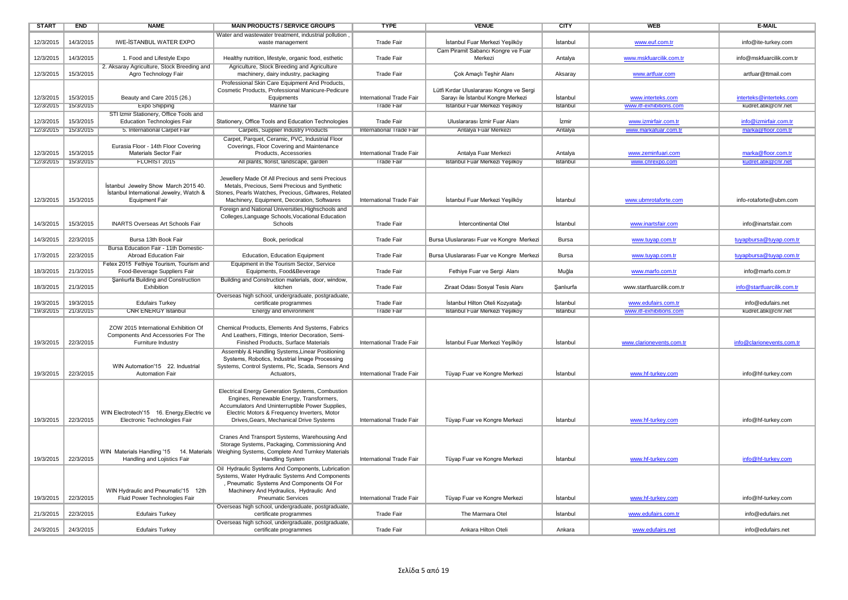| <b>START</b>           | <b>END</b>             | <b>NAME</b>                                                                                                                                         | <b>MAIN PRODUCTS / SERVICE GROUPS</b>                                                                                                                                                                                                                                                                                         | <b>TYPE</b>                                   | <b>VENUE</b>                                                                                                      | <b>CITY</b>          | <b>WEB</b>                                   | E-MAIL                                         |
|------------------------|------------------------|-----------------------------------------------------------------------------------------------------------------------------------------------------|-------------------------------------------------------------------------------------------------------------------------------------------------------------------------------------------------------------------------------------------------------------------------------------------------------------------------------|-----------------------------------------------|-------------------------------------------------------------------------------------------------------------------|----------------------|----------------------------------------------|------------------------------------------------|
| 12/3/2015              | 14/3/2015              | <b>IWE-ISTANBUL WATER EXPO</b>                                                                                                                      | Water and wastewater treatment, industrial pollution,<br>waste management                                                                                                                                                                                                                                                     | <b>Trade Fair</b>                             | İstanbul Fuar Merkezi Yeşilköy                                                                                    | İstanbul             | www.euf.com.tr                               | info@ite-turkey.com                            |
| 12/3/2015              | 14/3/2015              | 1. Food and Lifestyle Expo                                                                                                                          | Healthy nutrition, lifestyle, organic food, esthetic                                                                                                                                                                                                                                                                          | <b>Trade Fair</b>                             | Cam Piramit Sabancı Kongre ve Fuar<br>Merkezi                                                                     | Antalya              | www.mskfuarcilik.com.tr                      | info@mskfuarcilik.com.tr                       |
| 12/3/2015              | 15/3/2015              | 2. Aksaray Agriculture, Stock Breeding and<br>Agro Technology Fair                                                                                  | Agriculture, Stock Breeding and Agriculture<br>machinery, dairy industry, packaging                                                                                                                                                                                                                                           | <b>Trade Fair</b>                             | Çok Amaçlı Teşhir Alanı                                                                                           | Aksaray              | www.artfuar.com                              | artfuar@ttmail.com                             |
| 12/3/2015<br>12/3/2015 | 15/3/2015<br>15/3/2015 | Beauty and Care 2015 (26.)<br><b>Expo Shipping</b>                                                                                                  | Professional Skin Care Equipment And Products,<br>Cosmetic Products, Professional Manicure-Pedicure<br>Equipments<br>Marine fair                                                                                                                                                                                              | International Trade Fair<br><b>Trade Fair</b> | Lütfi Kırdar Uluslararası Kongre ve Sergi<br>Sarayı ile İstanbul Kongre Merkezi<br>Istanbul Fuar Merkezi Yeşilköy | İstanbul<br>Istanbul | www.interteks.com<br>www.itf-exhibitions.com | interteks@interteks.com<br>kudret.atik@cnr.net |
|                        |                        | STI Izmir Stationery, Office Tools and                                                                                                              |                                                                                                                                                                                                                                                                                                                               |                                               |                                                                                                                   |                      |                                              |                                                |
| 12/3/2015<br>12/3/2015 | 15/3/2015<br>15/3/2015 | <b>Education Technologies Fair</b><br>5. International Carpet Fair                                                                                  | Stationery, Office Tools and Education Technologies<br>Carpets, Supplier Industry Products                                                                                                                                                                                                                                    | <b>Trade Fair</b><br>International Trade Fair | Uluslararası İzmir Fuar Alanı<br>Antalya Fuar Merkezi                                                             | İzmir<br>Antalya     | www.izmirfair.com.tr<br>www.markafuar.com.tr | info@izmirfair.com.tr<br>marka@floor.com.tr    |
| 12/3/2015              | 15/3/2015              | Eurasia Floor - 14th Floor Covering<br>Materials Sector Fair                                                                                        | Carpet, Parquet, Ceramic, PVC, Industrial Floor<br>Coverings, Floor Covering and Maintenance<br>Products, Accessories                                                                                                                                                                                                         | International Trade Fair                      | Antalya Fuar Merkezi                                                                                              | Antalya              | www.zeminfuari.com                           | marka@floor.com.tr                             |
| 12/3/2015              | 15/3/2015              | FLORIST 2015                                                                                                                                        | All plants, florist, landscape, garden                                                                                                                                                                                                                                                                                        | <b>Trade Fair</b>                             | Istanbul Fuar Merkezi Yeşilköy                                                                                    | Istanbul             | www.cnrexpo.com                              | kudret.atik@cnr.net                            |
| 12/3/2015<br>14/3/2015 | 15/3/2015<br>15/3/2015 | İstanbul Jewelry Show March 2015 40.<br>Istanbul International Jewelry, Watch &<br><b>Equipment Fair</b><br><b>INARTS Overseas Art Schools Fair</b> | Jewellery Made Of All Precious and semi Precious<br>Metals, Precious, Semi Precious and Synthetic<br>Stones, Pearls Watches, Precious, Giftwares, Related<br>Machinery, Equipment, Decoration, Softwares<br>Foreign and National Universities, Highschools and<br>Colleges, Language Schools, Vocational Education<br>Schools | International Trade Fair<br><b>Trade Fair</b> | İstanbul Fuar Merkezi Yeşilköy<br>Intercontinental Otel                                                           | İstanbul<br>İstanbul | www.ubmrotaforte.com<br>www.inartsfair.com   | info-rotaforte@ubm.com<br>info@inartsfair.com  |
|                        |                        |                                                                                                                                                     |                                                                                                                                                                                                                                                                                                                               |                                               |                                                                                                                   |                      |                                              |                                                |
| 14/3/2015              | 22/3/2015              | Bursa 13th Book Fair<br>Bursa Education Fair - 11th Domestic-                                                                                       | Book, periodical                                                                                                                                                                                                                                                                                                              | <b>Trade Fair</b>                             | Bursa Uluslararası Fuar ve Kongre Merkezi                                                                         | Bursa                | www.tuyap.com.tr                             | tuyapbursa@tuyap.com.tr                        |
| 17/3/2015              | 22/3/2015              | <b>Abroad Education Fair</b><br>Fetex 2015 Fethiye Tourism, Tourism and                                                                             | Education, Education Equipment<br>Equipment in the Tourism Sector, Service                                                                                                                                                                                                                                                    | <b>Trade Fair</b>                             | Bursa Uluslararası Fuar ve Kongre Merkezi                                                                         | Bursa                | www.tuyap.com.tr                             | tuyapbursa@tuyap.com.tr                        |
| 18/3/2015              | 21/3/2015              | Food-Beverage Suppliers Fair                                                                                                                        | Equipments, Food&Beverage                                                                                                                                                                                                                                                                                                     | <b>Trade Fair</b>                             | Fethiye Fuar ve Sergi Alanı                                                                                       | Muğla                | www.marfo.com.tr                             | info@marfo.com.tr                              |
| 18/3/2015              | 21/3/2015              | Sanlıurfa Building and Construction<br>Exhibition                                                                                                   | Building and Construction materials, door, window,<br>kitchen                                                                                                                                                                                                                                                                 | <b>Trade Fair</b>                             | Ziraat Odası Sosyal Tesis Alanı                                                                                   | Sanlıurfa            | www.startfuarcilik.com.tr                    | info@startfuarcilik.com.tr                     |
| 19/3/2015              | 19/3/2015              | <b>Edufairs Turkey</b>                                                                                                                              | Overseas high school, undergraduate, postgraduate,<br>certificate programmes                                                                                                                                                                                                                                                  | <b>Trade Fair</b>                             | İstanbul Hilton Oteli Kozyatağı                                                                                   | İstanbul             | www.edufairs.com.tr                          | info@edufairs.net                              |
| 19/3/2015              | 21/3/2015              | <b>CNR ENERGY Istanbul</b>                                                                                                                          | Energy and environment                                                                                                                                                                                                                                                                                                        | <b>Irade Fair</b>                             | Istanbul Fuar Merkezi Yeşilköy                                                                                    | Istanbul             | www.itt-exhibitions.com                      | kudret.atik@cnr.net                            |
|                        |                        |                                                                                                                                                     |                                                                                                                                                                                                                                                                                                                               |                                               |                                                                                                                   |                      |                                              |                                                |
| 19/3/2015              | 22/3/2015              | ZOW 2015 International Exhibition Of<br>Components And Accessories For The<br>Furniture Industry                                                    | Chemical Products, Elements And Systems, Fabrics<br>And Leathers, Fittings, Interior Decoration, Semi-<br>Finished Products, Surface Materials                                                                                                                                                                                | International Trade Fair                      | İstanbul Fuar Merkezi Yeşilköy                                                                                    | İstanbul             | www.clarionevents.com.tr                     | info@clarionevents.com.tr                      |
| 19/3/2015              | 22/3/2015              | WIN Automation'15 22. Industrial<br><b>Automation Fair</b>                                                                                          | Assembly & Handling Systems, Linear Positioning<br>Systems, Robotics, Industrial Image Processing<br>Systems, Control Systems, Plc, Scada, Sensors And<br>Actuators.                                                                                                                                                          | International Trade Fair                      | Tüyap Fuar ve Kongre Merkezi                                                                                      | İstanbul             | www.hf-turkey.com                            | info@hf-turkey.com                             |
| 19/3/2015              | 22/3/2015              | WIN Electrotech'15 16. Energy, Electric ve<br>Electronic Technologies Fair                                                                          | Electrical Energy Generation Systems, Combustion<br>Engines, Renewable Energy, Transformers,<br>Accumulators And Uninterruptible Power Supplies,<br>Electric Motors & Frequency Inverters, Motor<br>Drives, Gears, Mechanical Drive Systems                                                                                   | International Trade Fair                      | Tüyap Fuar ve Kongre Merkezi                                                                                      | İstanbul             | www.hf-turkey.com                            | info@hf-turkey.com                             |
| 19/3/2015              | 22/3/2015              | WIN Materials Handling '15 14. Materials<br>Handling and Lojistics Fair                                                                             | Cranes And Transport Systems, Warehousing And<br>Storage Systems, Packaging, Commissioning And<br>Weighing Systems, Complete And Turnkey Materials<br><b>Handling System</b>                                                                                                                                                  | International Trade Fair                      | Tüyap Fuar ve Kongre Merkezi                                                                                      | İstanbul             | www.hf-turkey.com                            | info@hf-turkey.com                             |
|                        |                        | WIN Hydraulic and Pneumatic'15 12th                                                                                                                 | Oil Hydraulic Systems And Components, Lubrication<br>Systems, Water Hydraulic Systems And Components<br>Pneumatic Systems And Components Oil For<br>Machinery And Hydraulics, Hydraulic And                                                                                                                                   |                                               |                                                                                                                   |                      |                                              |                                                |
| 19/3/2015              | 22/3/2015              | Fluid Power Technologies Fair                                                                                                                       | <b>Pneumatic Services</b>                                                                                                                                                                                                                                                                                                     | International Trade Fair                      | Tüyap Fuar ve Kongre Merkezi                                                                                      | Istanbul             | www.hf-turkey.com                            | info@hf-turkey.com                             |
| 21/3/2015              | 22/3/2015              | <b>Edufairs Turkey</b>                                                                                                                              | Overseas high school, undergraduate, postgraduate,<br>certificate programmes                                                                                                                                                                                                                                                  | <b>Trade Fair</b>                             | The Marmara Otel                                                                                                  | İstanbul             | www.edufairs.com.tr                          | info@edufairs.net                              |
| 24/3/2015              | 24/3/2015              | <b>Edufairs Turkey</b>                                                                                                                              | Overseas high school, undergraduate, postgraduate,<br>certificate programmes                                                                                                                                                                                                                                                  | <b>Trade Fair</b>                             | Ankara Hilton Oteli                                                                                               | Ankara               | www.edufairs.net                             | info@edufairs.net                              |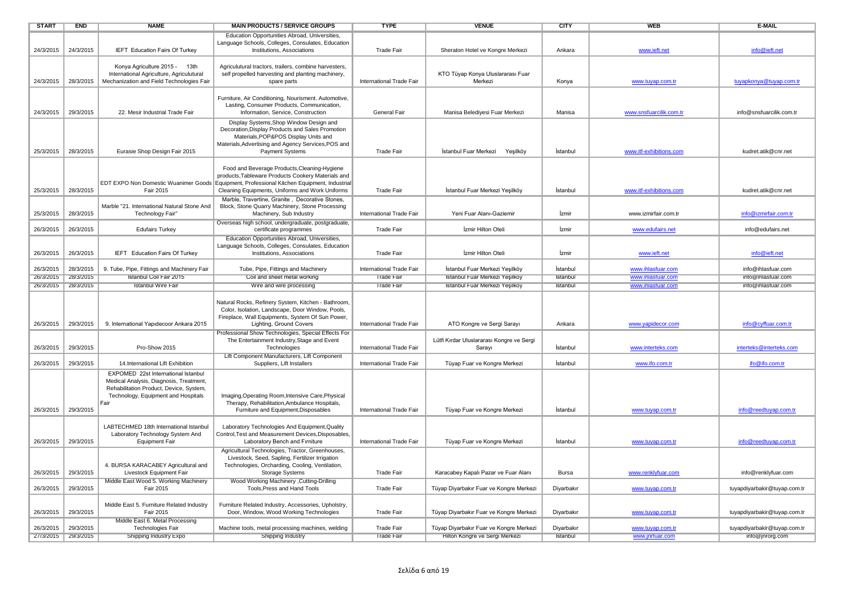| <b>START</b>        | <b>END</b> | <b>NAME</b>                                 | <b>MAIN PRODUCTS / SERVICE GROUPS</b>                 | <b>TYPE</b>              | <b>VENUE</b>                              | <b>CITY</b>  | <b>WEB</b>              | E-MAIL                       |
|---------------------|------------|---------------------------------------------|-------------------------------------------------------|--------------------------|-------------------------------------------|--------------|-------------------------|------------------------------|
|                     |            |                                             | Education Opportunities Abroad, Universities,         |                          |                                           |              |                         |                              |
|                     |            |                                             | Language Schools, Colleges, Consulates, Education     |                          |                                           |              |                         |                              |
| 24/3/2015           | 24/3/2015  | IEFT Education Fairs Of Turkey              | Institutions, Associations                            | <b>Trade Fair</b>        | Sheraton Hotel ve Kongre Merkezi          | Ankara       | www.ieft.net            | info@ieft.net                |
|                     |            |                                             |                                                       |                          |                                           |              |                         |                              |
|                     |            | Konya Agriculture 2015 - 13th               | Agriculutural tractors, trailers, combine harvesters, |                          |                                           |              |                         |                              |
|                     |            | International Agriculture, Agriculutural    | self propelled harvesting and planting machinery,     |                          | KTO Tüyap Konya Uluslararası Fuar         |              |                         |                              |
| 24/3/2015           | 28/3/2015  | Mechanization and Field Technologies Fair   | spare parts                                           | International Trade Fair | Merkezi                                   | Konya        | www.tuyap.com.tr        | tuyapkonya@tuyap.com.tr      |
|                     |            |                                             |                                                       |                          |                                           |              |                         |                              |
|                     |            |                                             | Furniture, Air Conditioning, Nourisment. Automotive,  |                          |                                           |              |                         |                              |
|                     |            |                                             | Lasting, Consumer Products, Communication,            |                          |                                           |              |                         |                              |
| 24/3/2015           | 29/3/2015  | 22. Mesir Industrial Trade Fair             | Information, Service, Construction                    | General Fair             | Manisa Belediyesi Fuar Merkezi            | Manisa       | www.snsfuarcilik.com.tr | info@snsfuarcilik.com.tr     |
|                     |            |                                             | Display Systems, Shop Window Design and               |                          |                                           |              |                         |                              |
|                     |            |                                             | Decoration, Display Products and Sales Promotion      |                          |                                           |              |                         |                              |
|                     |            |                                             | Materials, POP&POS Display Units and                  |                          |                                           |              |                         |                              |
|                     |            |                                             | Materials, Advertising and Agency Services, POS and   |                          |                                           |              |                         |                              |
| 25/3/2015           | 28/3/2015  | Eurasie Shop Design Fair 2015               | Payment Systems                                       | <b>Trade Fair</b>        | İstanbul Fuar Merkezi<br>Yeşilköy         | İstanbul     | www.itf-exhibitions.com | kudret.atik@cnr.net          |
|                     |            |                                             |                                                       |                          |                                           |              |                         |                              |
|                     |            |                                             | Food and Beverage Products, Cleaning-Hygiene          |                          |                                           |              |                         |                              |
|                     |            |                                             | products, Tableware Products Cookery Materials and    |                          |                                           |              |                         |                              |
|                     |            | EDT EXPO Non Domestic Wuanimer Goods        | Equipment, Professional Kitchen Equipment, Industrial |                          |                                           |              |                         |                              |
| 25/3/2015           | 28/3/2015  | Fair 2015                                   | Cleaning Equipments, Uniforms and Work Uniforms       | Trade Fair               | İstanbul Fuar Merkezi Yeşilköy            | İstanbul     | www.itf-exhibitions.com | kudret.atik@cnr.net          |
|                     |            |                                             | Marble, Travertine, Granite, Decorative Stones,       |                          |                                           |              |                         |                              |
|                     |            | Marble "21. International Natural Stone And | Block, Stone Quarry Machinery, Stone Processing       |                          |                                           |              |                         |                              |
| 25/3/2015           | 28/3/2015  | Technology Fair"                            | Machinery, Sub Industry                               | International Trade Fair | Yeni Fuar Alanı-Gaziemir                  | İzmir        | www.izmirfair.com.tr    | info@izmirfair.com.tr        |
|                     |            |                                             | Overseas high school, undergraduate, postgraduate,    |                          |                                           |              |                         |                              |
| 26/3/2015           | 26/3/2015  | <b>Edufairs Turkey</b>                      | certificate programmes                                | <b>Trade Fair</b>        | Izmir Hilton Oteli                        | İzmir        | www.edufairs.net        | info@edufairs.net            |
|                     |            |                                             | Education Opportunities Abroad, Universities,         |                          |                                           |              |                         |                              |
|                     |            |                                             | Language Schools, Colleges, Consulates, Education     |                          |                                           |              |                         |                              |
| 26/3/2015           | 26/3/2015  | IEFT Education Fairs Of Turkey              | Institutions, Associations                            | <b>Trade Fair</b>        | İzmir Hilton Oteli                        | İzmir        | www.ieft.net            | info@ieft.net                |
|                     |            |                                             |                                                       |                          |                                           |              |                         |                              |
| 26/3/2015           | 28/3/2015  | 9. Tube, Pipe, Fittings and Machinery Fair  | Tube, Pipe, Fittings and Machinery                    | International Trade Fair | İstanbul Fuar Merkezi Yeşilköy            | İstanbul     | www.ihlasfuar.com       | info@ihlasfuar.com           |
| 26/3/2015           | 28/3/2015  | Istanbul Coil Fair 2015                     | Coil and sheet metal working                          | Trade Fair               | Istanbul Fuar Merkezi Yeşilköy            | Istanbul     | www.ihlastuar.com       | into@ihlastuar.com           |
| 26/3/2015 28/3/2015 |            | <b>Istanbul Wire Fair</b>                   | Wire and wire processing                              | <b>Trade Fair</b>        | Istanbul Fuar Merkezi Yeşilköy            | Istanbul     | www.ihlastuar.com       | info@ihlasfuar.com           |
|                     |            |                                             |                                                       |                          |                                           |              |                         |                              |
|                     |            |                                             | Natural Rocks, Refinery System, Kitchen - Bathroom,   |                          |                                           |              |                         |                              |
|                     |            |                                             | Color, Isolation, Landscape, Door Window, Pools,      |                          |                                           |              |                         |                              |
|                     |            |                                             | Fireplace, Wall Equipments, System Of Sun Power,      |                          |                                           |              |                         |                              |
| 26/3/2015           | 29/3/2015  | 9. International Yapıdecoor Ankara 2015     | Lighting, Ground Covers                               | International Trade Fair | ATO Kongre ve Sergi Sarayı                | Ankara       | www.yapidecor.com       | info@cyffuar.com.tr          |
|                     |            |                                             | Professional Show Technologies, Special Effects For   |                          |                                           |              |                         |                              |
|                     |            |                                             | The Entertainment Industry, Stage and Event           |                          | Lütfi Kırdar Uluslararası Kongre ve Sergi |              |                         |                              |
| 26/3/2015           | 29/3/2015  | Pro-Show 2015                               | Technologies                                          | International Trade Fair | Sarayı                                    | İstanbul     | www.interteks.com       | interteks@interteks.com      |
|                     |            |                                             | Lift Component Manufacturers, Lift Component          |                          |                                           |              |                         |                              |
| 26/3/2015           | 29/3/2015  | 14.International Lift Exhibition            | Suppliers, Lift Installers                            | International Trade Fair | Tüyap Fuar ve Kongre Merkezi              | İstanbul     | www.ifo.com.tr          | ifo@ifo.com.tr               |
|                     |            | EXPOMED 22st International Istanbul         |                                                       |                          |                                           |              |                         |                              |
|                     |            | Medical Analysis, Diagnosis, Treatment,     |                                                       |                          |                                           |              |                         |                              |
|                     |            | Rehabilitation Product, Device, System,     |                                                       |                          |                                           |              |                         |                              |
|                     |            | Technology, Equipment and Hospitals         | Imaging, Operating Room, Intensive Care, Physical     |                          |                                           |              |                         |                              |
|                     |            | Fair                                        | Therapy, Rehabilitation, Ambulance Hospitals,         |                          |                                           |              |                         |                              |
| 26/3/2015           | 29/3/2015  |                                             | Furniture and Equipment.Disposables                   | International Trade Fair | Tüyap Fuar ve Kongre Merkezi              | İstanbul     | www.tuyap.com.tr        | info@reedtuyap.com.tr        |
|                     |            |                                             |                                                       |                          |                                           |              |                         |                              |
|                     |            | LABTECHMED 18th International Istanbul      | Laboratory Technologies And Equipment, Quality        |                          |                                           |              |                         |                              |
|                     |            | Laboratory Technology System And            | Control, Test and Measurement Devices, Disposables.   |                          |                                           |              |                         |                              |
| 26/3/2015           | 29/3/2015  | <b>Equipment Fair</b>                       | Laboratory Bench and Firniture                        | International Trade Fair | Tüyap Fuar ve Kongre Merkezi              | İstanbul     | www.tuyap.com.tr        | info@reedtuyap.com.tr        |
|                     |            |                                             | Agricultural Technologies, Tractor, Greenhouses,      |                          |                                           |              |                         |                              |
|                     |            |                                             | Livestock, Seed, Sapling, Fertilizer Irrigation       |                          |                                           |              |                         |                              |
|                     |            | 4. BURSA KARACABEY Agricultural and         | Technologies, Orcharding, Cooling, Ventilation,       |                          |                                           |              |                         |                              |
| 26/3/2015           | 29/3/2015  | Livestock Equipment Fair                    | Storage Systems                                       | <b>Trade Fair</b>        | Karacabey Kapalı Pazar ve Fuar Alanı      | <b>Bursa</b> | www.renklyfuar.com      | info@renklyfuar.com          |
|                     |            | Middle East Wood 5. Working Machinery       | Wood Working Machinery , Cutting-Drilling             |                          |                                           |              |                         |                              |
| 26/3/2015           | 29/3/2015  | Fair 2015                                   | Tools.Press and Hand Tools                            | <b>Trade Fair</b>        | Tüyap Diyarbakır Fuar ve Kongre Merkezi   | Diyarbakır   | www.tuyap.com.tr        | tuyapdiyarbakir@tuyap.com.tr |
|                     |            |                                             |                                                       |                          |                                           |              |                         |                              |
|                     |            | Middle East 5. Furniture Related Industry   | Furniture Related Industry, Accessories, Upholstry,   |                          |                                           |              |                         |                              |
| 26/3/2015           | 29/3/2015  | Fair 2015                                   | Door, Window, Wood Working Technologies               | <b>Trade Fair</b>        | Tüyap Diyarbakır Fuar ve Kongre Merkezi   | Diyarbakır   | www.tuyap.com.tr        | tuyapdiyarbakir@tuyap.com.tr |
|                     |            | Middle East 6. Metal Processing             |                                                       |                          |                                           |              |                         |                              |
| 26/3/2015           | 29/3/2015  | Technologies Fair                           | Machine tools, metal processing machines, welding     | <b>Trade Fair</b>        | Tüyap Diyarbakır Fuar ve Kongre Merkezi   | Diyarbakır   | www.tuyap.com.tr        | tuyapdiyarbakir@tuyap.com.tr |
| 2//3/2015 29/3/2015 |            | Shipping Industry Expo                      | Shipping Industry                                     | I rade Fair              | Hilton Kongre ve Sergi Merkezi            | Istanbul     | www.jnrtuar.com         | into@jnrorg.com              |
|                     |            |                                             |                                                       |                          |                                           |              |                         |                              |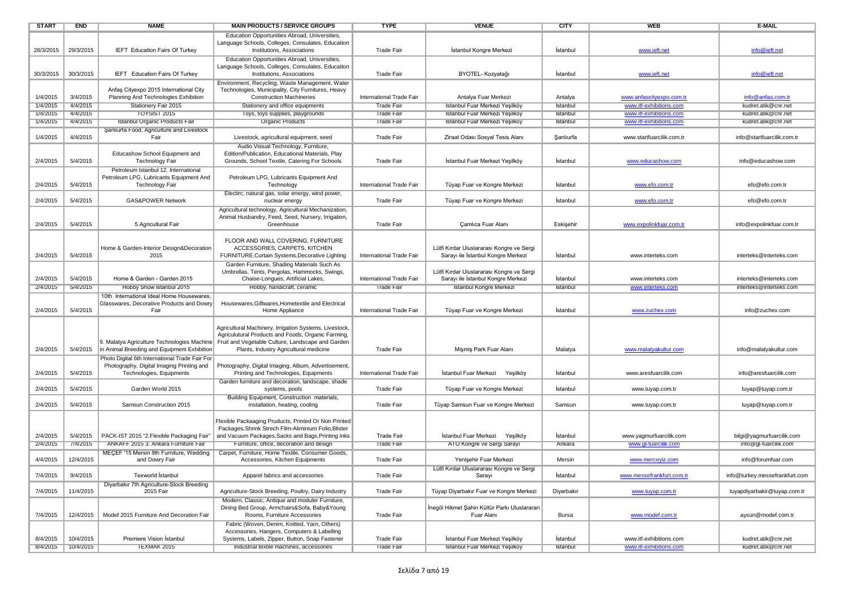| <b>START</b> | <b>END</b> | <b>NAME</b>                                                                    | <b>MAIN PRODUCTS / SERVICE GROUPS</b>                                                 | <b>TYPE</b>              | <b>VENUE</b>                                                                    | <b>CITY</b> | <b>WEB</b>                | <b>E-MAIL</b>                  |
|--------------|------------|--------------------------------------------------------------------------------|---------------------------------------------------------------------------------------|--------------------------|---------------------------------------------------------------------------------|-------------|---------------------------|--------------------------------|
|              |            |                                                                                | Education Opportunities Abroad, Universities,                                         |                          |                                                                                 |             |                           |                                |
|              |            |                                                                                | Language Schools, Colleges, Consulates, Education                                     |                          |                                                                                 |             |                           |                                |
| 28/3/2015    | 29/3/2015  | <b>IEFT</b> Education Fairs Of Turkey                                          | Institutions, Associations                                                            | <b>Trade Fair</b>        | İstanbul Kongre Merkezi                                                         | İstanbul    | www.ieft.net              | info@ieft.net                  |
|              |            |                                                                                | Education Opportunities Abroad, Universities,                                         |                          |                                                                                 |             |                           |                                |
|              |            |                                                                                | Language Schools, Colleges, Consulates, Education                                     |                          |                                                                                 |             |                           |                                |
| 30/3/2015    | 30/3/2015  | <b>IEFT</b> Education Fairs Of Turkey                                          | Institutions, Associations                                                            | <b>Trade Fair</b>        | BYOTEL- Kozyatağı                                                               | Istanbul    | www.ieft.net              | info@ieft.net                  |
|              |            |                                                                                | Environment, Recycling, Waste Management, Water                                       |                          |                                                                                 |             |                           |                                |
| 1/4/2015     | 3/4/2015   | Anfaș Cityexpo 2015 International City<br>Planning And Technologies Exhibition | Technologies, Municipality, City Furnitures, Heavy<br><b>Construction Machineries</b> | International Trade Fair | Antalya Fuar Merkezi                                                            | Antalya     | www.anfascityexpo.com.tr  | info@anfas.com.tr              |
| 1/4/2015     | 4/4/2015   | Stationery Fair 2015                                                           | Stationery and office equipments                                                      | <b>Trade Fair</b>        | Istanbul Fuar Merkezi Yeşilköy                                                  | Istanbul    | www.itf-exhibitions.com   | kudret.atik@cnr.net            |
| 1/4/2015     | 4/4/2015   | <b>TOYSIST 2015</b>                                                            | Toys, toys supplies, playgrounds                                                      | <b>Trade Fair</b>        | Istanbul Fuar Merkezi Yeşilköy                                                  | Istanbul    | www.itf-exhibitions.com   | kudret.atik@cnr.net            |
| 1/4/2015     | 4/4/2015   | Istanbul Organic Products Fair                                                 | <b>Organic Products</b>                                                               | <b>Trade Fair</b>        | Istanbul Fuar Merkezi Yeşilköy                                                  | Istanbul    | www.itf-exhibitions.com   | kudret.atik@cnr.net            |
|              |            | Şanlıurfa Food, Agriculture and Livestock                                      |                                                                                       |                          |                                                                                 |             |                           |                                |
| 1/4/2015     | 4/4/2015   | Fair                                                                           | Livestock, agricultural equipment, seed                                               | <b>Trade Fair</b>        | Ziraat Odası Sosyal Tesis Alanı                                                 | Sanlıurfa   | www.startfuarcilik.com.tr | info@startfuarcilik.com.tr     |
|              |            |                                                                                | Audio Visiual Technology, Furniture,                                                  |                          |                                                                                 |             |                           |                                |
|              |            | Educashow School Equipment and                                                 | Edition/Publication, Educational Materials, Play                                      |                          |                                                                                 |             |                           |                                |
| 2/4/2015     | 5/4/2015   | <b>Technology Fair</b>                                                         | Grounds, School Textile, Catering For Schools                                         | <b>Trade Fair</b>        | İstanbul Fuar Merkezi Yeşilköy                                                  | İstanbul    | www.educashow.com         | info@educashow.com             |
|              |            | Petroleum Istanbul 12. International                                           |                                                                                       |                          |                                                                                 |             |                           |                                |
|              |            | Petroleum LPG, Lubricants Equipment And                                        | Petroleum LPG, Lubricants Equipment And                                               |                          |                                                                                 |             |                           |                                |
| 2/4/2015     | 5/4/2015   | <b>Technology Fair</b>                                                         | Technology                                                                            | International Trade Fair | Tüyap Fuar ve Kongre Merkezi                                                    | İstanbul    | www.efo.com.tr            | efo@efo.com.tr                 |
|              |            |                                                                                | Electirc, natural gas, solar energy, wind power,                                      |                          |                                                                                 |             |                           |                                |
| 2/4/2015     | 5/4/2015   | GAS&POWER Network                                                              | nuclear energy                                                                        | <b>Trade Fair</b>        | Tüyap Fuar ve Kongre Merkezi                                                    | İstanbul    | www.efo.com.tr            | efo@efo.com.tr                 |
|              |            |                                                                                | Agricultural technology, Agricultural Mechanization,                                  |                          |                                                                                 |             |                           |                                |
|              |            |                                                                                | Animal Husbandry, Feed, Seed, Nursery, Irrigation,                                    |                          |                                                                                 |             |                           |                                |
| 2/4/2015     | 5/4/2015   | 5. Agricultural Fair                                                           | Greenhouse                                                                            | <b>Trade Fair</b>        | Çamlıca Fuar Alanı                                                              | Eskişehir   | www.expolinkfuar.com.tr   | info@expolinkfuar.com.tr       |
|              |            |                                                                                |                                                                                       |                          |                                                                                 |             |                           |                                |
|              |            |                                                                                | FLOOR AND WALL COVERING, FURNITURE                                                    |                          |                                                                                 |             |                           |                                |
| 2/4/2015     | 5/4/2015   | Home & Garden-Interior Design&Decoration<br>2015                               | ACCESSORIES, CARPETS, KITCHEN<br>FURNITURE.Curtain Systems, Decorative Lighting       | International Trade Fair | Lütfi Kırdar Uluslararası Kongre ve Sergi<br>Sarayı ile İstanbul Kongre Merkezi | Istanbul    | www.interteks.com         | interteks@interteks.com        |
|              |            |                                                                                | Garden Furniture, Shading Materials Such As                                           |                          |                                                                                 |             |                           |                                |
|              |            |                                                                                | Umbrellas, Tents, Pergolas, Hammocks, Swings,                                         |                          | Lütfi Kırdar Uluslararası Kongre ve Sergi                                       |             |                           |                                |
| 2/4/2015     | 5/4/2015   | Home & Garden - Garden 2015                                                    | Chaise-Longues, Artificial Lakes,                                                     | International Trade Fair | Sarayı ile İstanbul Kongre Merkezi                                              | İstanbul    | www.interteks.com         | interteks@interteks.com        |
| 2/4/2015     | 5/4/2015   | Hobby Show Istanbul 2015                                                       | Hobby, handicraft, ceramic                                                            | Trade Fair               | Istanbul Kongre Merkezi                                                         | Istanbul    | www.interteks.com         | interteks@interteks.com        |
|              |            | 10th International Ideal Home Housewares.                                      |                                                                                       |                          |                                                                                 |             |                           |                                |
|              |            | Glasswares, Decorative Products and Dowry                                      | Housewares, Giftwares, Hometextile and Electrical                                     |                          |                                                                                 |             |                           |                                |
| 2/4/2015     | 5/4/2015   | Fair                                                                           | Home Appliance                                                                        | International Trade Fair | Tüyap Fuar ve Kongre Merkezi                                                    | İstanbul    | www.zuchex.com            | info@zuchex.com                |
|              |            |                                                                                |                                                                                       |                          |                                                                                 |             |                           |                                |
|              |            |                                                                                | Agricultural Machinery, Irrigation Systems, Livestock,                                |                          |                                                                                 |             |                           |                                |
|              |            |                                                                                | Agriculutural Products and Foods, Organic Farming,                                    |                          |                                                                                 |             |                           |                                |
|              |            | 9. Malatya Agriculture Technologies Machine                                    | Fruit and Vegetable Culture, Landscape and Garden                                     |                          |                                                                                 |             |                           |                                |
| 2/4/2015     | 5/4/2015   | in Animal Breeding and Equipment Exhibition                                    | Plants, Industry Agricultural medicine                                                | <b>Trade Fair</b>        | Mişmiş Park Fuar Alanı                                                          | Malatya     | www.malatyakultur.com     | info@malatyakultur.com         |
|              |            | Photo Digital 6th International Trade Fair For                                 |                                                                                       |                          |                                                                                 |             |                           |                                |
| 2/4/2015     | 5/4/2015   | Photography, Digital Imaging Printing and                                      | Photography, Digital Imaging, Album, Advertisement,                                   | International Trade Fair |                                                                                 | Istanbul    | www.aresfuarcilik.com     | info@aresfuarcilik.com         |
|              |            | Technologies, Equipments                                                       | Printing and Technologies, Equipments                                                 |                          | Istanbul Fuar Merkezi<br>Yeşilköy                                               |             |                           |                                |
| 2/4/2015     | 5/4/2015   | Garden World 2015                                                              | Garden furniture and decoration, landscape, shade<br>systems, pools                   | <b>Trade Fair</b>        | Tüyap Fuar ve Kongre Merkezi                                                    | İstanbul    | www.tuyap.com.tr          | tuyap@tuyap.com.tr             |
|              |            |                                                                                | Building Equipment, Construction materials,                                           |                          |                                                                                 |             |                           |                                |
| 2/4/2015     | 5/4/2015   | Samsun Construction 2015                                                       | installation, heating, cooling                                                        | <b>Trade Fair</b>        | Tüyap Samsun Fuar ve Kongre Merkezi                                             | Samsun      | www.tuyap.com.tr          | tuyap@tuyap.com.tr             |
|              |            |                                                                                |                                                                                       |                          |                                                                                 |             |                           |                                |
|              |            |                                                                                | Flexible Packaaging Pruducts, Printed Or Non Printed                                  |                          |                                                                                 |             |                           |                                |
|              |            |                                                                                | Packages, Shrink Strech Film-Aliminium Folio, Blister                                 |                          |                                                                                 |             |                           |                                |
| 2/4/2015     | 5/4/2015   | PACK-IST 2015 "2. Flexible Packaging Fair"                                     | and Vacuum Packages, Sacks and Bags, Printing Inks                                    | Trade Fair               | İstanbul Fuar Merkezi Yeşilköy                                                  | İstanbul    | www.yagmurfuarcilik.com   | bilgi@yagmurfuarcilik.com      |
| 2/4/2015     | 7/4/2015   | ANKAFF 2015 3. Ankara Furniture Fair                                           | Furniture, office, decoration and design                                              | <b>Trade Fair</b>        | ATO Kongre ve Sergi Sarayı                                                      | Ankara      | www.gl-fuarcilik.com      | info@gl-fuarcilik.com          |
|              |            | MECEF '15 Mersin 9th Furniture, Wedding                                        | Carpet, Furniture, Home Textile, Consumer Goods,                                      |                          |                                                                                 |             |                           |                                |
| 4/4/2015     | 12/4/2015  | and Dowry Fair                                                                 | Accessories, Kitchen Equipments                                                       | <b>Trade Fair</b>        | Yenişehir Fuar Merkezi                                                          | Mersin      | www.merceyiz.com          | info@forumfuar.com             |
|              |            |                                                                                |                                                                                       |                          | Lütfi Kırdar Uluslararası Kongre ve Sergi                                       |             |                           |                                |
| 7/4/2015     | 9/4/2015   | Texworld İstanbul                                                              | Apparel fabrics and accessories                                                       | <b>Trade Fair</b>        | Sarayı                                                                          | İstanbul    | www.messefrankfurt.com.tr | info@turkey.messefrankfurt.com |
|              |            | Diyarbakır 7th Agriculture-Stock Breeding                                      |                                                                                       |                          |                                                                                 |             |                           |                                |
| 7/4/2015     | 11/4/2015  | 2015 Fair                                                                      | Agriculture-Stock Breeding, Poultry, Dairy Industry                                   | <b>Trade Fair</b>        | Tüyap Diyarbakır Fuar ve Kongre Merkezi                                         | Diyarbakır  | www.tuyap.com.tr          | tuyapdiyarbakir@tuyap.com.tr   |
|              |            |                                                                                | Modern, Classic, Antique and moduler Furniture,                                       |                          |                                                                                 |             |                           |                                |
| 7/4/2015     | 12/4/2015  | Modef 2015 Furniture And Decoration Fair                                       | Dining Bed Group, Armchairs&Sofa, Baby&Young<br>Rooms, Furniture Accessories          | <b>Trade Fair</b>        | İnegöl Hikmet Şahin Kültür Parkı Uluslarararı<br>Fuar Alanı                     | Bursa       | www.modef.com.tr          | aysun@modef.com.tr             |
|              |            |                                                                                | Fabric (Woven, Denim, Knitted, Yarn, Others)                                          |                          |                                                                                 |             |                           |                                |
|              |            |                                                                                | Accessories, Hangers, Computers & Labelling                                           |                          |                                                                                 |             |                           |                                |
| 8/4/2015     | 10/4/2015  | Premiere Vision Istanbul                                                       | Systems, Labels, Zipper, Button, Snap Fastener                                        | <b>Trade Fair</b>        | İstanbul Fuar Merkezi Yeşilköy                                                  | İstanbul    | www.itf-exhibitions.com   | kudret.atik@cnr.net            |
| 8/4/2015     | 10/4/2015  | <b>IEXMAK 2015</b>                                                             | Industrial textile machines, accessories                                              | Trade Fair               | Istanbul Fuar Merkezi Yeşilköy                                                  | Istanbul    | www.itt-exhibitions.com   | kudret.atık@cnr.net            |
|              |            |                                                                                |                                                                                       |                          |                                                                                 |             |                           |                                |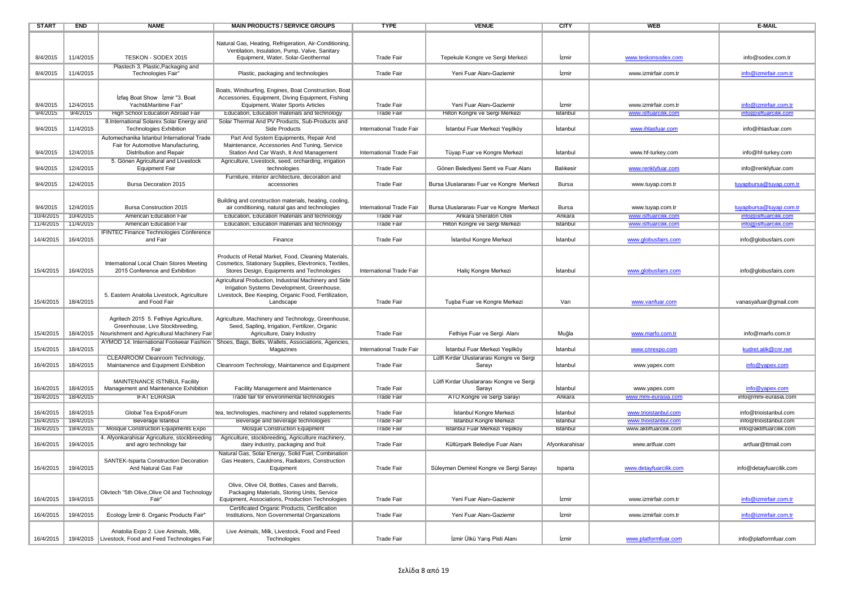| <b>START</b> | <b>END</b> | <b>NAME</b>                                                    | <b>MAIN PRODUCTS / SERVICE GROUPS</b>                                                                        | <b>TYPE</b>                            | <b>VENUE</b>                              | <b>CITY</b>    | <b>WEB</b>             | E-MAIL                  |
|--------------|------------|----------------------------------------------------------------|--------------------------------------------------------------------------------------------------------------|----------------------------------------|-------------------------------------------|----------------|------------------------|-------------------------|
|              |            |                                                                |                                                                                                              |                                        |                                           |                |                        |                         |
|              |            |                                                                | Natural Gas, Heating, Refrigeration, Air-Conditioning,                                                       |                                        |                                           |                |                        |                         |
|              |            |                                                                | Ventilation, Insulation, Pump, Valve, Sanitary                                                               |                                        |                                           |                |                        |                         |
| 8/4/2015     | 11/4/2015  | TESKON - SODEX 2015                                            | Equipment, Water, Solar-Geothermal                                                                           | <b>Trade Fair</b>                      | Tepekule Kongre ve Sergi Merkezi          | İzmir          | www.teskonsodex.com    | info@sodex.com.tr       |
|              |            | Plastech 3. Plastic, Packaging and                             |                                                                                                              |                                        |                                           |                |                        |                         |
| 8/4/2015     | 11/4/2015  | Technologies Fair"                                             | Plastic, packaging and technologies                                                                          | <b>Trade Fair</b>                      | Yeni Fuar Alanı-Gaziemir                  | İzmir          | www.izmirfair.com.tr   | info@izmirfair.com.tr   |
|              |            |                                                                |                                                                                                              |                                        |                                           |                |                        |                         |
|              |            |                                                                | Boats, Windsurfing, Engines, Boat Construction, Boat                                                         |                                        |                                           |                |                        |                         |
| 8/4/2015     | 12/4/2015  | Izfas Boat Show Izmir "3. Boat<br>Yacht&Maritime Fair"         | Accessories, Equipment, Diving Equipment, Fishing<br>Equipment, Water Sports Articles                        | <b>Trade Fair</b>                      | Yeni Fuar Alanı-Gaziemir                  | İzmir          | www.izmirfair.com.tr   | info@izmirfair.com.tr   |
| 9/4/2015     | 9/4/2015   | <b>High School Education Abroad Fair</b>                       | Education, Education materials and technology                                                                | <b>Trade Fair</b>                      | Hilton Kongre ve Sergi Merkezi            | Istanbul       | www.isffuarcilik.com   | into@istfuarcilik.com   |
|              |            | 8.International Solarex Solar Energy and                       | Solar Thermal And PV Products, Sub-Products and                                                              |                                        |                                           |                |                        |                         |
| 9/4/2015     | 11/4/2015  | <b>Technologies Exhibition</b>                                 | Side Products                                                                                                | International Trade Fair               | İstanbul Fuar Merkezi Yeşilköy            | İstanbul       | www.ihlasfuar.com      | info@ihlasfuar.com      |
|              |            | Automechanika Istanbul International Trade                     | Part And System Equipments, Repair And                                                                       |                                        |                                           |                |                        |                         |
|              |            | Fair for Automotive Manufacturing,                             | Maintenance, Accessories And Tuning, Service                                                                 |                                        |                                           |                |                        |                         |
| 9/4/2015     | 12/4/2015  | Distribution and Repair                                        | Station And Car Wash, It And Management                                                                      | International Trade Fair               | Tüyap Fuar ve Kongre Merkezi              | İstanbul       | www.hf-turkey.com      | info@hf-turkey.com      |
|              |            | 5. Gönen Agricultural and Livestock                            | Agriculture, Livestock, seed, orcharding, irrigation                                                         |                                        |                                           |                |                        |                         |
| 9/4/2015     | 12/4/2015  | <b>Equipment Fair</b>                                          | technologies                                                                                                 | <b>Trade Fair</b>                      | Gönen Belediyesi Semt ve Fuar Alanı       | Balıkesir      | www.renklyfuar.com     | info@renklyfuar.com     |
|              |            |                                                                | Furniture, interior architecture, decoration and                                                             |                                        |                                           |                |                        |                         |
| 9/4/2015     | 12/4/2015  | Bursa Decoration 2015                                          | accessories                                                                                                  | <b>Trade Fair</b>                      | Bursa Uluslararası Fuar ve Kongre Merkezi | Bursa          | www.tuyap.com.tr       | tuyapbursa@tuyap.com.tr |
|              |            |                                                                |                                                                                                              |                                        |                                           |                |                        |                         |
|              |            |                                                                | Building and construction materials, heating, cooling,                                                       |                                        |                                           |                |                        |                         |
| 9/4/2015     | 12/4/2015  | Bursa Construction 2015                                        | air conditioning, natural gas and technologies                                                               | International Trade Fair               | Bursa Uluslararası Fuar ve Kongre Merkezi | <b>Bursa</b>   | www.tuyap.com.tr       | tuyapbursa@tuyap.com.tr |
| 10/4/2015    | 10/4/2015  | American Education Fair<br>American Education Fair             | Education, Education materials and technology                                                                | <b>Trade Fair</b><br><b>Irade Fair</b> | Ankara Sheraton Oteli                     | Ankara         | www.isffuarcilik.com   | info@isffuarcilik.com   |
| 11/4/2015    | 11/4/2015  |                                                                | Education, Education materials and technology                                                                |                                        | Hilton Kongre ve Sergi Merkezi            | Istanbul       | www.isttuarcilik.com   | into@istfuarcilik.com   |
| 14/4/2015    | 16/4/2015  | <b>IFINTEC Finance Technologies Conference</b><br>and Fair     | Finance                                                                                                      | <b>Trade Fair</b>                      | İstanbul Kongre Merkezi                   | İstanbul       | www.globusfairs.com    | info@globusfairs.com    |
|              |            |                                                                |                                                                                                              |                                        |                                           |                |                        |                         |
|              |            |                                                                | Products of Retail Market, Food, Cleaning Materials,                                                         |                                        |                                           |                |                        |                         |
|              |            | International Local Chain Stores Meeting                       | Cosmetics, Stationary Supplies, Elevtronics, Textiles,                                                       |                                        |                                           |                |                        |                         |
| 15/4/2015    | 16/4/2015  | 2015 Conference and Exhibition                                 | Stores Design, Equipments and Technologies                                                                   | International Trade Fair               | Haliç Kongre Merkezi                      | İstanbul       | www.globusfairs.com    | info@globusfairs.com    |
|              |            |                                                                | Agricultural Production, Industrial Machinery and Side                                                       |                                        |                                           |                |                        |                         |
|              |            |                                                                | Irrigation Systems Development, Greenhouse,                                                                  |                                        |                                           |                |                        |                         |
|              |            | 5. Eastern Anatolia Livestock, Agriculture                     | Livestock, Bee Keeping, Organic Food, Fertilization,                                                         |                                        |                                           |                |                        |                         |
| 15/4/2015    | 18/4/2015  | and Food Fair                                                  | Landscape                                                                                                    | <b>Trade Fair</b>                      | Tusba Fuar ve Kongre Merkezi              | Van            | www.vanfuar.com        | vanasyafuar@gmail.com   |
|              |            |                                                                |                                                                                                              |                                        |                                           |                |                        |                         |
|              |            | Agritech 2015 5. Fethiye Agriculture,                          | Agriculture, Machinery and Technology, Greenhouse,                                                           |                                        |                                           |                |                        |                         |
|              |            | Greenhouse, Live Stockbreeding,                                | Seed, Sapling, Irrigation, Fertilizer, Organic                                                               |                                        |                                           |                |                        |                         |
| 15/4/2015    | 18/4/2015  | Nourishment and Agricultural Machinery Fair                    | Agriculture, Dairy Industry                                                                                  | <b>Trade Fair</b>                      | Fethiye Fuar ve Sergi Alanı               | Muğla          | www.marfo.com.tr       | info@marfo.com.tr       |
| 15/4/2015    | 18/4/2015  | Fair                                                           | AYMOD 14. International Footwear Fashion   Shoes, Bags, Belts, Wallets, Associations, Agencies,<br>Magazines | International Trade Fair               | İstanbul Fuar Merkezi Yeşilköy            | İstanbul       | www.cnrexpo.com        | kudret.atik@cnr.net     |
|              |            | CLEANROOM Cleanroom Technology,                                |                                                                                                              |                                        | Lütfi Kırdar Uluslararası Kongre ve Sergi |                |                        |                         |
| 16/4/2015    | 18/4/2015  | Maintanence and Equipment Exhibition                           | Cleanroom Technology, Maintanence and Equipment                                                              | <b>Trade Fair</b>                      | Sarayı                                    | İstanbul       | www.yapex.com          | info@yapex.com          |
|              |            |                                                                |                                                                                                              |                                        |                                           |                |                        |                         |
|              |            | MAINTENANCE ISTNBUL Facility                                   |                                                                                                              |                                        | Lütfi Kırdar Uluslararası Kongre ve Sergi |                |                        |                         |
| 16/4/2015    | 18/4/2015  | Management and Maintenance Exhibition                          | Facility Management and Maintenance                                                                          | <b>Trade Fair</b>                      | Sarav                                     | İstanbul       | www.yapex.com          | info@yapex.com          |
| 16/4/2015    | 18/4/2015  | <b>IFAT EURASIA</b>                                            | Trade fair for environmental technologies                                                                    | <b>Trade Fair</b>                      | ATO Kongre ve Sergi Sarayı                | Ankara         | www.mmi-eurasia.com    | info@mmi-eurasia.com    |
|              |            |                                                                |                                                                                                              |                                        |                                           |                |                        |                         |
| 16/4/2015    | 18/4/2015  | Global Tea Expo&Forum                                          | tea, technologies, machinery and related supplements                                                         | <b>Trade Fair</b>                      | İstanbul Kongre Merkezi                   | İstanbul       | www.trioistanbul.com   | info@trioistanbul.com   |
| 16/4/2015    | 18/4/2015  | Beverage Istanbul                                              | Beverage and beverage technologies                                                                           | Trade Fair                             | Istanbul Kongre Merkezi                   | Istanbul       | www.trioistanbul.com   | into@trioistanbul.com   |
| 16/4/2015    | 19/4/2015  | Mosque Construction Equipments Expo                            | <b>Mosque Construction Equipment</b>                                                                         | <b>Trade Fair</b>                      | Istanbul Fuar Merkezi Yeşilköy            | Istanbul       | www.aktiffuarcilik.com | info@aktiffuarcilik.com |
|              |            | 4. Afyonkarahisar Agriculture, stockbreeding                   | Agriculture, stockbreeding, Agriculture machinery,                                                           |                                        |                                           |                |                        |                         |
| 16/4/2015    | 19/4/2015  | and agro technology fair                                       | dairy industry, packaging and fruit                                                                          | <b>Trade Fair</b>                      | Kültürpark Belediye Fuar Alanı            | Afyonkarahisar | www.artfuar.com        | artfuar@ttmail.com      |
|              |            |                                                                | Natural Gas, Solar Energy, Solid Fuel, Combination                                                           |                                        |                                           |                |                        |                         |
| 16/4/2015    | 19/4/2015  | SANTEK-Isparta Construction Decoration<br>And Natural Gas Fair | Gas Heaters, Cauldrons, Radiators, Construction<br>Equipment                                                 | <b>Trade Fair</b>                      | Süleyman Demirel Kongre ve Sergi Sarayı   | Isparta        | www.detayfuarcilik.com | info@detayfuarcilik.com |
|              |            |                                                                |                                                                                                              |                                        |                                           |                |                        |                         |
|              |            |                                                                | Olive, Olive Oil, Bottles, Cases and Barrels,                                                                |                                        |                                           |                |                        |                         |
|              |            | Olivtech "5th Olive, Olive Oil and Technology                  | Packaging Materials, Storing Units, Service                                                                  |                                        |                                           |                |                        |                         |
| 16/4/2015    | 19/4/2015  | Fair'                                                          | Equipment, Associations, Production Technologies                                                             | <b>Trade Fair</b>                      | Yeni Fuar Alanı-Gaziemir                  | İzmir          | www.izmirfair.com.tr   | info@izmirfair.com.tr   |
|              |            |                                                                | Certificated Organic Products, Certification                                                                 |                                        |                                           |                |                        |                         |
| 16/4/2015    | 19/4/2015  | Ecology İzmir 6. Organic Products Fair"                        | Institutions, Non Governmental Organizations                                                                 | <b>Trade Fair</b>                      | Yeni Fuar Alanı-Gaziemir                  | İzmir          | www.izmirfair.com.tr   | info@izmirfair.com.tr   |
|              |            |                                                                |                                                                                                              |                                        |                                           |                |                        |                         |
|              |            | Anatolia Expo 2. Live Animals, Milk,                           | Live Animals, Milk, Livestock, Food and Feed                                                                 |                                        |                                           |                |                        |                         |
| 16/4/2015    |            | 19/4/2015 Livestock, Food and Feed Technologies Fair           | Technologies                                                                                                 | <b>Trade Fair</b>                      | İzmir Ülkü Yarış Pisti Alanı              | İzmir          | www.platformfuar.com   | info@platformfuar.com   |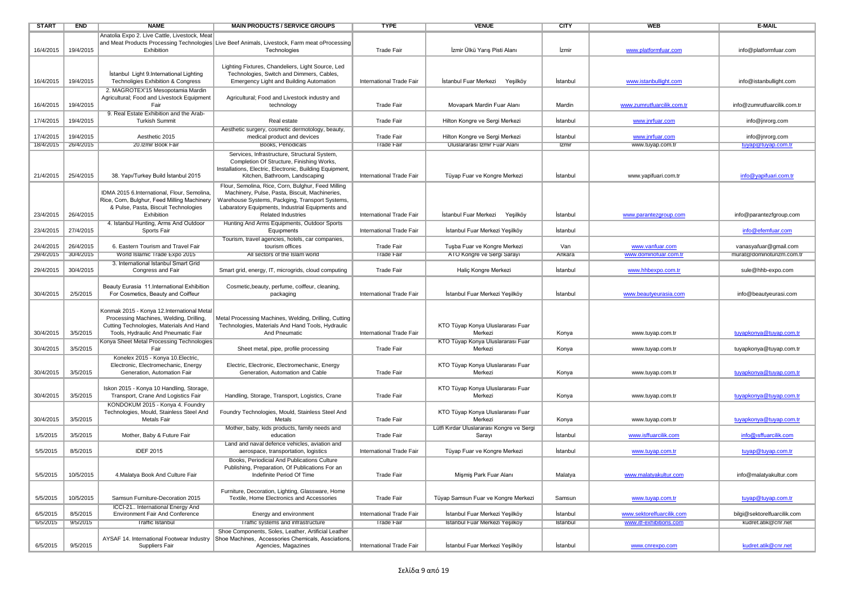| <b>START</b> | <b>END</b>           | <b>NAME</b>                                        | <b>MAIN PRODUCTS / SERVICE GROUPS</b>                                                         | <b>TYPE</b>              | <b>VENUE</b>                              | <b>CITY</b> | WEB                        | <b>E-MAIL</b>               |
|--------------|----------------------|----------------------------------------------------|-----------------------------------------------------------------------------------------------|--------------------------|-------------------------------------------|-------------|----------------------------|-----------------------------|
|              |                      | Anatolia Expo 2. Live Cattle, Livestock, Meat      |                                                                                               |                          |                                           |             |                            |                             |
|              |                      |                                                    | and Meat Products Processing Technologies Live Beef Animals, Livestock, Farm meat oProcessing |                          |                                           |             |                            |                             |
| 16/4/2015    | 19/4/2015            | Exhibition                                         | Technologies                                                                                  | <b>Trade Fair</b>        | İzmir Ülkü Yarış Pisti Alanı              | İzmir       | www.platformfuar.com       | info@platformfuar.com       |
|              |                      |                                                    |                                                                                               |                          |                                           |             |                            |                             |
|              |                      |                                                    | Lighting Fixtures, Chandeliers, Light Source, Led                                             |                          |                                           |             |                            |                             |
|              |                      | İstanbul Light 9. International Lighting           | Technologies, Switch and Dimmers, Cables,                                                     |                          |                                           |             |                            |                             |
| 16/4/2015    | 19/4/2015            | Technoligies Exhibition & Congress                 | Emergency Light and Building Automation                                                       | International Trade Fair | Istanbul Fuar Merkezi<br>Yeşilköy         | Istanbul    | www.istanbullight.com      | info@istanbullight.com      |
|              |                      | 2. MAGROTEX'15 Mesopotamia Mardin                  |                                                                                               |                          |                                           |             |                            |                             |
|              |                      | Agricultural; Food and Livestock Equipment         | Agricultural; Food and Livestock industry and                                                 |                          |                                           |             |                            |                             |
| 16/4/2015    | 19/4/2015            | Fair                                               | technology                                                                                    | <b>Trade Fair</b>        | Movapark Mardin Fuar Alanı                | Mardin      | www.zumrutfuarcilik.com.tr | info@zumrutfuarcilik.com.tr |
|              |                      | 9. Real Estate Exhibition and the Arab-            |                                                                                               |                          |                                           |             |                            |                             |
| 17/4/2015    | 19/4/2015            | <b>Turkish Summit</b>                              | Real estate                                                                                   | Trade Fair               | Hilton Kongre ve Sergi Merkezi            | Istanbul    | www.jnrfuar.com            | info@jnrorg.com             |
|              |                      |                                                    | Aesthetic surgery, cosmetic dermotology, beauty,                                              |                          |                                           |             |                            |                             |
| 17/4/2015    | 19/4/2015            | Aesthetic 2015                                     | medical product and devices                                                                   | Trade Fair               | Hilton Kongre ve Sergi Merkezi            | İstanbul    | www.jnrfuar.com            | info@jnrorg.com             |
| 18/4/2015    | 26/4/2015            | 20.Izmir Book Fair                                 | Books, Periodicals                                                                            | <b>Trade Fair</b>        | Uluslararası Izmir Fuar Alanı             | Izmir       | www.tuyap.com.tr           | tuyap@tuyap.com.tr          |
|              |                      |                                                    | Services, Infrastructure, Structural System,                                                  |                          |                                           |             |                            |                             |
|              |                      |                                                    | Completion Of Structure, Finishing Works,                                                     |                          |                                           |             |                            |                             |
|              |                      |                                                    | Installations, Electric, Electronic, Building Equipment,                                      |                          |                                           |             |                            |                             |
| 21/4/2015    | 25/4/2015            | 38. Yapı/Turkey Build İstanbul 2015                | Kitchen, Bathroom, Landscaping                                                                | International Trade Fair | Tüyap Fuar ve Kongre Merkezi              | İstanbul    | www.yapifuari.com.tr       | info@yapifuari.com.tr       |
|              |                      |                                                    | Flour, Semolina, Rice, Corn, Bulghur, Feed Milling                                            |                          |                                           |             |                            |                             |
|              |                      | IDMA 2015 6.International, Flour, Semolina,        | Machinery, Pulse, Pasta, Biscuit, Machineries,                                                |                          |                                           |             |                            |                             |
|              |                      | Rice, Corn, Bulghur, Feed Milling Machinery        | Warehouse Systems, Packging, Transport Systems,                                               |                          |                                           |             |                            |                             |
| 23/4/2015    | 26/4/2015            | & Pulse, Pasta, Biscuit Technologies<br>Exhibition | Labaratory Equipments, Industrial Equipments and<br><b>Related Industries</b>                 | International Trade Fair | İstanbul Fuar Merkezi<br>Yeşilköy         | Istanbul    | www.parantezgroup.com      | info@parantezfgroup.com     |
|              |                      | 4. Istanbul Hunting, Arms And Outdoor              | Hunting And Arms Equipments, Outdoor Sports                                                   |                          |                                           |             |                            |                             |
| 23/4/2015    | 27/4/2015            | Sports Fair                                        | Equipments                                                                                    | International Trade Fair | İstanbul Fuar Merkezi Yeşilköy            | Istanbul    |                            | info@efemfuar.com           |
|              |                      |                                                    | Tourism, travel agencies, hotels, car companies,                                              |                          |                                           |             |                            |                             |
| 24/4/2015    | 26/4/2015            | 6. Eastern Tourism and Travel Fair                 | tourism offices                                                                               | <b>Trade Fair</b>        | Tuşba Fuar ve Kongre Merkezi              | Van         | www.vanfuar.com            | vanasyafuar@gmail.com       |
| 29/4/2015    | 30/4/2015            | World Islamic Trade Expo 2015                      | All sectors of the Islam world                                                                | <b>Trade Fair</b>        | ATO Kongre ve Sergi Sarayı                | Ankara      | www.dominofuar.com.tr      | murat@dominoturizm.com.tr   |
|              |                      | 3. International Istanbul Smart Grid               |                                                                                               |                          |                                           |             |                            |                             |
| 29/4/2015    | 30/4/2015            | Congress and Fair                                  | Smart grid, energy, IT, microgrids, cloud computing                                           | <b>Trade Fair</b>        | Haliç Kongre Merkezi                      | Istanbul    | www.hhbexpo.com.tr         | sule@hhb-expo.com           |
|              |                      |                                                    |                                                                                               |                          |                                           |             |                            |                             |
|              |                      | Beauty Eurasia 11.International Exhibition         | Cosmetic, beauty, perfume, coiffeur, cleaning,                                                |                          |                                           |             |                            |                             |
| 30/4/2015    | 2/5/2015             | For Cosmetics, Beauty and Coiffeur                 | packaging                                                                                     | International Trade Fair | İstanbul Fuar Merkezi Yeşilköy            | İstanbul    | www.beautyeurasia.com      | info@beautyeurasi.com       |
|              |                      |                                                    |                                                                                               |                          |                                           |             |                            |                             |
|              |                      | Konmak 2015 - Konya 12.International Metal         |                                                                                               |                          |                                           |             |                            |                             |
|              |                      | Processing Machines, Welding, Drilling,            | Metal Processing Machines, Welding, Drilling, Cutting                                         |                          |                                           |             |                            |                             |
|              |                      | Cutting Technologies, Materials And Hand           | Technologies, Materials And Hand Tools, Hydraulic                                             |                          | KTO Tüyap Konya Uluslararası Fuar         |             |                            |                             |
| 30/4/2015    | 3/5/2015             | Tools, Hydraulic And Pneumatic Fair                | And Pneumatic                                                                                 | International Trade Fair | Merkezi                                   | Konya       | www.tuyap.com.tr           | tuyapkonya@tuyap.com.tr     |
|              |                      | Konya Sheet Metal Processing Technologies          |                                                                                               |                          | KTO Tüyap Konya Uluslararası Fuar         |             |                            |                             |
| 30/4/2015    | 3/5/2015             | Fair                                               | Sheet metal, pipe, profile processing                                                         | <b>Trade Fair</b>        | Merkezi                                   | Konya       | www.tuyap.com.tr           | tuyapkonya@tuyap.com.tr     |
|              |                      | Konelex 2015 - Konya 10. Electric,                 |                                                                                               |                          |                                           |             |                            |                             |
|              |                      | Electronic, Electromechanic, Energy                | Electric, Electronic, Electromechanic, Energy                                                 |                          | KTO Tüyap Konya Uluslararası Fuar         |             |                            |                             |
| 30/4/2015    | 3/5/2015             | Generation, Automation Fair                        | Generation, Automation and Cable                                                              | <b>Trade Fair</b>        | Merkezi                                   | Konya       | www.tuyap.com.tr           | tuyapkonya@tuyap.com.tr     |
|              |                      |                                                    |                                                                                               |                          |                                           |             |                            |                             |
|              |                      | Iskon 2015 - Konya 10 Handling, Storage            |                                                                                               |                          | KTO Tüyap Konya Uluslararası Fuar         |             |                            |                             |
| 30/4/2015    | 3/5/2015             | Transport, Crane And Logistics Fair                | Handling, Storage, Transport, Logistics, Crane                                                | <b>Trade Fair</b>        | Merkezi                                   | Konya       | www.tuyap.com.tr           | tuyapkonya@tuyap.com.tr     |
|              |                      | KONDOKUM 2015 - Konya 4. Foundry                   |                                                                                               |                          |                                           |             |                            |                             |
|              |                      | Technologies, Mould, Stainless Steel And           | Foundry Technologies, Mould, Stainless Steel And                                              |                          | KTO Tüyap Konya Uluslararası Fuar         |             |                            |                             |
| 30/4/2015    | 3/5/2015             | Metals Fair                                        | Metals                                                                                        | Trade Fair               | Merkezi                                   | Konya       | www.tuyap.com.tr           | tuyapkonya@tuyap.com.tr     |
|              |                      |                                                    | Mother, baby, kids products, family needs and                                                 |                          | Lütfi Kırdar Uluslararası Kongre ve Sergi |             |                            |                             |
| 1/5/2015     | 3/5/2015             | Mother, Baby & Future Fair                         | education                                                                                     | <b>Trade Fair</b>        | Sarayı                                    | İstanbul    | www.isffuarcilik.com       | info@isffuarcilik.com       |
|              |                      |                                                    | Land and naval defence vehicles, aviation and                                                 |                          |                                           |             |                            |                             |
| 5/5/2015     | 8/5/2015             | <b>IDEF 2015</b>                                   | aerospace, transportation, logistics                                                          | International Trade Fair | Tüyap Fuar ve Kongre Merkezi              | Istanbul    | www.tuyap.com.tr           | tuyap@tuyap.com.tr          |
|              |                      |                                                    | Books, Periodicial And Publications Culture                                                   |                          |                                           |             |                            |                             |
|              | 5/5/2015   10/5/2015 |                                                    | Publishing, Preparation, Of Publications For an<br>Indefinite Period Of Time                  | <b>Trade Fair</b>        |                                           | Malatya     | www.malatyakultur.com      | info@malatyakultur.com      |
|              |                      | 4. Malatya Book And Culture Fair                   |                                                                                               |                          | Mişmiş Park Fuar Alanı                    |             |                            |                             |
|              |                      |                                                    |                                                                                               |                          |                                           |             |                            |                             |
| 5/5/2015     | 10/5/2015            | Samsun Furniture-Decoration 2015                   | Furniture, Decoration, Lighting, Glassware, Home<br>Textile, Home Electronics and Accessories | <b>Trade Fair</b>        | Tüyap Samsun Fuar ve Kongre Merkezi       | Samsun      | www.tuyap.com.tr           | tuyap@tuyap.com.tr          |
|              |                      | ICCI-21 International Energy And                   |                                                                                               |                          |                                           |             |                            |                             |
| 6/5/2015     | 8/5/2015             | Environment Fair And Conference                    | Energy and environment                                                                        | International Trade Fair | İstanbul Fuar Merkezi Yeşilköy            | İstanbul    | www.sektorelfuarcilik.com  | bilgi@sektorelfuarcilik.com |
| 6/5/2015     | 9/5/2015             | <b>Traffic Istanbul</b>                            | Traffic systems and infrastructure                                                            | <b>Trade Fair</b>        | Istanbul Fuar Merkezi Yeşilköy            | Istanbul    | www.itf-exhibitions.com    | kudret.atik@cnr.net         |
|              |                      |                                                    | Shoe Components, Soles, Leather, Artificial Leather                                           |                          |                                           |             |                            |                             |
|              |                      | AYSAF 14. International Footwear Industry          | Shoe Machines, Accessories Chemicals, Assciations,                                            |                          |                                           |             |                            |                             |
| 6/5/2015     | 9/5/2015             | Suppliers Fair                                     | Agencies, Magazines                                                                           | International Trade Fair | İstanbul Fuar Merkezi Yeşilköy            | İstanbul    | www.cnrexpo.com            | kudret.atik@cnr.net         |
|              |                      |                                                    |                                                                                               |                          |                                           |             |                            |                             |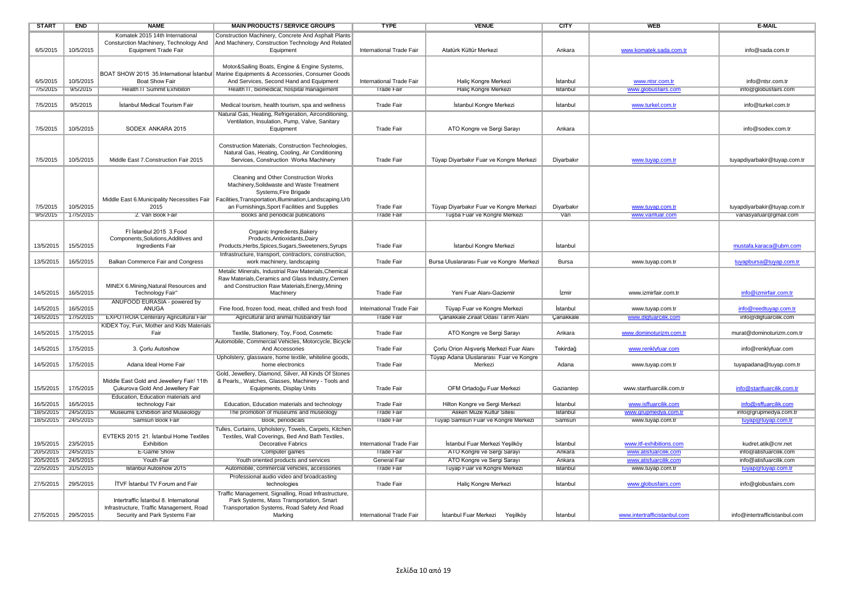| <b>START</b>        | <b>END</b> | <b>NAME</b>                                  | <b>MAIN PRODUCTS / SERVICE GROUPS</b>                                                                                              | <b>TYPE</b>              | <b>VENUE</b>                              | <b>CITY</b> | <b>WEB</b>                   | <b>E-MAIL</b>                 |
|---------------------|------------|----------------------------------------------|------------------------------------------------------------------------------------------------------------------------------------|--------------------------|-------------------------------------------|-------------|------------------------------|-------------------------------|
|                     |            | Komatek 2015 14th International              | Construction Machinery, Concrete And Asphalt Plants                                                                                |                          |                                           |             |                              |                               |
|                     |            | Consturction Machinery, Technology And       | And Machinery, Construction Technology And Related                                                                                 |                          |                                           |             |                              |                               |
| 6/5/2015            | 10/5/2015  | <b>Equipment Trade Fair</b>                  | Equipment                                                                                                                          | International Trade Fair | Atatürk Kültür Merkezi                    | Ankara      | www.komatek.sada.com.tr      | info@sada.com.tr              |
|                     |            |                                              |                                                                                                                                    |                          |                                           |             |                              |                               |
|                     |            |                                              | Motor&Sailing Boats, Engine & Engine Systems,                                                                                      |                          |                                           |             |                              |                               |
|                     |            |                                              | BOAT SHOW 2015 35. International Istanbul   Marine Equipments & Accessories, Consumer Goods                                        |                          |                                           |             |                              |                               |
| 6/5/2015            | 10/5/2015  | <b>Boat Show Fair</b>                        | And Services, Second Hand and Equipment                                                                                            | International Trade Fair | Haliç Kongre Merkezi                      | İstanbul    | www.ntsr.com.tr              | info@ntsr.com.tr              |
| 1/5/2015            | 9/5/2015   | Health II Summit Exhibiton                   | Health II, biomedical, hospital management                                                                                         | Trade Fair               | Halic Kongre Merkezi                      | Istanbul    | www.globustairs.com          | into@globustairs.com          |
|                     |            |                                              |                                                                                                                                    |                          |                                           |             |                              |                               |
| 7/5/2015            | 9/5/2015   | İstanbul Medical Tourism Fair                | Medical tourism, health tourism, spa and wellness                                                                                  | Trade Fair               | İstanbul Kongre Merkezi                   | Istanbul    | www.turkel.com.tr            | info@turkel.com.tr            |
|                     |            |                                              | Natural Gas, Heating, Refrigeration, Airconditioning,                                                                              |                          |                                           |             |                              |                               |
|                     |            |                                              | Ventilation, Insulation, Pump, Valve, Sanitary                                                                                     |                          |                                           |             |                              |                               |
| 7/5/2015            | 10/5/2015  | SODEX ANKARA 2015                            | Equipment                                                                                                                          | <b>Trade Fair</b>        | ATO Kongre ve Sergi Sarayı                | Ankara      |                              | info@sodex.com.tr             |
|                     |            |                                              |                                                                                                                                    |                          |                                           |             |                              |                               |
|                     |            |                                              | Construction Materials, Construction Technologies.                                                                                 |                          |                                           |             |                              |                               |
|                     |            |                                              | Natural Gas, Heating, Cooling, Air Conditioning                                                                                    |                          |                                           |             |                              |                               |
| 7/5/2015            | 10/5/2015  | Middle East 7. Construction Fair 2015        | Services, Construction Works Machinery                                                                                             | <b>Trade Fair</b>        | Tüyap Diyarbakır Fuar ve Kongre Merkezi   | Diyarbakır  | www.tuyap.com.tr             | tuyapdiyarbakir@tuyap.com.tr  |
|                     |            |                                              |                                                                                                                                    |                          |                                           |             |                              |                               |
|                     |            |                                              | Cleaning and Other Construction Works                                                                                              |                          |                                           |             |                              |                               |
|                     |            |                                              | Machinery, Solidwaste and Waste Treatment                                                                                          |                          |                                           |             |                              |                               |
|                     |            |                                              | Systems, Fire Brigade<br>Middle East 6. Municipality Necessities Fair   Facilities, Transportation, Illumination, Landscaping, Urb |                          |                                           |             |                              |                               |
| 7/5/2015            | 10/5/2015  | 2015                                         | an Furnishings, Sport Facilities and Supplies                                                                                      | <b>Trade Fair</b>        | Tüyap Diyarbakır Fuar ve Kongre Merkezi   | Diyarbakır  | www.tuyap.com.tr             | tuyapdiyarbakir@tuyap.com.tr  |
| 9/5/2015            | 17/5/2015  | 2. Van Book Fair                             | Books and periodical publications                                                                                                  | <b>Trade Fair</b>        | Tuşba Fuar ve Kongre Merkezi              | Van         | www.vanfuar.com              | vanasyafuar@gmail.com         |
|                     |            |                                              |                                                                                                                                    |                          |                                           |             |                              |                               |
|                     |            | FI İstanbul 2015 3.Food                      |                                                                                                                                    |                          |                                           |             |                              |                               |
|                     |            | Components, Solutions, Additives and         | Organic Ingredients, Bakery<br>Products, Antioxidants, Dairy                                                                       |                          |                                           |             |                              |                               |
| 13/5/2015           | 15/5/2015  | Ingredients Fair                             | Products, Herbs, Spices, Sugars, Sweeteners, Syrups                                                                                | <b>Trade Fair</b>        | İstanbul Kongre Merkezi                   | İstanbul    |                              | mustafa.karaca@ubm.com        |
|                     |            |                                              | Infrastructure, transport, contractors, construction,                                                                              |                          |                                           |             |                              |                               |
| 13/5/2015           | 16/5/2015  | Balkan Commerce Fair and Congress            | work machinery, landscaping                                                                                                        | <b>Trade Fair</b>        | Bursa Uluslararası Fuar ve Kongre Merkezi | Bursa       | www.tuyap.com.tr             | tuyapbursa@tuyap.com.tr       |
|                     |            |                                              |                                                                                                                                    |                          |                                           |             |                              |                               |
|                     |            |                                              | Metalic Minerals, Industrial Raw Materials, Chemical<br>Raw Materials, Ceramics and Glass Industry, Cemen                          |                          |                                           |             |                              |                               |
|                     |            | MINEX 6.Mining, Natural Resources and        | and Construction Raw Materials, Energy, Mining                                                                                     |                          |                                           |             |                              |                               |
| 14/5/2015           | 16/5/2015  | Technology Fair"                             | Machinery                                                                                                                          | <b>Trade Fair</b>        | Yeni Fuar Alanı-Gaziemir                  | İzmir       | www.izmirfair.com.tr         | info@izmirfair.com.tr         |
|                     |            | ANUFOOD EURASIA - powered by                 |                                                                                                                                    |                          |                                           |             |                              |                               |
| 14/5/2015           | 16/5/2015  | ANUGA                                        | Fine food, frozen food, meat, chilled and fresh food                                                                               | International Trade Fair | Tüyap Fuar ve Kongre Merkezi              | İstanbul    | www.tuyap.com.tr             | info@reedtuyap.com.tr         |
| 14/5/2015           | 17/5/2015  | <b>EXPOTROIA Centerary Agricultural Fair</b> | Agricultural and animal husbandry fair                                                                                             | <b>Trade Fair</b>        | Canakkale Ziraat Odası Tarım Alanı        | Canakkale   | www.dlgfuarcilik.com         | info@dlqfuarcilik.com         |
|                     |            | KIDEX Toy, Fun, Mother and Kids Materials    |                                                                                                                                    |                          |                                           |             |                              |                               |
| 14/5/2015           | 17/5/2015  | Fair                                         | Textile, Stationery, Toy, Food, Cosmetic                                                                                           | <b>Trade Fair</b>        | ATO Kongre ve Sergi Sarayı                | Ankara      | www.dominoturizm.com.tr      | murat@dominoturizm.com.tr     |
|                     |            |                                              | Automobile, Commercial Vehicles, Motorcycle, Bicycle                                                                               |                          |                                           |             |                              |                               |
| 14/5/2015           | 17/5/2015  | 3. Corlu Autoshow                            | And Accessories                                                                                                                    | <b>Trade Fair</b>        | Corlu Orion Alışveriş Merkezi Fuar Alanı  | Tekirdağ    | www.renklyfuar.com           | info@renklyfuar.com           |
|                     |            |                                              | Upholstery, glassware, home textile, whiteline goods,                                                                              |                          | Tüyap Adana Uluslararası Fuar ve Kongre   |             |                              |                               |
| 14/5/2015           | 17/5/2015  | Adana Ideal Home Fair                        | home electronics                                                                                                                   | <b>Trade Fair</b>        | Merkezi                                   | Adana       | www.tuyap.com.tr             | tuyapadana@tuyap.com.tr       |
|                     |            |                                              | Gold, Jewellery, Diamond, Silver, All Kinds Of Stones                                                                              |                          |                                           |             |                              |                               |
|                     |            | Middle East Gold and Jewellery Fair/ 11th    | & Pearls,, Watches, Glasses, Machinery - Tools and                                                                                 |                          |                                           |             |                              |                               |
| 15/5/2015           | 17/5/2015  | <b>Cukurova Gold And Jewellery Fair</b>      | Equipments, Display Units                                                                                                          | Trade Fair               | OFM Ortadoğu Fuar Merkezi                 | Gaziantep   | www.startfuarcilik.com.tr    | info@startfuarcilik.com.tr    |
|                     |            | Education, Education materials and           |                                                                                                                                    |                          |                                           |             |                              |                               |
| 16/5/2015           | 16/5/2015  | technology Fair                              | Education, Education materials and technology                                                                                      | <b>Trade Fair</b>        | Hilton Kongre ve Sergi Merkezi            | İstanbul    | www.isffuarcilik.com         | info@isffuarcilik.com         |
| 18/5/2015           | 24/5/2015  | Museums Exhibition and Museology             | The promotion of museums and museology                                                                                             | Trade Fair               | <b>Askeri Müze Kultur Sitesi</b>          | Istanbul    | www.grupmedya.com.tr         | into@grupmedya.com.tr         |
| 18/5/2015           | 24/5/2015  | Samsun Book Fair                             | Book, periodicals                                                                                                                  | <b>Trade Fair</b>        | Tüyap Samsun Fuar ve Kongre Merkezi       | Samsun      | www.tuyap.com.tr             | tuyap@tuyap.com.tr            |
|                     |            |                                              | Fulles, Curtains, Upholstery, Towels, Carpets, Kitchen                                                                             |                          |                                           |             |                              |                               |
|                     |            | EVTEKS 2015 21. İstanbul Home Textiles       | Textiles, Wall Coverings, Bed And Bath Textiles,                                                                                   |                          |                                           |             |                              |                               |
| 19/5/2015           | 23/5/2015  | Exhibition                                   | <b>Decorative Fabrics</b>                                                                                                          | International Trade Fair | İstanbul Fuar Merkezi Yeşilköy            | İstanbul    | www.itf-exhibitions.com      | kudret.atik@cnr.net           |
| 20/5/2015           | 24/5/2015  | E-Game Show                                  | Computer games                                                                                                                     | <b>Trade Fair</b>        | ATO Kongre ve Sergi Sarayı                | Ankara      | www.atisfuarcilik.com        | info@atisfuarcilik.com        |
| 20/5/2015           | 24/5/2015  | Youth Fair                                   | Youth oriented products and services                                                                                               | General Fair             | ATO Kongre ve Sergi Sarayi                | Ankara      | www.atisfuarcilik.com        | into@atistuarcilik.com        |
| 22/5/2015           | 31/5/2015  | Istanbul Autoshow 2015                       | Automobile, commercial vehicles, accessories                                                                                       | <b>Trade Fair</b>        | Tüyap Fuar ve Kongre Merkezi              | Istanbul    | www.tuyap.com.tr             | tuyap@tuyap.com.tr            |
|                     |            |                                              | Professional audio video and broadcasting                                                                                          |                          |                                           |             |                              |                               |
| 27/5/2015           | 29/5/2015  | <b>ITVF Istanbul TV Forum and Fair</b>       | technologies                                                                                                                       | <b>Trade Fair</b>        | Halic Kongre Merkezi                      | İstanbul    | www.globusfairs.com          | info@globusfairs.com          |
|                     |            |                                              | Traffic Management, Signalling, Road Infrastructure,                                                                               |                          |                                           |             |                              |                               |
|                     |            | Intertraffic Istanbul 8. International       | Park Systems, Mass Transportation, Smart                                                                                           |                          |                                           |             |                              |                               |
|                     |            | Infrastructure, Traffic Management, Road     | Transportation Systems, Road Safety And Road                                                                                       |                          |                                           |             |                              |                               |
| 27/5/2015 29/5/2015 |            | Security and Park Systems Fair               | Marking                                                                                                                            | International Trade Fair | İstanbul Fuar Merkezi<br>Yeşilköy         | İstanbul    | www.intertrafficistanbul.com | info@intertrafficistanbul.com |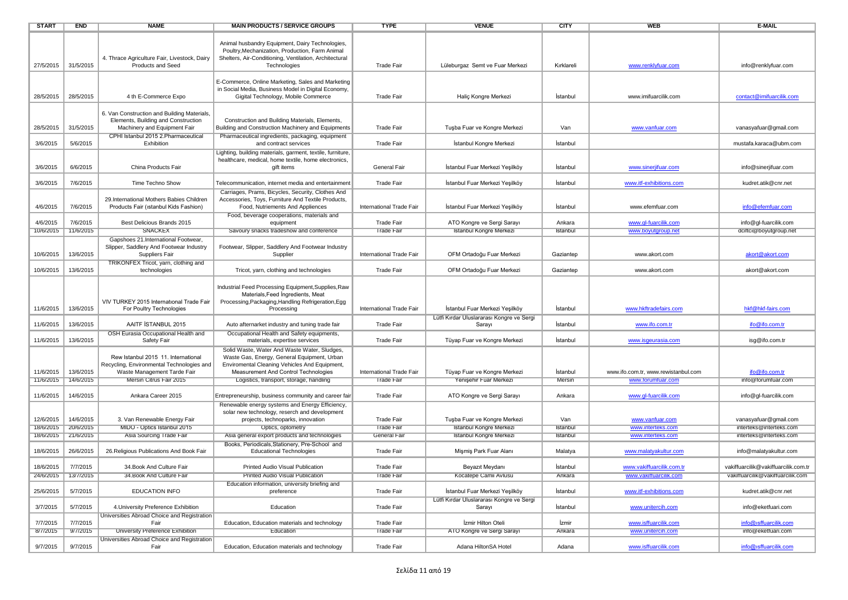| <b>START</b>        | <b>END</b> | <b>NAME</b>                                                                       | <b>MAIN PRODUCTS / SERVICE GROUPS</b>                                                                                                                                        | <b>TYPE</b>              | <b>VENUE</b>                                                                | <b>CITY</b> | <b>WEB</b>                          | <b>E-MAIL</b>                        |
|---------------------|------------|-----------------------------------------------------------------------------------|------------------------------------------------------------------------------------------------------------------------------------------------------------------------------|--------------------------|-----------------------------------------------------------------------------|-------------|-------------------------------------|--------------------------------------|
| 27/5/2015           | 31/5/2015  | 4. Thrace Agriculture Fair, Livestock, Dairy<br><b>Products and Seed</b>          | Animal husbandry Equipment, Dairy Technologies,<br>Poultry, Mechanization, Production, Farm Animal<br>Shelters, Air-Conditioning, Ventilation, Architectural<br>Technologies | <b>Trade Fair</b>        | Lüleburgaz Semt ve Fuar Merkezi                                             | Kırklareli  | www.renklyfuar.com                  | info@renklyfuar.com                  |
| 28/5/2015           | 28/5/2015  | 4 th E-Commerce Expo                                                              | E-Commerce, Online Marketing, Sales and Marketing<br>in Social Media, Business Model in Digital Economy,<br>Gigital Technology, Mobile Commerce                              | <b>Trade Fair</b>        | Halic Kongre Merkezi                                                        | Istanbul    | www.imifuarcilik.com                | contact@imifuarcilik.com             |
|                     |            | 6. Van Construction and Building Materials,                                       |                                                                                                                                                                              |                          |                                                                             |             |                                     |                                      |
| 28/5/2015           | 31/5/2015  | Elements, Building and Construction<br>Machinery and Equipment Fair               | Construction and Building Materials, Elements,<br>Building and Construction Machinery and Equipments                                                                         | <b>Trade Fair</b>        | Tuşba Fuar ve Kongre Merkezi                                                | Van         | www.vanfuar.com                     | vanasyafuar@gmail.com                |
| 3/6/2015            | 5/6/2015   | CPHI Istanbul 2015 2.Pharmaceutical<br>Exhibition                                 | Pharmaceutical ingredients, packaging, equipment<br>and contract services                                                                                                    | <b>Trade Fair</b>        | İstanbul Kongre Merkezi                                                     | İstanbul    |                                     | mustafa.karaca@ubm.com               |
| 3/6/2015            | 6/6/2015   | China Products Fair                                                               | Lighting, building materials, garment, textile, furniture,<br>healthcare, medical, home textile, home electronics,<br>gift items                                             | General Fair             | İstanbul Fuar Merkezi Yeşilköy                                              | Istanbul    | www.sinerjifuar.com                 | info@sinerjifuar.com                 |
| 3/6/2015            | 7/6/2015   | Time Techno Show                                                                  | Telecommunication, internet media and entertainment                                                                                                                          | <b>Trade Fair</b>        | İstanbul Fuar Merkezi Yeşilköy                                              | İstanbul    | www.itf-exhibitions.com             | kudret.atik@cnr.net                  |
| 4/6/2015            | 7/6/2015   | 29.International Mothers Babies Children<br>Products Fair (istanbul Kids Fashion) | Carriages, Prams, Bicycles, Security, Clothes And<br>Accessories, Toys, Furniture And Textile Products,<br>Food, Nutriements And Appliences                                  | International Trade Fair | İstanbul Fuar Merkezi Yeşilköy                                              | İstanbul    | www.efemfuar.com                    | info@efemfuar.com                    |
| 4/6/2015            | 7/6/2015   | Best Delicious Brands 2015                                                        | Food, beverage cooperations, materials and<br>equipment                                                                                                                      | Trade Fair               | ATO Kongre ve Sergi Sarayı                                                  | Ankara      | www.gl-fuarcilik.com                | info@gl-fuarcilik.com                |
| 10/6/2015           | 11/6/2015  | <b>SNACKEX</b>                                                                    | Savoury snacks tradeshow and conference                                                                                                                                      | <b>Trade Fair</b>        | Istanbul Kongre Merkezi                                                     | Istanbul    | www.boyutgroup.net                  | dciftci@boyutgroup.net               |
|                     |            | Gapshoes 21.International Footwear,                                               |                                                                                                                                                                              |                          |                                                                             |             |                                     |                                      |
| 10/6/2015           | 13/6/2015  | Slipper, Saddlery And Footwear Industry<br>Suppliers Fair                         | Footwear, Slipper, Saddlery And Footwear Industry<br>Supplier                                                                                                                | International Trade Fair | OFM Ortadoğu Fuar Merkezi                                                   | Gaziantep   | www.akort.com                       | akort@akort.com                      |
| 10/6/2015           | 13/6/2015  | TRIKONFEX Tricot, yarn, clothing and<br>technologies                              | Tricot, yarn, clothing and technologies                                                                                                                                      | <b>Trade Fair</b>        | OFM Ortadoğu Fuar Merkezi                                                   | Gaziantep   | www.akort.com                       | akort@akort.com                      |
| 11/6/2015           | 13/6/2015  | VIV TURKEY 2015 International Trade Fair<br>For Poultry Technologies              | Industrial Feed Processing Equipment, Supplies, Raw<br>Materials, Feed Ingredients, Meat<br>Processing, Packaging, Handling Refrigeration, Egg<br>Processing                 | International Trade Fair | İstanbul Fuar Merkezi Yeşilköy                                              | İstanbul    | www.hkftradefairs.com               | hkf@hkf-fairs.com                    |
| 11/6/2015           | 13/6/2015  | AAITF ISTANBUL 2015                                                               | Auto afternarket industry and tuning trade fair                                                                                                                              | <b>Trade Fair</b>        | Lütfi Kırdar Uluslararası Kongre ve Sergi<br>Sarayı                         | Istanbul    | www.ifo.com.tr                      | ifo@ifo.com.tr                       |
| 11/6/2015           | 13/6/2015  | OSH Eurasia Occupational Health and<br>Safety Fair                                | Occupational Health and Safety equipments,<br>materials, expertise services                                                                                                  | <b>Trade Fair</b>        | Tüyap Fuar ve Kongre Merkezi                                                | İstanbul    | www.isgeurasia.com                  | isg@ifo.com.tr                       |
|                     |            | Rew Istanbul 2015 11. International<br>Recycling, Environmental Technologies and  | Solid Waste, Water And Waste Water, Sludges,<br>Waste Gas, Energy, General Equipment, Urban<br>Enviromental Cleaning Vehicles And Equipment,                                 |                          |                                                                             |             |                                     |                                      |
| 11/6/2015           | 13/6/2015  | Waste Management Tarde Fair                                                       | Measurement And Control Technologies                                                                                                                                         | International Trade Fair | Tüyap Fuar ve Kongre Merkezi                                                | İstanbul    | www.ifo.com.tr, www.rewistanbul.com | ifo@ifo.com.tr                       |
| 11/6/2015           | 14/6/2015  | Mersin Citrus Fair 2015                                                           | Logistics, transport, storage, handling                                                                                                                                      | Trade Fair               | Yenişehir Fuar Merkezi                                                      | Mersin      | www.forumfuar.com                   | into@torumtuar.com                   |
| 11/6/2015           | 14/6/2015  | Ankara Career 2015                                                                | Entrepreneurship, business community and career fair                                                                                                                         | <b>Trade Fair</b>        | ATO Kongre ve Sergi Sarayı                                                  | Ankara      | www.gl-fuarcilik.com                | info@gl-fuarcilik.com                |
| 12/6/2015           | 14/6/2015  | 3. Van Renewable Energy Fair                                                      | Renewable energy systems and Energy Efficiency,<br>solar new technology, reserch and development<br>projects, technoparks, innovation                                        | Trade Fair               | Tuşba Fuar ve Kongre Merkezi                                                | Van         | www.vanfuar.com                     | vanasyafuar@gmail.com                |
| 18/6/2015           | 20/6/2015  | MIDO - Optics Istanbul 2015                                                       | Optics, optometry                                                                                                                                                            | <b>Trade Fair</b>        | Istanbul Kongre Merkezi                                                     | Istanbul    | www.interteks.com                   | interteks@interteks.com              |
| 18/6/2015           | 21/6/2015  | Asia Sourcing Trade Fair                                                          | Asia general export products and technologies<br>Books, Periodicals, Stationery, Pre-School and                                                                              | <b>General Fair</b>      | Istanbul Kongre Merkezi                                                     | Istanbul    | www.interteks.com                   | interteks@interteks.com              |
| 18/6/2015           | 26/6/2015  | 26. Religious Publications And Book Fair                                          | <b>Educational Technologies</b>                                                                                                                                              | <b>Trade Fair</b>        | Mişmiş Park Fuar Alanı                                                      | Malatya     | www.malatyakultur.com               | info@malatyakultur.com               |
| 18/6/2015           | 7/7/2015   | 34. Book And Culture Fair                                                         | Printed Audio Visual Publication                                                                                                                                             | Trade Fair               | Beyazıt Meydanı                                                             | Istanbul    | www.vakiffuarcilik.com.tr           | vakiffuarcilik@vakiffuarcilik.com.tr |
| 24/6/2015 13/7/2015 |            | 34. Book And Culture Fair                                                         | Printed Audio Visual Publication                                                                                                                                             | <b>Trade Fair</b>        | Kocatepe Camii Avlusu                                                       | Ankara      | www.vakiffuarcilik.com              | vakiffuarcilik@vakiffuarcilik.com    |
| 25/6/2015           | 5/7/2015   | <b>EDUCATION INFO</b>                                                             | Education information, university briefing and<br>preference                                                                                                                 | Trade Fair               | İstanbul Fuar Merkezi Yeşilköy<br>Lütfi Kırdar Uluslararası Kongre ve Sergi | İstanbul    | www.itf-exhibitions.com             | kudret.atik@cnr.net                  |
| 3/7/2015            | 5/7/2015   | 4. University Preference Exhibition                                               | Education                                                                                                                                                                    | Trade Fair               | Sarayı                                                                      | İstanbul    | www.unitercih.com                   | info@eketfuari.com                   |
| 7/7/2015            | 7/7/2015   | Universities Abroad Choice and Registration<br>Fair                               | Education, Education materials and technology                                                                                                                                | <b>Trade Fair</b>        | Izmir Hilton Oteli                                                          | İzmir       | www.isffuarcilik.com                | info@isffuarcilik.com                |
| 8/7/2015            | 9/7/2015   | University Preference Exhibition                                                  | Education                                                                                                                                                                    | I rade Fair              | ATO Kongre ve Sergi Sarayi                                                  | Ankara      | www.unitercih.com                   | into@ekettuari.com                   |
| 9/7/2015            | 9/7/2015   | Universities Abroad Choice and Registration<br>Fair                               | Education, Education materials and technology                                                                                                                                | Trade Fair               | Adana HiltonSA Hotel                                                        | Adana       | www.isffuarcilik.com                | info@isffuarcilik.com                |
|                     |            |                                                                                   |                                                                                                                                                                              |                          |                                                                             |             |                                     |                                      |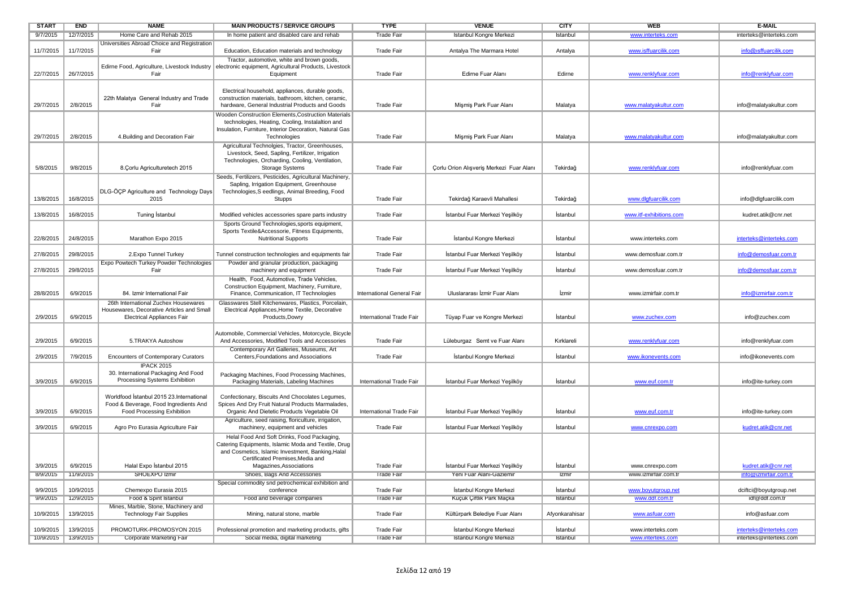| <b>START</b>         | <b>END</b>            | <b>NAME</b>                                                         | <b>MAIN PRODUCTS / SERVICE GROUPS</b>                                                                              | <b>TYPE</b>                            | <b>VENUE</b>                                               | <b>CITY</b>       | <b>WEB</b>                              | E-MAIL                                       |
|----------------------|-----------------------|---------------------------------------------------------------------|--------------------------------------------------------------------------------------------------------------------|----------------------------------------|------------------------------------------------------------|-------------------|-----------------------------------------|----------------------------------------------|
| 9/7/2015             | 12/7/2015             | Home Care and Rehab 2015                                            | In home patient and disabled care and rehab                                                                        | I rade Fair                            | Istanbul Kongre Merkezi                                    | Istanbul          | www.interteks.com                       | interteks@interteks.com                      |
| 11/7/2015            | 11/7/2015             | Universities Abroad Choice and Registration<br>Fair                 | Education, Education materials and technology                                                                      | <b>Trade Fair</b>                      | Antalya The Marmara Hotel                                  | Antalya           | www.isffuarcilik.com                    | info@isffuarcilik.com                        |
|                      |                       |                                                                     | Tractor, automotive, white and brown goods,                                                                        |                                        |                                                            |                   |                                         |                                              |
| 22/7/2015            | 26/7/2015             | Fair                                                                | Edirne Food, Agriculture, Livestock Industry   electronic equipment, Agricultural Products, Livestock<br>Equipment | <b>Trade Fair</b>                      | Edirne Fuar Alanı                                          | Edirne            | www.renklyfuar.com                      | info@renklyfuar.com                          |
|                      |                       |                                                                     |                                                                                                                    |                                        |                                                            |                   |                                         |                                              |
|                      |                       |                                                                     | Electrical household, appliances, durable goods,                                                                   |                                        |                                                            |                   |                                         |                                              |
| 29/7/2015            | 2/8/2015              | 22th Malatya General Industry and Trade<br>Fair                     | construction materials, bathroom, kitchen, ceramic,<br>hardware, General Industrial Products and Goods             | <b>Trade Fair</b>                      | Mişmiş Park Fuar Alanı                                     | Malatya           | www.malatyakultur.com                   | info@malatyakultur.com                       |
|                      |                       |                                                                     | Wooden Construction Elements, Costruction Materials                                                                |                                        |                                                            |                   |                                         |                                              |
|                      |                       |                                                                     | technologies, Heating, Cooling, Instalaltion and                                                                   |                                        |                                                            |                   |                                         |                                              |
|                      |                       |                                                                     | Insulation, Furniture, Interior Decoration, Natural Gas                                                            |                                        |                                                            |                   |                                         |                                              |
| 29/7/2015            | 2/8/2015              | 4. Building and Decoration Fair                                     | Technologies                                                                                                       | Trade Fair                             | Mişmiş Park Fuar Alanı                                     | Malatya           | www.malatyakultur.com                   | info@malatyakultur.com                       |
|                      |                       |                                                                     | Agricultural Technolgies, Tractor, Greenhouses,                                                                    |                                        |                                                            |                   |                                         |                                              |
|                      |                       |                                                                     | Livestock, Seed, Sapling, Fertilizer, Irrigation                                                                   |                                        |                                                            |                   |                                         |                                              |
| 5/8/2015             | 9/8/2015              | 8. Çorlu Agriculturetech 2015                                       | Technologies, Orcharding, Cooling, Ventilation,<br><b>Storage Systems</b>                                          | <b>Trade Fair</b>                      | Çorlu Orion Alışveriş Merkezi Fuar Alanı                   | Tekirdağ          | www.renklyfuar.com                      | info@renklyfuar.com                          |
|                      |                       |                                                                     | Seeds, Fertilizers, Pesticides, Agricultural Machinery,                                                            |                                        |                                                            |                   |                                         |                                              |
|                      |                       |                                                                     | Sapling, Irrigation Equipment, Greenhouse                                                                          |                                        |                                                            |                   |                                         |                                              |
|                      |                       | DLG-ÖÇP Agriculture and Technology Days                             | Technologies, S eedlings, Animal Breeding, Food                                                                    |                                        |                                                            |                   |                                         |                                              |
| 13/8/2015            | 16/8/2015             | 2015                                                                | Stupps                                                                                                             | <b>Trade Fair</b>                      | Tekirdağ Karaevli Mahallesi                                | Tekirdağ          | www.dlgfuarcilik.com                    | info@dlgfuarcilik.com                        |
|                      |                       |                                                                     |                                                                                                                    |                                        |                                                            |                   |                                         |                                              |
| 13/8/2015            | 16/8/2015             | Tuning Istanbul                                                     | Modified vehicles accessories spare parts industry                                                                 | <b>Trade Fair</b>                      | İstanbul Fuar Merkezi Yeşilköy                             | İstanbul          | www.itf-exhibitions.com                 | kudret.atik@cnr.net                          |
|                      |                       |                                                                     | Sports Ground Technologies, sports equipment,<br>Sports Textile&Accessorie, Fitness Equipments,                    |                                        |                                                            |                   |                                         |                                              |
| 22/8/2015            | 24/8/2015             | Marathon Expo 2015                                                  | <b>Nutritional Supports</b>                                                                                        | <b>Trade Fair</b>                      | İstanbul Kongre Merkezi                                    | İstanbul          | www.interteks.com                       | interteks@interteks.com                      |
|                      |                       |                                                                     |                                                                                                                    |                                        |                                                            |                   |                                         |                                              |
| 27/8/2015            | 29/8/2015             | 2. Expo Tunnel Turkey                                               | Tunnel construction technologies and equipments fair                                                               | <b>Trade Fair</b>                      | İstanbul Fuar Merkezi Yeşilköy                             | İstanbul          | www.demosfuar.com.tr                    | info@demosfuar.com.tr                        |
|                      |                       | Expo Powtech Turkey Powder Technologies                             | Powder and granular production, packaging                                                                          |                                        |                                                            |                   |                                         |                                              |
| 27/8/2015            | 29/8/2015             | Fair                                                                | machinery and equipment                                                                                            | <b>Trade Fair</b>                      | İstanbul Fuar Merkezi Yeşilköy                             | İstanbul          | www.demosfuar.com.tr                    | info@demosfuar.com.tr                        |
|                      |                       |                                                                     | Health, Food, Automotive, Trade Vehicles,                                                                          |                                        |                                                            |                   |                                         |                                              |
| 28/8/2015            | 6/9/2015              | 84. Izmir International Fair                                        | Construction Equipment, Machinery, Furniture,<br>Finance, Communication, IT Technologies                           | International General Fair             | Uluslararası İzmir Fuar Alanı                              | İzmir             | www.izmirfair.com.tr                    | info@izmirfair.com.tr                        |
|                      |                       | 26th International Zuchex Housewares                                | Glasswares Stell Kitchenwares, Plastics, Porcelain.                                                                |                                        |                                                            |                   |                                         |                                              |
|                      |                       | Housewares, Decorative Articles and Small                           | Electrical Appliances, Home Textile, Decorative                                                                    |                                        |                                                            |                   |                                         |                                              |
| 2/9/2015             | 6/9/2015              | <b>Electrical Appliances Fair</b>                                   | Products, Dowry                                                                                                    | International Trade Fair               | Tüyap Fuar ve Kongre Merkezi                               | İstanbul          | www.zuchex.com                          | info@zuchex.com                              |
|                      |                       |                                                                     |                                                                                                                    |                                        |                                                            |                   |                                         |                                              |
|                      |                       |                                                                     | Automobile, Commercial Vehicles, Motorcycle, Bicycle                                                               |                                        |                                                            |                   |                                         |                                              |
| 2/9/2015             | 6/9/2015              | 5.TRAKYA Autoshow                                                   | And Accessories, Modified Tools and Accessories                                                                    | <b>Trade Fair</b>                      | Lüleburgaz Semt ve Fuar Alanı                              | Kırklareli        | www.renklyfuar.com                      | info@renklyfuar.com                          |
| 2/9/2015             | 7/9/2015              | <b>Encounters of Contemporary Curators</b>                          | Contemporary Art Galleries, Museums, Art<br>Centers, Foundations and Associations                                  | <b>Trade Fair</b>                      | İstanbul Kongre Merkezi                                    | İstanbul          | www.ikonevents.com                      | info@ikonevents.com                          |
|                      |                       | <b>IPACK 2015</b>                                                   |                                                                                                                    |                                        |                                                            |                   |                                         |                                              |
|                      |                       | 30. International Packaging And Food                                | Packaging Machines, Food Processing Machines,                                                                      |                                        |                                                            |                   |                                         |                                              |
| 3/9/2015             | 6/9/2015              | Processing Systems Exhibition                                       | Packaging Materials, Labeling Machines                                                                             | International Trade Fair               | İstanbul Fuar Merkezi Yeşilköy                             | İstanbul          | www.euf.com.tr                          | info@ite-turkey.com                          |
|                      |                       |                                                                     |                                                                                                                    |                                        |                                                            |                   |                                         |                                              |
|                      |                       | Worldfood İstanbul 2015 23. International                           | Confectionary, Biscuits And Chocolates Legumes,                                                                    |                                        |                                                            |                   |                                         |                                              |
| 3/9/2015             | 6/9/2015              | Food & Beverage, Food Ingredients And<br>Food Processing Exhibition | Spices And Dry Fruit Natural Products Marmalades,                                                                  | International Trade Fair               | İstanbul Fuar Merkezi Yeşilköy                             | İstanbul          |                                         | info@ite-turkey.com                          |
|                      |                       |                                                                     | Organic And Dietetic Products Vegetable Oil<br>Agriculture, seed raising, floriculture, irrigation,                |                                        |                                                            |                   | www.euf.com.tr                          |                                              |
| 3/9/2015             | 6/9/2015              | Agro Pro Eurasia Agriculture Fair                                   | machinery, equipment and vehicles                                                                                  | <b>Trade Fair</b>                      | İstanbul Fuar Merkezi Yeşilköy                             | İstanbul          | www.cnrexpo.com                         | kudret.atik@cnr.net                          |
|                      |                       |                                                                     | Helal Food And Soft Drinks, Food Packaging,                                                                        |                                        |                                                            |                   |                                         |                                              |
|                      |                       |                                                                     | Catering Equipments, Islamic Moda and Textile, Drug                                                                |                                        |                                                            |                   |                                         |                                              |
|                      |                       |                                                                     | and Cosmetics, Islamic Investment, Banking, Halal                                                                  |                                        |                                                            |                   |                                         |                                              |
|                      |                       |                                                                     | Certificated Premises, Media and                                                                                   |                                        |                                                            |                   |                                         |                                              |
| 3/9/2015<br>8/9/2015 | 6/9/2015<br>11/9/2015 | Halal Expo İstanbul 2015<br>SHOEXPO Izmir                           | Magazines, Associations<br>Shoes, Bags And Accessories                                                             | <b>Trade Fair</b><br><b>Trade Fair</b> | İstanbul Fuar Merkezi Yeşilköy<br>Yeni Fuar Alanı-Gaziemir | İstanbul<br>Izmir | www.cnrexpo.com<br>www.izmirfair.com.tr | kudret.atik@cnr.net<br>into@izmirtair.com.tr |
|                      |                       |                                                                     | Special commodity snd petrochemical exhibition and                                                                 |                                        |                                                            |                   |                                         |                                              |
| 9/9/2015             | 10/9/2015             | Chemexpo Eurasia 2015                                               | conference                                                                                                         | <b>Trade Fair</b>                      | İstanbul Kongre Merkezi                                    | İstanbul          | www.boyutgroup.net                      | dciftci@boyutgroup.net                       |
| 9/9/2015             | 12/9/2015             | Food & Spirit Istanbul                                              | Food and beverage companies                                                                                        | <b>Trade Fair</b>                      | Küçük Çiftlik Park Maçka                                   | Istanbul          | www.ddf.com.tr                          | idf@ddf.com.tr                               |
|                      |                       | Mines, Marble, Stone, Machinery and                                 |                                                                                                                    |                                        |                                                            |                   |                                         |                                              |
| 10/9/2015            | 13/9/2015             | <b>Technology Fair Supplies</b>                                     | Mining, natural stone, marble                                                                                      | <b>Trade Fair</b>                      | Kültürpark Belediye Fuar Alanı                             | Afyonkarahisar    | www.asfuar.com                          | info@asfuar.com                              |
|                      |                       |                                                                     |                                                                                                                    |                                        |                                                            |                   |                                         |                                              |
| 10/9/2015            | 13/9/2015             | PROMOTURK-PROMOSYON 2015                                            | Professional promotion and marketing products, gifts                                                               | <b>Trade Fair</b>                      | İstanbul Kongre Merkezi                                    | İstanbul          | www.interteks.com                       | interteks@interteks.com                      |
|                      | 10/9/2015 13/9/2015   | Corporate Marketing Fair                                            | Social media, digital marketing                                                                                    | <b>Trade Fair</b>                      | <b>Istanbul Kongre Merkezi</b>                             | Istanbul          | www.interteks.com                       | interteks@interteks.com                      |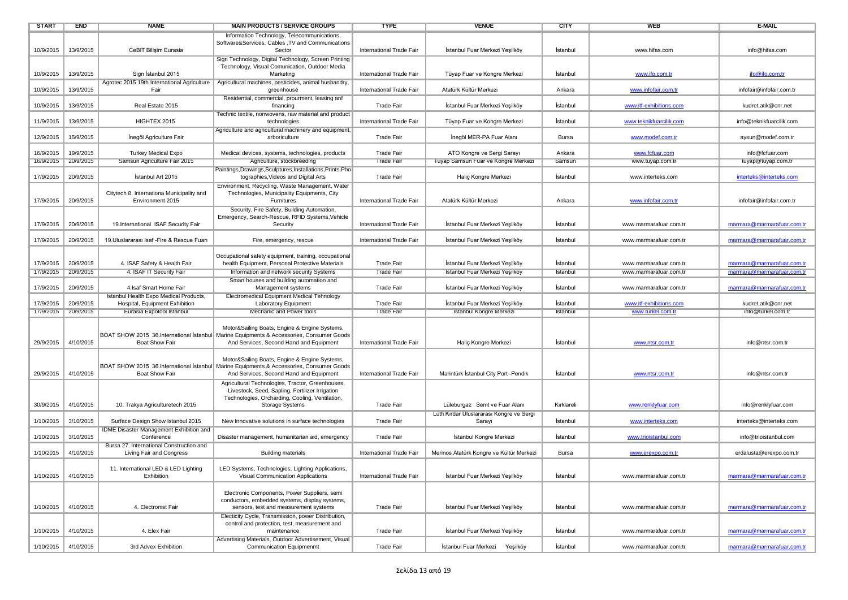| <b>START</b> | <b>END</b>            | <b>NAME</b>                                                   | <b>MAIN PRODUCTS / SERVICE GROUPS</b>                                                                    | <b>TYPE</b>              | <b>VENUE</b>                              | <b>CITY</b> | WEB                     | <b>E-MAIL</b>              |
|--------------|-----------------------|---------------------------------------------------------------|----------------------------------------------------------------------------------------------------------|--------------------------|-------------------------------------------|-------------|-------------------------|----------------------------|
|              |                       |                                                               | Information Technology, Telecommunications,                                                              |                          |                                           |             |                         |                            |
|              |                       |                                                               | Software&Services, Cables , TV and Communications                                                        |                          |                                           |             |                         |                            |
| 10/9/2015    | 13/9/2015             | CeBIT Bilişim Eurasia                                         | Sector                                                                                                   | International Trade Fair | İstanbul Fuar Merkezi Yeşilköy            | İstanbul    | www.hifas.com           | info@hifas.com             |
|              |                       |                                                               | Sign Technology, Digital Technology, Screen Printing                                                     |                          |                                           |             |                         |                            |
|              |                       |                                                               | Technology, Visual Comunication, Outdoor Media                                                           |                          |                                           |             |                         |                            |
| 10/9/2015    | 13/9/2015             | Sign İstanbul 2015                                            | Marketing                                                                                                | International Trade Fair | Tüyap Fuar ve Kongre Merkezi              | Istanbul    | www.ifo.com.tr          | ifo@ifo.com.tr             |
|              |                       |                                                               | Agrotec 2015 19th International Agriculture   Agricultural machines, pesticides, animal husbandry,       |                          |                                           |             |                         |                            |
| 10/9/2015    | 13/9/2015             | Fair                                                          | greenhouse                                                                                               | International Trade Fair | Atatürk Kültür Merkezi                    | Ankara      | www.infofair.com.tr     | infofair@infofair.com.tr   |
|              |                       |                                                               | Residential, commercial, prourment, leasing anf                                                          |                          |                                           |             |                         |                            |
| 10/9/2015    | 13/9/2015             | Real Estate 2015                                              | financing                                                                                                | <b>Trade Fair</b>        | İstanbul Fuar Merkezi Yeşilköy            | Istanbul    | www.itf-exhibitions.com | kudret.atik@cnr.net        |
|              |                       |                                                               | Technic textile, nonwovens, raw material and product                                                     |                          |                                           |             |                         |                            |
| 11/9/2015    | 13/9/2015             | HIGHTEX 2015                                                  | technologies                                                                                             | International Trade Fair | Tüyap Fuar ve Kongre Merkezi              | İstanbul    | www.teknikfuarcilik.com | info@teknikfuarcilik.com   |
|              |                       |                                                               | Agriculture and agricultural machinery and equipment,                                                    |                          |                                           |             |                         |                            |
| 12/9/2015    | 15/9/2015             | İnegöl Agriculture Fair                                       | arboriculture                                                                                            | <b>Trade Fair</b>        | Inegöl MER-PA Fuar Alanı                  | Bursa       | www.modef.com.tr        | aysun@modef.com.tr         |
|              |                       |                                                               |                                                                                                          |                          |                                           |             |                         |                            |
| 16/9/2015    | 19/9/2015             | <b>Turkey Medical Expo</b>                                    | Medical devices, systems, technologies, products                                                         | Trade Fair               | ATO Kongre ve Sergi Sarayı                | Ankara      | www.fcfuar.com          | info@fcfuar.com            |
| 16/9/2015    | 20/9/2015             | Samsun Agriculture Fair 2015                                  | Agriculture, stockbreeding                                                                               | <b>Trade Fair</b>        | Tüyap Samsun Fuar ve Kongre Merkezi       | Samsun      | www.tuyap.com.tr        | tuyap@tuyap.com.tr         |
|              |                       |                                                               |                                                                                                          |                          |                                           |             |                         |                            |
| 17/9/2015    | 20/9/2015             | İstanbul Art 2015                                             | Paintings, Drawings, Sculptures, Installations, Prints, Pho<br>tographies, Videos and Digital Arts       | Trade Fair               | Haliç Kongre Merkezi                      | İstanbul    | www.interteks.com       | interteks@interteks.com    |
|              |                       |                                                               |                                                                                                          |                          |                                           |             |                         |                            |
|              |                       |                                                               | Environment, Recycling, Waste Management, Water                                                          |                          |                                           |             |                         |                            |
| 17/9/2015    | 20/9/2015             | Citytech 8. Internationa Municipality and<br>Environment 2015 | Technologies, Municipality Equipments, City<br>Furnitures                                                | International Trade Fair | Atatürk Kültür Merkezi                    | Ankara      | www.infofair.com.tr     | infofair@infofair.com.tr   |
|              |                       |                                                               |                                                                                                          |                          |                                           |             |                         |                            |
|              |                       |                                                               | Security, Fire Safety, Building Automation,                                                              |                          |                                           |             |                         |                            |
|              |                       | 19.International ISAF Security Fair                           | Emergency, Search-Rescue, RFID Systems, Vehicle                                                          |                          |                                           |             |                         |                            |
| 17/9/2015    | 20/9/2015             |                                                               | Security                                                                                                 | International Trade Fair | İstanbul Fuar Merkezi Yeşilköy            | İstanbul    | www.marmarafuar.com.tr  | marmara@marmarafuar.com.tr |
|              | 20/9/2015             |                                                               |                                                                                                          |                          | İstanbul Fuar Merkezi Yeşilköy            |             |                         |                            |
| 17/9/2015    |                       | 19. Uluslararası Isaf - Fire & Rescue Fuari                   | Fire, emergency, rescue                                                                                  | International Trade Fair |                                           | Istanbul    | www.marmarafuar.com.tr  | marmara@marmarafuar.com.tr |
|              |                       |                                                               |                                                                                                          |                          |                                           |             |                         |                            |
|              |                       |                                                               | Occupational safety equipment, training, occupational<br>health Equipment, Personal Protective Materials |                          |                                           |             |                         |                            |
| 17/9/2015    | 20/9/2015             | 4. ISAF Safety & Health Fair                                  |                                                                                                          | <b>Trade Fair</b>        | İstanbul Fuar Merkezi Yeşilköy            | İstanbul    | www.marmarafuar.com.tr  | marmara@marmarafuar.com.tr |
| 17/9/2015    | 20/9/2015             | 4. ISAF IT Security Fair                                      | Information and network security Systems                                                                 | <b>Trade Fair</b>        | Istanbul Fuar Merkezi Yeşilköy            | Istanbul    | www.marmarafuar.com.tr  | marmara@marmarafuar.com.tr |
|              |                       |                                                               | Smart houses and building automation and                                                                 |                          |                                           |             |                         |                            |
| 17/9/2015    | 20/9/2015             | 4. Isaf Smart Home Fair                                       | Management systems                                                                                       | <b>Trade Fair</b>        | İstanbul Fuar Merkezi Yeşilköy            | İstanbul    | www.marmarafuar.com.tr  | marmara@marmarafuar.com.tr |
|              |                       | Istanbul Health Expo Medical Products,                        | Electromedical Equipment Medical Tehnology                                                               |                          |                                           |             |                         |                            |
| 17/9/2015    | 20/9/2015             | Hospital, Equipment Exhibition                                | <b>Laboratory Equipment</b>                                                                              | <b>Trade Fair</b>        | Istanbul Fuar Merkezi Yeşilköy            | Istanbul    | www.itf-exhibitions.com | kudret.atik@cnr.net        |
|              | 17/9/2015   20/9/2015 | Eurasia Expotool Istanbul                                     | Mechanic and Power tools                                                                                 | <b>Trade Fair</b>        | Istanbul Kongre Merkezi                   | Istanbul    | www.turkel.com.tr       | info@turkel.com.tr         |
|              |                       |                                                               |                                                                                                          |                          |                                           |             |                         |                            |
|              |                       |                                                               | Motor&Sailing Boats, Engine & Engine Systems,                                                            |                          |                                           |             |                         |                            |
|              |                       |                                                               | BOAT SHOW 2015 36. International Istanbul   Marine Equipments & Accessories, Consumer Goods              |                          |                                           |             |                         |                            |
| 29/9/2015    | 4/10/2015             | <b>Boat Show Fair</b>                                         | And Services, Second Hand and Equipment                                                                  | International Trade Fair | Haliç Kongre Merkezi                      | İstanbul    | www.ntsr.com.tr         | info@ntsr.com.tr           |
|              |                       |                                                               |                                                                                                          |                          |                                           |             |                         |                            |
|              |                       |                                                               | Motor&Sailing Boats, Engine & Engine Systems,                                                            |                          |                                           |             |                         |                            |
|              |                       |                                                               | BOAT SHOW 2015 36.International Istanbul Marine Equipments & Accessories, Consumer Goods                 |                          |                                           |             |                         |                            |
| 29/9/2015    | 4/10/2015             | <b>Boat Show Fair</b>                                         | And Services, Second Hand and Equipment                                                                  | International Trade Fair | Marintürk İstanbul City Port - Pendik     | İstanbul    | www.ntsr.com.tr         | info@ntsr.com.tr           |
|              |                       |                                                               | Agricultural Technologies, Tractor, Greenhouses,                                                         |                          |                                           |             |                         |                            |
|              |                       |                                                               | Livestock, Seed, Sapling, Fertilizer Irrigation                                                          |                          |                                           |             |                         |                            |
|              |                       |                                                               | Technologies, Orcharding, Cooling, Ventilation,                                                          |                          |                                           |             |                         |                            |
| 30/9/2015    | 4/10/2015             | 10. Trakya Agriculturetech 2015                               | <b>Storage Systems</b>                                                                                   | <b>Trade Fair</b>        | Lüleburgaz Semt ve Fuar Alanı             | Kırklareli  | www.renklyfuar.com      | info@renklyfuar.com        |
|              |                       |                                                               |                                                                                                          |                          | Lütfi Kırdar Uluslararası Kongre ve Sergi |             |                         |                            |
| 1/10/2015    | 3/10/2015             | Surface Design Show Istanbul 2015                             | New Innovative solutions in surface technologies                                                         | <b>Trade Fair</b>        | Sarayı                                    | Istanbul    | www.interteks.com       | interteks@interteks.com    |
|              |                       | IDME Disaster Management Exhibition and                       |                                                                                                          |                          |                                           |             |                         |                            |
| 1/10/2015    | 3/10/2015             | Conference                                                    | Disaster management, humanitarian aid, emergency                                                         | Trade Fair               | İstanbul Kongre Merkezi                   | İstanbul    | www.trioistanbul.com    | info@trioistanbul.com      |
|              |                       | Bursa 27. International Construction and                      |                                                                                                          |                          |                                           |             |                         |                            |
| 1/10/2015    | 4/10/2015             | Living Fair and Congress                                      | <b>Building materials</b>                                                                                | International Trade Fair | Merinos Atatürk Kongre ve Kültür Merkezi  | Bursa       | www.erexpo.com.tr       | erdalusta@erexpo.com.tr    |
|              |                       |                                                               |                                                                                                          |                          |                                           |             |                         |                            |
|              | 1/10/2015 4/10/2015   | 11. International LED & LED Lighting<br>Exhibition            | LED Systems, Technologies, Lighting Applications,                                                        | International Trade Fair | İstanbul Fuar Merkezi Yeşilköy            | İstanbul    |                         |                            |
|              |                       |                                                               | Visual Communication Applications                                                                        |                          |                                           |             | www.marmararuar.com.tr  | marmara@marmaratuar.com.tr |
|              |                       |                                                               |                                                                                                          |                          |                                           |             |                         |                            |
|              |                       |                                                               | Electronic Components, Power Suppliers, semi                                                             |                          |                                           |             |                         |                            |
|              | 4/10/2015             | 4. Electronist Fair                                           | conductors, embedded systems, display systems,                                                           | <b>Trade Fair</b>        |                                           | İstanbul    | www.marmarafuar.com.tr  |                            |
| 1/10/2015    |                       |                                                               | sensors, test and measurement systems                                                                    |                          | İstanbul Fuar Merkezi Yeşilköy            |             |                         | marmara@marmarafuar.com.tr |
|              |                       |                                                               | Electicity Cycle, Transmission, power Distribution,                                                      |                          |                                           |             |                         |                            |
|              |                       |                                                               | control and protection, test, measurement and                                                            |                          |                                           | İstanbul    |                         |                            |
| 1/10/2015    | 4/10/2015             | 4. Elex Fair                                                  | maintenance                                                                                              | <b>Trade Fair</b>        | İstanbul Fuar Merkezi Yeşilköy            |             | www.marmarafuar.com.tr  | marmara@marmarafuar.com.tr |
|              |                       |                                                               | Advertising Materials, Outdoor Advertisement, Visual<br><b>Communication Equipmenmt</b>                  |                          | İstanbul Fuar Merkezi Yesilköv            |             | www.marmarafuar.com.tr  |                            |
| 1/10/2015    | 4/10/2015             | 3rd Advex Exhibition                                          |                                                                                                          | <b>Trade Fair</b>        |                                           | İstanbul    |                         | marmara@marmarafuar.com.tr |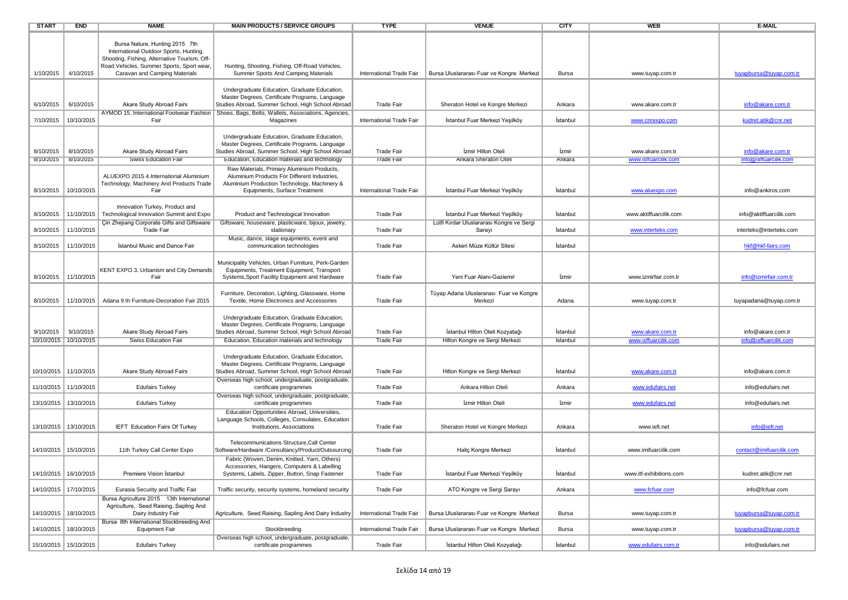| <b>START</b> | <b>END</b>                           | <b>NAME</b>                                                                                                                                                           | <b>MAIN PRODUCTS / SERVICE GROUPS</b>                                                                                                                                                                | <b>TYPE</b>                            | <b>VENUE</b>                                                      | <b>CITY</b>          | <b>WEB</b>                               | E-MAIL                                     |
|--------------|--------------------------------------|-----------------------------------------------------------------------------------------------------------------------------------------------------------------------|------------------------------------------------------------------------------------------------------------------------------------------------------------------------------------------------------|----------------------------------------|-------------------------------------------------------------------|----------------------|------------------------------------------|--------------------------------------------|
|              |                                      | Bursa Nature, Hunting 2015 7th<br>International Outdoor Sports, Hunting,<br>Shooting, Fishing, Alternative Tourism, Off-<br>Road Vehicles, Summer Sports, Sport wear, | Hunting, Shooting, Fishing, Off-Road Vehicles,                                                                                                                                                       |                                        |                                                                   |                      |                                          |                                            |
| 1/10/2015    | 4/10/2015                            | Caravan and Camping Materials                                                                                                                                         | Summer Sports And Camping Materials                                                                                                                                                                  | International Trade Fair               | Bursa Uluslararası Fuar ve Kongre Merkezi                         | Bursa                | www.tuyap.com.tr                         | tuyapbursa@tuyap.com.tr                    |
|              |                                      |                                                                                                                                                                       | Undergraduate Education, Graduate Education,<br>Master Degrees, Certificate Programs, Language                                                                                                       |                                        |                                                                   |                      |                                          |                                            |
| 6/10/2015    | 6/10/2015                            | Akare Study Abroad Fairs                                                                                                                                              | Studies Abroad, Summer School, High School Abroad                                                                                                                                                    | <b>Trade Fair</b>                      | Sheraton Hotel ve Kongre Merkezi                                  | Ankara               | www.akare.com.tr                         | info@akare.com.tr                          |
| 7/10/2015    | 10/10/2015                           | AYMOD 15. International Footwear Fashion<br>Fair                                                                                                                      | Shoes, Bags, Belts, Wallets, Associations, Agencies,<br>Magazines                                                                                                                                    | International Trade Fair               | Istanbul Fuar Merkezi Yeşilköy                                    | İstanbul             | www.cnrexpo.com                          | kudret.atik@cnr.net                        |
| 8/10/2015    | 8/10/2015                            | Akare Study Abroad Fairs                                                                                                                                              | Undergraduate Education, Graduate Education,<br>Master Degrees, Certificate Programs, Language<br>Studies Abroad, Summer School, High School Abroad                                                  | <b>Trade Fair</b>                      | İzmir Hilton Oteli                                                | İzmir                | www.akare.com.tr                         | info@akare.com.tr                          |
|              | 8/10/2015   8/10/2015                | <b>Swiss Education Fair</b>                                                                                                                                           | Education, Education materials and technology                                                                                                                                                        | <b>Trade Fair</b>                      | <b>Ankara Sheraton Oteli</b>                                      | Ankara               | www.isffuarcilik.com                     | info@isffuarcilik.com                      |
| 8/10/2015    | 10/10/2015                           | ALUEXPO 2015 4.International Aluminium<br>Technology, Machinery And Products Trade<br>Fair                                                                            | Raw Materials, Primary Aluminium Products,<br>Aluminium Products For Different Industries,<br>Aluminium Production Technology, Machinery &<br>Equipments, Surface Treatment                          | International Trade Fair               | İstanbul Fuar Merkezi Yeşilköy                                    | İstanbul             | www.aluexpo.com                          | info@ankiros.com                           |
|              |                                      |                                                                                                                                                                       |                                                                                                                                                                                                      |                                        |                                                                   |                      |                                          |                                            |
| 8/10/2015    | 11/10/2015                           | Innovation Turkey, Product and<br>Technological Innovation Summit and Expo                                                                                            | Product and Technological Innovation                                                                                                                                                                 | <b>Trade Fair</b>                      | İstanbul Fuar Merkezi Yeşilköy                                    | İstanbul             | www.aktiffuarcilik.com                   | info@aktiffuarcilik.com                    |
| 8/10/2015    | 11/10/2015                           | Cin Zheilang Corporate Gifts and Giftsware<br><b>Trade Fair</b>                                                                                                       | Giftsware, houseware, plasticware, bijoux, jewelry,<br>stationary                                                                                                                                    | <b>Trade Fair</b>                      | Lütfi Kırdar Uluslararası Kongre ve Sergi<br>Sarayı               | Istanbul             | www.interteks.com                        | interteks@interteks.com                    |
| 8/10/2015    | 11/10/2015                           | <b>Istanbul Music and Dance Fair</b>                                                                                                                                  | Music, dance, stage equipments, event and<br>communication technologies                                                                                                                              | <b>Trade Fair</b>                      | Askeri Müze Kültür Sitesi                                         | İstanbul             |                                          | hkf@hkf-fairs.com                          |
| 8/10/2015    | 11/10/2015                           | KENT EXPO 3. Urbanism and City Demands<br>Fair                                                                                                                        | Municipality Vehicles, Urban Furniture, Perk-Garden<br>Equipments, Treatment Equipment, Transport<br>Systems, Sport Facility Equipment and Hardware                                                  | <b>Trade Fair</b>                      | Yeni Fuar Alanı-Gaziemir                                          | İzmir                | www.izmirfair.com.tr                     | info@izmirfair.com.tr                      |
| 8/10/2015    | 11/10/2015                           | Adana 9 th Furniture-Decoration Fair 2015                                                                                                                             | Furniture, Decoration, Lighting, Glassware, Home<br>Textile, Home Electronics and Accessories                                                                                                        | <b>Trade Fair</b>                      | Tüyap Adana Uluslararası Fuar ve Kongre<br>Merkezi                | Adana                | www.tuyap.com.tr                         | tuyapadana@tuyap.com.tr                    |
| 9/10/2015    | 9/10/2015<br>10/10/2015   10/10/2015 | Akare Study Abroad Fairs<br><b>Swiss Education Fair</b>                                                                                                               | Undergraduate Education, Graduate Education,<br>Master Degrees, Certificate Programs, Language<br>Studies Abroad, Summer School, High School Abroad<br>Education, Education materials and technology | <b>Trade Fair</b><br><b>Trade Fair</b> | İstanbul Hilton Oteli Kozyatağı<br>Hilton Kongre ve Sergi Merkezi | Istanbul<br>Istanbul | www.akare.com.tr<br>www.isffuarcilik.com | info@akare.com.tr<br>info@isffuarcilik.com |
|              |                                      |                                                                                                                                                                       |                                                                                                                                                                                                      |                                        |                                                                   |                      |                                          |                                            |
|              | 10/10/2015   11/10/2015              | Akare Study Abroad Fairs                                                                                                                                              | Undergraduate Education, Graduate Education,<br>Master Degrees, Certificate Programs, Language<br>Studies Abroad, Summer School, High School Abroad                                                  | Trade Fair                             | Hilton Kongre ve Sergi Merkezi                                    | İstanbul             | www.akare.com.tr                         | info@akare.com.tr                          |
|              | 11/10/2015 11/10/2015                | <b>Edufairs Turkey</b>                                                                                                                                                | Overseas high school, undergraduate, postgraduate,<br>certificate programmes                                                                                                                         | <b>Trade Fair</b>                      | Ankara Hilton Oteli                                               | Ankara               | www.edufairs.net                         | info@edufairs.net                          |
|              | 13/10/2015   13/10/2015              | <b>Edufairs Turkey</b>                                                                                                                                                | Overseas high school, undergraduate, postgraduate,<br>certificate programmes                                                                                                                         | <b>Trade Fair</b>                      | Izmir Hilton Oteli                                                | Izmir                | www.edufairs.net                         | info@edufairs.net                          |
|              | 13/10/2015   13/10/2015              | IEFT Education Fairs Of Turkey                                                                                                                                        | Education Opportunities Abroad, Universities,<br>Language Schools, Colleges, Consulates, Education<br>Institutions, Associations                                                                     | <b>Trade Fair</b>                      | Sheraton Hotel ve Kongre Merkezi                                  | Ankara               | www.ieft.net                             | info@ieft.net                              |
|              | 14/10/2015   15/10/2015              | 11th Turkey Call Center Expo                                                                                                                                          | Telecommunications Structure, Call Center<br>Software/Hardware /Consultancy/Product/Outsourcing                                                                                                      | <b>Trade Fair</b>                      | Haliç Kongre Merkezi                                              | İstanbul             | www.imifuarcilik.com                     | contact@imifuarcilik.com                   |
|              | 14/10/2015 16/10/2015                | Premiere Vision Istanbul                                                                                                                                              | Fabric (Woven, Denim, Knitted, Yarn, Others)<br>Accessories, Hangers, Computers & Labelling<br>Systems, Labels, Zipper, Button, Snap Fastener                                                        | Trade Fair                             | İstanbul Fuar Merkezi Yeşilköy                                    | İstanbul             | www.itf-exhibitions.com                  | kudret.atik@cnr.net                        |
|              | 14/10/2015   17/10/2015              | Eurasia Security and Traffic Fair                                                                                                                                     | Traffic security, security systems, homeland security                                                                                                                                                | <b>Trade Fair</b>                      | ATO Kongre ve Sergi Sarayı                                        | Ankara               | www.fcfuar.com                           | info@fcfuar.com                            |
|              |                                      | Bursa Agriculture 2015 13th International<br>Agriculture, Seed Raising, Sapling And                                                                                   |                                                                                                                                                                                                      |                                        |                                                                   |                      |                                          |                                            |
|              | 14/10/2015   18/10/2015              | Dairy Industry Fair                                                                                                                                                   | Agriculture, Seed Raising, Sapling And Dairy Industry                                                                                                                                                | International Trade Fair               | Bursa Uluslararası Fuar ve Kongre Merkezi                         | Bursa                | www.tuyap.com.tr                         | tuyapbursa@tuyap.com.tr                    |
|              | 14/10/2015   18/10/2015              | Bursa 8th International Stockbreeding And<br><b>Equipment Fair</b>                                                                                                    | Stockbreeding                                                                                                                                                                                        | International Trade Fair               | Bursa Uluslararası Fuar ve Kongre Merkezi                         | Bursa                | www.tuyap.com.tr                         | tuyapbursa@tuyap.com.tr                    |
|              | 15/10/2015 15/10/2015                | <b>Edufairs Turkey</b>                                                                                                                                                | Overseas high school, undergraduate, postgraduate,<br>certificate programmes                                                                                                                         | Trade Fair                             | İstanbul Hilton Oteli Kozyatağı                                   | İstanbul             | www.edufairs.com.tr                      | info@edufairs.net                          |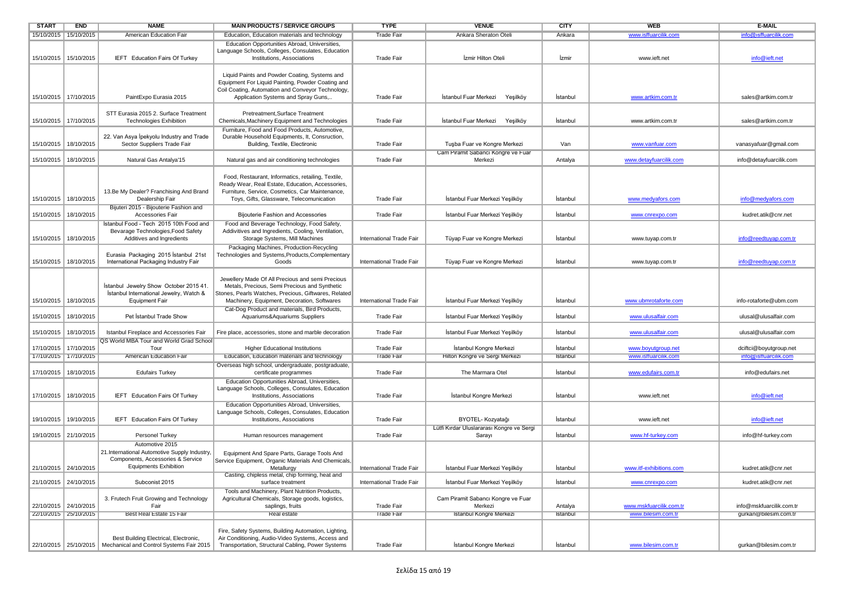| START                 | <b>END</b>                                       | <b>NAME</b>                                                                                                                           | <b>MAIN PRODUCTS / SERVICE GROUPS</b>                                                                                                                                                                    | <b>TYPE</b>                            | <b>VENUE</b>                                              | <b>CITY</b>          | <b>WEB</b>                                 | E-MAIL                                            |
|-----------------------|--------------------------------------------------|---------------------------------------------------------------------------------------------------------------------------------------|----------------------------------------------------------------------------------------------------------------------------------------------------------------------------------------------------------|----------------------------------------|-----------------------------------------------------------|----------------------|--------------------------------------------|---------------------------------------------------|
|                       | 15/10/2015 15/10/2015                            | American Education Fair                                                                                                               | Education, Education materials and technology                                                                                                                                                            | I rade Fair                            | <b>Ankara Sheraton Oteli</b>                              | Ankara               | www.istfuarcilik.com                       | into@istfuarcilik.com                             |
|                       | 15/10/2015 15/10/2015                            | IEFT Education Fairs Of Turkey                                                                                                        | Education Opportunities Abroad, Universities,<br>Language Schools, Colleges, Consulates, Education<br>Institutions, Associations                                                                         | <b>Trade Fair</b>                      | İzmir Hilton Oteli                                        | İzmir                | www.ieft.net                               | info@ieft.net                                     |
|                       | 15/10/2015 17/10/2015                            | PaintExpo Eurasia 2015                                                                                                                | Liquid Paints and Powder Coating, Systems and<br>Equipment For Liquid Painting, Powder Coating and<br>Coil Coating, Automation and Conveyor Technology,<br>Application Systems and Spray Guns,           | <b>Trade Fair</b>                      | İstanbul Fuar Merkezi Yeşilköy                            | İstanbul             | www.artkim.com.tr                          | sales@artkim.com.tr                               |
|                       | 15/10/2015 17/10/2015                            | STT Eurasia 2015 2. Surface Treatment<br><b>Technologies Exhibition</b>                                                               | Pretreatment, Surface Treatment<br>Chemicals, Machinery Equipment and Technologies                                                                                                                       | <b>Trade Fair</b>                      | İstanbul Fuar Merkezi<br>Yeşilköy                         | İstanbul             | www.artkim.com.tr                          | sales@artkim.com.tr                               |
| 15/10/2015            | 18/10/2015                                       | 22. Van Asya İpekyolu Industry and Trade<br>Sector Suppliers Trade Fair                                                               | Furniture, Food and Food Products, Automotive,<br>Durable Household Equipments, It, Consruction,<br>Building, Textile, Electironic                                                                       | <b>Trade Fair</b>                      | Tuşba Fuar ve Kongre Merkezi                              | Van                  | www.vanfuar.com                            | vanasyafuar@gmail.com                             |
| 15/10/2015            | 18/10/2015                                       | Natural Gas Antalya'15                                                                                                                | Natural gas and air conditioning technologies                                                                                                                                                            | <b>Trade Fair</b>                      | Cam Piramit Sabancı Kongre ve Fuar<br>Merkezi             | Antalya              | www.detayfuarcilik.com                     | info@detayfuarcilik.com                           |
|                       | 15/10/2015 18/10/2015                            | 13.Be My Dealer? Franchising And Brand<br>Dealership Fair<br>Bijuteri 2015 - Bijouterie Fashion and                                   | Food, Restaurant, Informatics, retailing, Textile,<br>Ready Wear, Real Estate, Education, Accessories,<br>Furniture, Service, Cosmetics, Car Maintenance,<br>Toys, Gifts, Glassware, Telecomunication    | <b>Trade Fair</b>                      | İstanbul Fuar Merkezi Yeşilköy                            | İstanbul             | www.medyafors.com                          | info@medyafors.com                                |
| 15/10/2015            | 18/10/2015                                       | Accessories Fair                                                                                                                      | <b>Bijouterie Fashion and Accessories</b>                                                                                                                                                                | <b>Trade Fair</b>                      | İstanbul Fuar Merkezi Yeşilköy                            | İstanbul             | www.cnrexpo.com                            | kudret.atik@cnr.net                               |
|                       | 15/10/2015   18/10/2015                          | Istanbul Food - Tech 2015 10th Food and<br>Bevarage Technologies, Food Safety<br>Additives and Ingredients                            | Food and Beverage Technology, Food Safety,<br>Addivitives and Ingredients, Cooling, Ventilation,<br>Storage Systems, Mill Machines                                                                       | International Trade Fair               | Tüyap Fuar ve Kongre Merkezi                              | İstanbul             | www.tuyap.com.tr                           | info@reedtuyap.com.tr                             |
|                       | 15/10/2015 18/10/2015                            | Eurasia Packaging 2015 İstanbul 21st<br>International Packaging Industry Fair                                                         | Packaging Machines, Production-Recycling<br>Technologies and Systems, Products, Complementary<br>Goods                                                                                                   | International Trade Fair               | Tüyap Fuar ve Kongre Merkezi                              | İstanbul             | www.tuyap.com.tr                           | info@reedtuyap.com.tr                             |
|                       | 15/10/2015   18/10/2015                          | Istanbul Jewelry Show October 2015 41.<br>İstanbul International Jewelry, Watch &<br><b>Equipment Fair</b>                            | Jewellery Made Of All Precious and semi Precious<br>Metals, Precious, Semi Precious and Synthetic<br>Stones, Pearls Watches, Precious, Giftwares, Related<br>Machinery, Equipment, Decoration, Softwares | International Trade Fair               | İstanbul Fuar Merkezi Yeşilköy                            | İstanbul             | www.ubmrotaforte.com                       | info-rotaforte@ubm.com                            |
|                       | 15/10/2015 18/10/2015                            | Pet İstanbul Trade Show                                                                                                               | Cat-Dog Product and materials, Bird Products,<br>Aquariums&Aquariums Suppliers                                                                                                                           | <b>Trade Fair</b>                      | İstanbul Fuar Merkezi Yeşilköy                            | İstanbul             | www.ulusalfair.com                         | ulusal@ulusalfair.com                             |
|                       | 15/10/2015 3/10/2015                             | Istanbul Fireplace and Accessories Fair                                                                                               | Fire place, accessories, stone and marble decoration                                                                                                                                                     | <b>Trade Fair</b>                      | İstanbul Fuar Merkezi Yeşilköy                            | İstanbul             | www.ulusalfair.com                         | ulusal@ulusalfair.com                             |
|                       | 17/10/2015   17/10/2015<br>17/10/2015 17/10/2015 | QS World MBA Tour and World Grad School<br>Tour<br>American Education Fair                                                            | <b>Higher Educational Institutions</b><br>Education, Education materials and technology                                                                                                                  | <b>Trade Fair</b><br><b>Trade Fair</b> | İstanbul Kongre Merkezi<br>Hilton Kongre ve Sergi Merkezi | İstanbul<br>Istanbul | www.boyutgroup.net<br>www.isffuarcilik.com | dciftci@boyutgroup.net<br>info@isffuarcilik.com   |
|                       | 17/10/2015   18/10/2015                          | <b>Edufairs Turkey</b>                                                                                                                | Overseas high school, undergraduate, postgraduate,<br>certificate programmes                                                                                                                             | <b>Trade Fair</b>                      | The Marmara Otel                                          | İstanbul             | www.edufairs.com.tr                        | info@edufairs.net                                 |
|                       | 17/10/2015 18/10/2015                            | IEFT Education Fairs Of Turkey                                                                                                        | Education Opportunities Abroad, Universities,<br>Language Schools, Colleges, Consulates, Education<br>Institutions, Associations                                                                         | <b>Trade Fair</b>                      | İstanbul Kongre Merkezi                                   | İstanbul             | www.ieft.net                               | info@ieft.net                                     |
| 19/10/2015            | 19/10/2015                                       | IEFT Education Fairs Of Turkey                                                                                                        | Education Opportunities Abroad, Universities,<br>Language Schools, Colleges, Consulates, Education<br>Institutions, Associations                                                                         | <b>Trade Fair</b>                      | BYOTEL- Kozyatağı                                         | İstanbul             | www.ieft.net                               | info@ieft.net                                     |
|                       | 19/10/2015 21/10/2015                            | Personel Turkey                                                                                                                       | Human resources management                                                                                                                                                                               | <b>Trade Fair</b>                      | Lütfi Kırdar Uluslararası Kongre ve Sergi<br>Sarayı       | İstanbul             | www.hf-turkey.com                          | info@hf-turkey.com                                |
|                       | 21/10/2015 24/10/2015                            | Automotive 2015<br>21. International Automotive Supply Industry,<br>Components, Accessories & Service<br><b>Equipments Exhibition</b> | Equipment And Spare Parts, Garage Tools And<br>Service Equipment, Organic Materials And Chemicals,<br>Metallurgy                                                                                         | International Trade Fair               | İstanbul Fuar Merkezi Yeşilköy                            | İstanbul             | www.itf-exhibitions.com                    | kudret.atik@cnr.net                               |
|                       |                                                  |                                                                                                                                       | Casting, chipless metal, chip forming, heat and                                                                                                                                                          |                                        |                                                           |                      |                                            |                                                   |
|                       | 21/10/2015 24/10/2015                            | Subconist 2015                                                                                                                        | surface treatment                                                                                                                                                                                        | International Trade Fair               | İstanbul Fuar Merkezi Yeşilköy                            | İstanbul             | www.cnrexpo.com                            | kudret.atik@cnr.net                               |
| 22/10/2015 25/10/2015 | 22/10/2015 24/10/2015                            | 3. Frutech Fruit Growing and Technology<br>Fair<br>Best Real Estate 15 Fair                                                           | Tools and Machinery, Plant Nutrition Products,<br>Agricultural Chemicals, Storage goods, logistics,<br>saplings, fruits<br><b>Real estate</b>                                                            | <b>Trade Fair</b><br><b>Irade Fair</b> | Cam Piramit Sabancı Kongre ve Fuar<br>Merkezi             | Antalya<br>Istanbul  | www.mskfuarcilik.com.tr                    | info@mskfuarcilik.com.tr<br>qurkan@bilesim.com.tr |
|                       |                                                  |                                                                                                                                       |                                                                                                                                                                                                          |                                        | Istanbul Kongre Merkezi                                   |                      | www.bilesim.com.tr                         |                                                   |
|                       |                                                  | Best Building Electrical, Electronic,<br>22/10/2015 25/10/2015 Mechanical and Control Systems Fair 2015                               | Fire, Safety Systems, Building Automation, Lighting,<br>Air Conditioning, Audio-Video Systems, Access and<br>Transportation, Structural Cabling, Power Systems                                           | <b>Trade Fair</b>                      | İstanbul Kongre Merkezi                                   | İstanbul             | www.bilesim.com.tr                         | gurkan@bilesim.com.tr                             |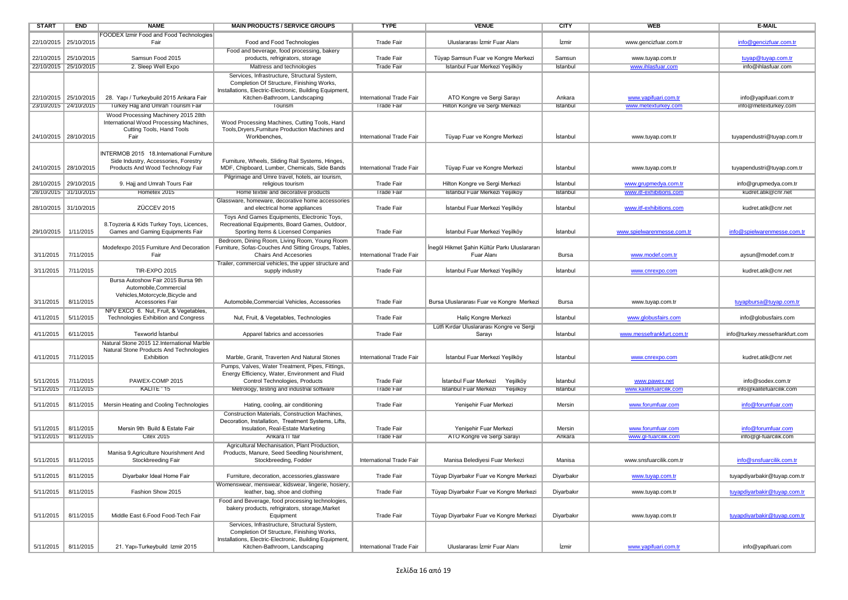| <b>START</b>          | <b>END</b>            | <b>NAME</b>                                                                                                           | <b>MAIN PRODUCTS / SERVICE GROUPS</b>                                                                                                                                                 | <b>TYPE</b>              | <b>VENUE</b>                                                      | <b>CITY</b> | WEB                                       | E-MAIL                                      |
|-----------------------|-----------------------|-----------------------------------------------------------------------------------------------------------------------|---------------------------------------------------------------------------------------------------------------------------------------------------------------------------------------|--------------------------|-------------------------------------------------------------------|-------------|-------------------------------------------|---------------------------------------------|
|                       |                       | FOODEX Izmir Food and Food Technologies                                                                               |                                                                                                                                                                                       |                          |                                                                   |             |                                           |                                             |
|                       | 22/10/2015 25/10/2015 | Fair                                                                                                                  | Food and Food Technologies                                                                                                                                                            | <b>Trade Fair</b>        | Uluslararası İzmir Fuar Alanı                                     | İzmir       | www.gencizfuar.com.tr                     | info@gencizfuar.com.tr                      |
|                       |                       |                                                                                                                       | Food and beverage, food processing, bakery                                                                                                                                            |                          |                                                                   |             |                                           |                                             |
| 22/10/2015 25/10/2015 |                       | Samsun Food 2015                                                                                                      | products, refrigirators, storage                                                                                                                                                      | <b>Trade Fair</b>        | Tüyap Samsun Fuar ve Kongre Merkezi                               | Samsun      | www.tuyap.com.tr                          | tuyap@tuyap.com.tr                          |
|                       | 22/10/2015 25/10/2015 | 2. Sleep Well Expo                                                                                                    | Mattress and technologies                                                                                                                                                             | Trade Fair               | Istanbul Fuar Merkezi Yeşilköy                                    | Istanbul    | www.ihlastuar.com                         | into@ihlastuar.com                          |
| 22/10/2015 25/10/2015 |                       | 28. Yapı / Turkeybuild 2015 Ankara Fair                                                                               | Services, Infrastructure, Structural System,<br>Completion Of Structure, Finishing Works,<br>Installations, Electric-Electronic, Building Equipment,<br>Kitchen-Bathroom, Landscaping | International Trade Fair | ATO Kongre ve Sergi Sarayı                                        | Ankara      | www.yapifuari.com.tr                      | info@yapifuari.com.tr                       |
| 23/10/2015 24/10/2015 |                       | Turkey Hajj and Umrah Tourism Fair                                                                                    | Tourism                                                                                                                                                                               | Trade Fair               | Hilton Kongre ve Sergi Merkezi                                    | Istanbul    | www.metexturkey.com                       | into@metexturkey.com                        |
|                       |                       | Wood Processing Machinery 2015 28th                                                                                   |                                                                                                                                                                                       |                          |                                                                   |             |                                           |                                             |
| 24/10/2015 28/10/2015 |                       | International Wood Processing Machines,<br>Cutting Tools, Hand Tools<br>Fair                                          | Wood Processing Machines, Cutting Tools, Hand<br>Tools, Dryers, Furniture Production Machines and<br>Workbenches.                                                                     | International Trade Fair | Tüyap Fuar ve Kongre Merkezi                                      | Istanbul    | www.tuyap.com.tr                          | tuyapendustri@tuyap.com.tr                  |
|                       |                       |                                                                                                                       |                                                                                                                                                                                       |                          |                                                                   |             |                                           |                                             |
| 24/10/2015 28/10/2015 |                       | INTERMOB 2015 18.International Furniture<br>Side Industry, Accessories, Forestry<br>Products And Wood Technology Fair | Furniture, Wheels, Sliding Rail Systems, Hinges,<br>MDF, Chipboard, Lumber, Chemicals, Side Bands                                                                                     | International Trade Fair | Tüyap Fuar ve Kongre Merkezi                                      | İstanbul    | www.tuyap.com.tr                          | tuyapendustri@tuyap.com.tr                  |
|                       |                       |                                                                                                                       | Pilgrimage and Umre travel, hotels, air tourism,                                                                                                                                      |                          |                                                                   |             |                                           |                                             |
| 28/10/2015 29/10/2015 |                       | 9. Hajj and Umrah Tours Fair                                                                                          | religious tourism                                                                                                                                                                     | <b>Trade Fair</b>        | Hilton Kongre ve Sergi Merkezi                                    | İstanbul    | www.grupmedya.com.tr                      | info@grupmedya.com.tr                       |
|                       | 28/10/2015 31/10/2015 | Hometex 2015                                                                                                          | Home textile and decorative products                                                                                                                                                  | <b>Trade Fair</b>        | Istanbul Fuar Merkezi Yeşilköy                                    | Istanbul    | www.itf-exhibitions.com                   | kudret.atik@cnr.net                         |
| 28/10/2015 31/10/2015 |                       | ZÜCCEV 2015                                                                                                           | Glassware, homeware, decorative home accessories<br>and electrical home appliances                                                                                                    | <b>Trade Fair</b>        | Istanbul Fuar Merkezi Yeşilköy                                    | İstanbul    | www.itf-exhibitions.com                   | kudret.atik@cnr.net                         |
| 29/10/2015            | 1/11/2015             | 8. Toyzeria & Kids Turkey Toys, Licences,<br>Games and Gaming Equipments Fair                                         | Toys And Games Equipments, Electronic Toys,<br>Recreational Equipments, Board Games, Outdoor,<br>Sporting Items & Licensed Companies                                                  | <b>Trade Fair</b>        | İstanbul Fuar Merkezi Yeşilköy                                    | İstanbul    | www.spielwarenmesse.com.tr                | info@spielwarenmesse.com.tr                 |
| 3/11/2015             | 7/11/2015             | Modefexpo 2015 Furniture And Decoration<br>Fair                                                                       | Bedroom, Dining Room, Living Room, Young Room<br>Furniture, Sofas-Couches And Sitting Groups, Tables,<br><b>Chairs And Accesories</b>                                                 | International Trade Fair | İnegöl Hikmet Şahin Kültür Parkı Uluslarararı<br>Fuar Alanı       | Bursa       | www.modef.com.tr                          | aysun@modef.com.tr                          |
| 3/11/2015             | 7/11/2015             | <b>TIR-EXPO 2015</b>                                                                                                  | Trailer, commercial vehicles, the upper structure and<br>supply industry                                                                                                              | <b>Trade Fair</b>        | İstanbul Fuar Merkezi Yeşilköy                                    | İstanbul    | www.cnrexpo.com                           | kudret.atik@cnr.net                         |
|                       |                       | Bursa Autoshow Fair 2015 Bursa 9th                                                                                    |                                                                                                                                                                                       |                          |                                                                   |             |                                           |                                             |
| 3/11/2015             | 8/11/2015             | Automobile, Commercial<br>Vehicles, Motorcycle, Bicycle and<br>Accessories Fair                                       | Automobile.Commercial Vehicles, Accessories                                                                                                                                           | <b>Trade Fair</b>        | Bursa Uluslararası Fuar ve Kongre Merkezi                         | Bursa       | www.tuyap.com.tr                          | tuyapbursa@tuyap.com.tr                     |
|                       |                       | NFV EXCO 6. Nut, Fruit, & Vegetables,                                                                                 |                                                                                                                                                                                       |                          |                                                                   |             |                                           |                                             |
| 4/11/2015             | 5/11/2015             | Technologies Exhibition and Congress                                                                                  | Nut, Fruit, & Vegetables, Technologies                                                                                                                                                | <b>Trade Fair</b>        | Haliç Kongre Merkezi<br>Lütfi Kırdar Uluslararası Kongre ve Sergi | İstanbul    | www.globusfairs.com                       | info@globusfairs.com                        |
| 4/11/2015             | 6/11/2015             | Texworld Istanbul                                                                                                     | Apparel fabrics and accessories                                                                                                                                                       | <b>Trade Fair</b>        | Sarayı                                                            | İstanbul    | www.messefrankfurt.com.tr                 | info@turkey.messefrankfurt.com              |
|                       |                       | Natural Stone 2015 12.International Marble<br>Natural Stone Products And Technologies                                 |                                                                                                                                                                                       |                          |                                                                   |             |                                           |                                             |
| 4/11/2015             | 7/11/2015             | Exhibition                                                                                                            | Marble, Granit, Traverten And Natural Stones                                                                                                                                          | International Trade Fair | Istanbul Fuar Merkezi Yeşilköy                                    | Istanbul    | www.cnrexpo.com                           | kudret.atik@cnr.net                         |
|                       |                       |                                                                                                                       | Pumps, Valves, Water Treatment, Pipes, Fittings,<br>Energy Efficiency, Water, Environment and Fluid                                                                                   |                          |                                                                   |             |                                           |                                             |
| 5/11/2015             | 7/11/2015             | PAWEX-COMP 2015                                                                                                       | Control Technologies, Products                                                                                                                                                        | <b>Trade Fair</b>        | Istanbul Fuar Merkezi<br>Yeşilköy                                 | İstanbul    | www.pawex.net                             | info@sodex.com.tr                           |
| 5/11/2015             | 7/11/2015             | KALITE ' 15                                                                                                           | Metrology, testing and industrial software                                                                                                                                            | <b>Trade Fair</b>        | <b>Istanbul Fuar Merkezi</b><br>Yeşilköy                          | Istanbul    | www.kalitefuarcilik.com                   | info@kalitefuarcilik.com                    |
| 5/11/2015             | 8/11/2015             | Mersin Heating and Cooling Technologies                                                                               | Hating, cooling, air conditioning                                                                                                                                                     | <b>Trade Fair</b>        | Yenişehir Fuar Merkezi                                            | Mersin      | www.forumfuar.com                         | info@forumfuar.com                          |
|                       |                       |                                                                                                                       | Construction Materials, Construction Machines,                                                                                                                                        |                          |                                                                   |             |                                           |                                             |
| 5/11/2015             | 8/11/2015             | Mersin 9th Build & Estate Fair                                                                                        | Decoration, Installation, Treatment Systems, Lifts,<br>Insulation, Real-Estate Marketing                                                                                              | <b>Trade Fair</b>        | Yenişehir Fuar Merkezi                                            | Mersin      |                                           |                                             |
|                       | 5/11/2015   8/11/2015 | <b>Citex 2015</b>                                                                                                     | Ankara II tair                                                                                                                                                                        | Trade Fair               | ATO Kongre ve Sergi Sarayi                                        | Ankara      | www.forumfuar.com<br>www.gl-tuarcilik.com | info@forumfuar.com<br>into@gl-tuarcilik.com |
|                       |                       |                                                                                                                       |                                                                                                                                                                                       |                          |                                                                   |             |                                           |                                             |
| 5/11/2015             | 8/11/2015             | Manisa 9.Agriculture Nourishment And<br>Stockbreeding Fair                                                            | Agricultural Mechanisation, Plant Production,<br>Products, Manure, Seed Seedling Nourishment,<br>Stockbreeding, Fodder                                                                | International Trade Fair | Manisa Belediyesi Fuar Merkezi                                    | Manisa      | www.snsfuarcilik.com.tr                   | info@snsfuarcilik.com.tr                    |
| 5/11/2015   8/11/2015 |                       | Diyarbakır Ideal Home Fair                                                                                            | Furniture, decoration, accessories, glassware                                                                                                                                         | <b>Trade Fair</b>        | Tüyap Diyarbakır Fuar ve Kongre Merkezi                           | Diyarbakır  | www.tuyap.com.tr                          | tuyapdiyarbakir@tuyap.com.tr                |
|                       |                       |                                                                                                                       | Womenswear, menswear, kidswear, lingerie, hosiery,                                                                                                                                    |                          |                                                                   |             |                                           |                                             |
| 5/11/2015             | 8/11/2015             | Fashion Show 2015                                                                                                     | leather, bag, shoe and clothing<br>Food and Beverage, food processing technologies.                                                                                                   | <b>Trade Fair</b>        | Tüyap Diyarbakır Fuar ve Kongre Merkezi                           | Diyarbakır  | www.tuyap.com.tr                          | tuyapdiyarbakir@tuyap.com.tr                |
|                       |                       |                                                                                                                       | bakery products, refrigirators, storage, Market                                                                                                                                       |                          |                                                                   |             |                                           |                                             |
| 5/11/2015             | 8/11/2015             | Middle East 6.Food Food-Tech Fair                                                                                     | Equipment                                                                                                                                                                             | <b>Trade Fair</b>        | Tüyap Diyarbakır Fuar ve Kongre Merkezi                           | Diyarbakır  | www.tuyap.com.tr                          | tuyapdiyarbakir@tuyap.com.tr                |
|                       |                       |                                                                                                                       | Services, Infrastructure, Structural System,<br>Completion Of Structure, Finishing Works,<br>Installations, Electric-Electronic, Building Equipment,                                  |                          |                                                                   |             |                                           |                                             |
|                       | 5/11/2015   8/11/2015 | 21. Yapı-Turkeybuild Izmir 2015                                                                                       | Kitchen-Bathroom, Landscaping                                                                                                                                                         | International Trade Fair | Uluslararası İzmir Fuar Alanı                                     | İzmir       | www.yapifuari.com.tr                      | info@yapifuari.com                          |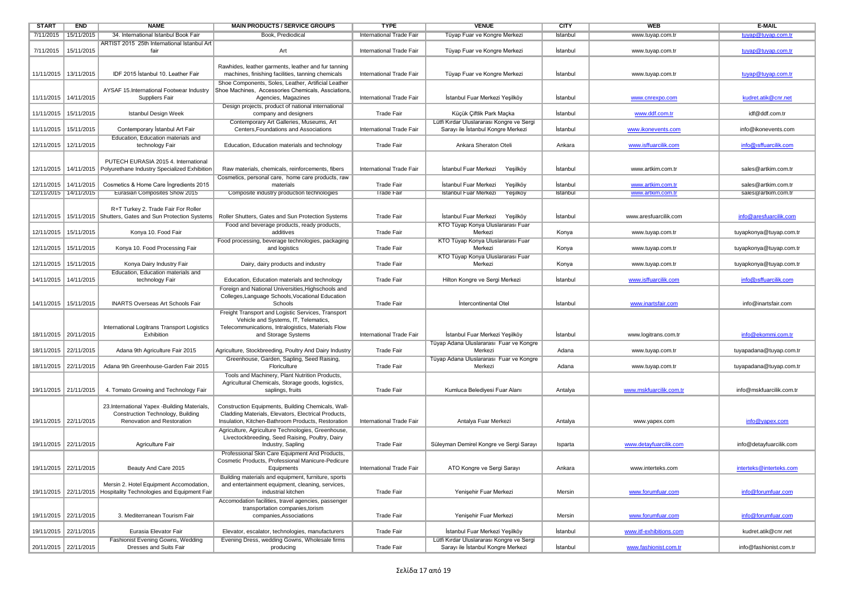| <b>START</b> | <b>END</b>              | <b>NAME</b>                                                                                                    | <b>MAIN PRODUCTS / SERVICE GROUPS</b>                                                                                                                           | <b>TYPE</b>              | <b>VENUE</b>                                                                                  | <b>CITY</b> | WEB                     | <b>E-MAIL</b>            |
|--------------|-------------------------|----------------------------------------------------------------------------------------------------------------|-----------------------------------------------------------------------------------------------------------------------------------------------------------------|--------------------------|-----------------------------------------------------------------------------------------------|-------------|-------------------------|--------------------------|
|              | //11/2015 15/11/2015    | 34. International Istanbul Book Fair                                                                           | Book, Prediodical                                                                                                                                               | International Trade Fair | Tuyap Fuar ve Kongre Merkezi                                                                  | Istanbul    | www.tuyap.com.tr        | tuyap@tuyap.com.tr       |
| 7/11/2015    | 15/11/2015              | ARTIST 2015 25th International Istanbul Art<br>fair                                                            | Art                                                                                                                                                             | International Trade Fair | Tüyap Fuar ve Kongre Merkezi                                                                  | İstanbul    | www.tuyap.com.tr        | tuyap@tuyap.com.tr       |
|              | 11/11/2015   13/11/2015 | IDF 2015 İstanbul 10. Leather Fair                                                                             | Rawhides, leather garments, leather and fur tanning<br>machines, finishing facilities, tanning chemicals                                                        | International Trade Fair | Tüyap Fuar ve Kongre Merkezi                                                                  | İstanbul    | www.tuyap.com.tr        | tuyap@tuyap.com.tr       |
|              |                         |                                                                                                                | Shoe Components, Soles, Leather, Artificial Leather                                                                                                             |                          |                                                                                               |             |                         |                          |
|              | 11/11/2015   14/11/2015 | AYSAF 15.International Footwear Industry<br>Suppliers Fair                                                     | Shoe Machines, Accessories Chemicals, Assciations,<br>Agencies, Magazines                                                                                       | International Trade Fair | İstanbul Fuar Merkezi Yeşilköy                                                                | Istanbul    | www.cnrexpo.com         | kudret.atik@cnr.net      |
|              | 11/11/2015   15/11/2015 | Istanbul Design Week                                                                                           | Design projects, product of national international<br>company and designers                                                                                     | <b>Trade Fair</b>        | Küçük Çiftlik Park Maçka                                                                      | İstanbul    | www.ddf.com.tr          | idf@ddf.com.tr           |
|              | 11/11/2015 15/11/2015   | Contemporary Istanbul Art Fair                                                                                 | Contemporary Art Galleries, Museums, Art<br>Centers, Foundations and Associations                                                                               | International Trade Fair | Lütfi Kırdar Uluslararası Kongre ve Sergi<br>Sarayı ile İstanbul Kongre Merkezi               | Istanbul    | www.ikonevents.com      | info@ikonevents.com      |
|              | 12/11/2015   12/11/2015 | Education, Education materials and<br>technology Fair                                                          | Education, Education materials and technology                                                                                                                   | <b>Trade Fair</b>        | Ankara Sheraton Oteli                                                                         | Ankara      | www.isffuarcilik.com    | info@isffuarcilik.com    |
|              | 12/11/2015 14/11/2015   | PUTECH EURASIA 2015 4. International<br>Polyurethane Industry Specialized Exhibition                           | Raw materials, chemicals, reinforcements, fibers                                                                                                                | International Trade Fair | Istanbul Fuar Merkezi<br>Yeşilköy                                                             | Istanbul    | www.artkim.com.tr       | sales@artkim.com.tr      |
|              | 12/11/2015 14/11/2015   | Cosmetics & Home Care Ingredients 2015                                                                         | Cosmetics, personal care, home care products, raw<br>materials                                                                                                  | Trade Fair               | İstanbul Fuar Merkezi<br>Yeşilköy                                                             | İstanbul    | www.artkim.com.tr       | sales@artkim.com.tr      |
|              | 12/11/2015   14/11/2015 | Eurasian Composites Show 2015                                                                                  | Composite industry production technologies                                                                                                                      | <b>Trade Fair</b>        | Yeşilköy<br><b>Istanbul Fuar Merkezi</b>                                                      | Istanbul    | www.artkim.com.tr       | sales@artkim.com.tr      |
| 12/11/2015   |                         | R+T Turkey 2. Trade Fair For Roller<br>15/11/2015 Shutters, Gates and Sun Protection Systems                   | Roller Shutters, Gates and Sun Protection Systems                                                                                                               | <b>Trade Fair</b>        | İstanbul Fuar Merkezi<br>Yeşilköy                                                             | İstanbul    | www.aresfuarcilik.com   | info@aresfuarcilik.com   |
|              | 12/11/2015   15/11/2015 | Konya 10. Food Fair                                                                                            | Food and beverage products, ready products,<br>additives                                                                                                        | <b>Trade Fair</b>        | KTO Tüyap Konya Uluslararası Fuar<br>Merkezi                                                  | Konya       | www.tuyap.com.tr        | tuyapkonya@tuyap.com.tr  |
| 12/11/2015   | 15/11/2015              | Konya 10. Food Processing Fair                                                                                 | Food processing, beverage technologies, packaging<br>and logistics                                                                                              | <b>Trade Fair</b>        | KTO Tüyap Konya Uluslararası Fuar<br>Merkezi                                                  | Konya       |                         | tuyapkonya@tuyap.com.tr  |
|              |                         |                                                                                                                |                                                                                                                                                                 |                          | KTO Tüyap Konya Uluslararası Fuar                                                             |             | www.tuyap.com.tr        |                          |
| 12/11/2015   | 15/11/2015              | Konya Dairy Industry Fair<br>Education, Education materials and                                                | Dairy, dairy products and industry                                                                                                                              | <b>Trade Fair</b>        | Merkezi                                                                                       | Konya       | www.tuyap.com.tr        | tuyapkonya@tuyap.com.tr  |
|              | 14/11/2015   14/11/2015 | technology Fair                                                                                                | Education, Education materials and technology                                                                                                                   | <b>Trade Fair</b>        | Hilton Kongre ve Sergi Merkezi                                                                | İstanbul    | www.isffuarcilik.com    | info@isffuarcilik.com    |
|              | 14/11/2015   15/11/2015 | <b>INARTS Overseas Art Schools Fair</b>                                                                        | Foreign and National Universities, Highschools and<br>Colleges, Language Schools, Vocational Education<br>Schools                                               | <b>Trade Fair</b>        | Intercontinental Otel                                                                         | İstanbul    | www.inartsfair.com      | info@inartsfair.com      |
|              |                         |                                                                                                                | Freight Transport and Logistic Services, Transport                                                                                                              |                          |                                                                                               |             |                         |                          |
|              |                         | International Logitrans Transport Logistics                                                                    | Vehicle and Systems, IT, Telematics,<br>Telecommunications, Intralogistics, Materials Flow                                                                      |                          |                                                                                               |             |                         |                          |
|              | 18/11/2015 20/11/2015   | Exhibition                                                                                                     | and Storage Systems                                                                                                                                             | International Trade Fair | Istanbul Fuar Merkezi Yeşilköy                                                                | Istanbul    | www.logitrans.com.tr    | info@ekommi.com.tr       |
|              | 18/11/2015 22/11/2015   | Adana 9th Agriculture Fair 2015                                                                                | Agriculture, Stockbreeding, Poultry And Dairy Industry<br>Greenhouse, Garden, Sapling, Seed Raising,                                                            | <b>Trade Fair</b>        | Tüyap Adana Uluslararası Fuar ve Kongre<br>Merkezi<br>Tüyap Adana Uluslararası Fuar ve Kongre | Adana       | www.tuyap.com.tr        | tuyapadana@tuyap.com.tr  |
|              | 18/11/2015 22/11/2015   | Adana 9th Greenhouse-Garden Fair 2015                                                                          | Floriculture                                                                                                                                                    | <b>Trade Fair</b>        | Merkezi                                                                                       | Adana       | www.tuyap.com.tr        | tuyapadana@tuyap.com.tr  |
|              | 19/11/2015 21/11/2015   | 4. Tomato Growing and Technology Fair                                                                          | Tools and Machinery, Plant Nutrition Products,<br>Agricultural Chemicals, Storage goods, logistics,<br>saplings, fruits                                         | Trade Fair               | Kumluca Belediyesi Fuar Alanı                                                                 | Antalya     | www.mskfuarcilik.com.tr | info@mskfuarcilik.com.tr |
|              | 19/11/2015 22/11/2015   | 23.International Yapex -Building Materials,<br>Construction Technology, Building<br>Renovation and Restoration | Construction Equipments, Building Chemicals, Wall-<br>Cladding Materials, Elevators, Electrical Products,<br>Insulation, Kitchen-Bathroom Products, Restoration | International Trade Fair | Antalya Fuar Merkezi                                                                          | Antalya     | www.yapex.com           | info@yapex.com           |
|              | 19/11/2015 22/11/2015   | Agriculture Fair                                                                                               | Agriculture, Agriculture Technologies, Greenhouse,<br>Livectockbreeding, Seed Raising, Poultry, Dairy<br>Industry, Sapling                                      | <b>Trade Fair</b>        | Süleyman Demirel Kongre ve Sergi Sarayı                                                       | Isparta     | www.detayfuarcilik.com  | info@detayfuarcilik.com  |
|              |                         |                                                                                                                | Professional Skin Care Equipment And Products.<br>Cosmetic Products, Professional Manicure-Pedicure                                                             |                          |                                                                                               |             |                         |                          |
|              | 19/11/2015 22/11/2015   | Beauty And Care 2015                                                                                           | Equipments<br>Building materials and equipment, furniture, sports                                                                                               | International Trade Fair | ATO Kongre ve Sergi Sarayı                                                                    | Ankara      | www.interteks.com       | interteks@interteks.com  |
|              |                         | Mersin 2. Hotel Equipment Accomodation,<br>19/11/2015 22/11/2015 Hospitality Technologies and Equipment Fair   | and entertainment equipment, cleaning, services,<br>industrial kitchen                                                                                          | <b>Trade Fair</b>        | Yenişehir Fuar Merkezi                                                                        | Mersin      | www.forumfuar.com       | info@forumfuar.com       |
|              |                         |                                                                                                                | Accomodation facilities, travel agencies, passenger                                                                                                             |                          |                                                                                               |             |                         |                          |
|              | 19/11/2015 22/11/2015   | 3. Mediterranean Tourism Fair                                                                                  | transportation companies, torism<br>companies, Associations                                                                                                     | <b>Trade Fair</b>        | Yenişehir Fuar Merkezi                                                                        | Mersin      | www.forumfuar.com       | info@forumfuar.com       |
|              | 19/11/2015 22/11/2015   | Eurasia Elevator Fair                                                                                          | Elevator, escalator, technologies, manufacturers                                                                                                                | <b>Trade Fair</b>        | İstanbul Fuar Merkezi Yeşilköy<br>Lütfi Kırdar Uluslararası Kongre ve Sergi                   | İstanbul    | www.itf-exhibitions.com | kudret.atik@cnr.net      |
|              | 20/11/2015 22/11/2015   | Fashionist Evening Gowns, Wedding<br>Dresses and Suits Fair                                                    | Evening Dress, wedding Gowns, Wholesale firms<br>producing                                                                                                      | <b>Trade Fair</b>        | Sarayı ile İstanbul Kongre Merkezi                                                            | İstanbul    | www.fashionist.com.tr   | info@fashionist.com.tr   |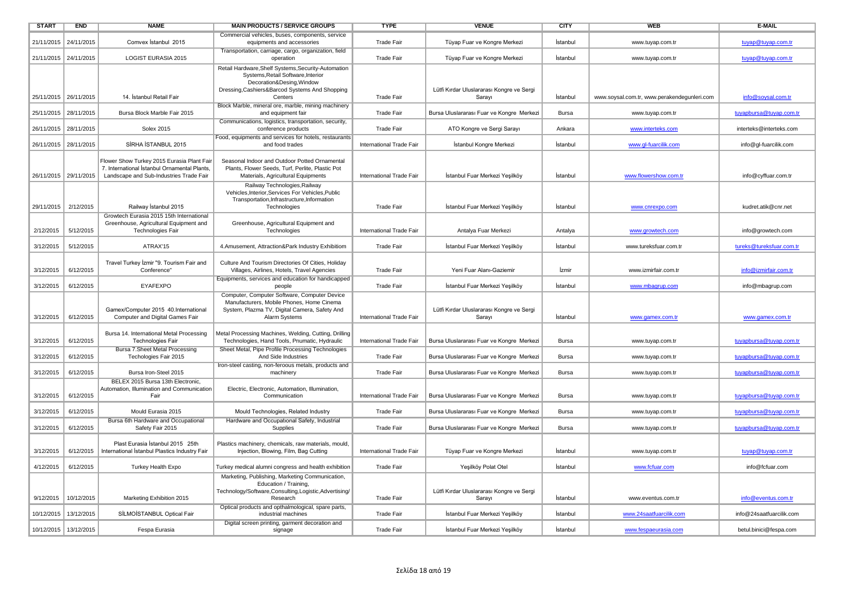| <b>START</b>          | <b>END</b>              | <b>NAME</b>                                                                                                                           | <b>MAIN PRODUCTS / SERVICE GROUPS</b>                                                                                                                                                                                         | <b>TYPE</b>              | <b>VENUE</b>                                        | <b>CITY</b>  | <b>WEB</b>                                  | E-MAIL                   |
|-----------------------|-------------------------|---------------------------------------------------------------------------------------------------------------------------------------|-------------------------------------------------------------------------------------------------------------------------------------------------------------------------------------------------------------------------------|--------------------------|-----------------------------------------------------|--------------|---------------------------------------------|--------------------------|
| 21/11/2015            | 24/11/2015              | Comvex Istanbul 2015                                                                                                                  | Commercial vehicles, buses, components, service<br>equipments and accessories                                                                                                                                                 | <b>Trade Fair</b>        | Tüyap Fuar ve Kongre Merkezi                        | İstanbul     | www.tuyap.com.tr                            | tuyap@tuyap.com.tr       |
| 21/11/2015 24/11/2015 |                         | <b>LOGIST EURASIA 2015</b>                                                                                                            | Transportation, carriage, cargo, organization, field<br>operation                                                                                                                                                             | <b>Trade Fair</b>        | Tüyap Fuar ve Kongre Merkezi                        | İstanbul     | www.tuyap.com.tr                            | tuyap@tuyap.com.tr       |
| 25/11/2015 26/11/2015 |                         | 14. İstanbul Retail Fair                                                                                                              | Retail Hardware, Shelf Systems, Security-Automation<br>Systems, Retail Software, Interior<br>Decoration&Desing, Window<br>Dressing, Cashiers&Barcod Systems And Shopping<br>Centers                                           | <b>Trade Fair</b>        | Lütfi Kırdar Uluslararası Kongre ve Sergi<br>Sarayı | İstanbul     | www.soysal.com.tr, www.perakendegunleri.com | info@soysal.com.tr       |
| 25/11/2015 28/11/2015 |                         | Bursa Block Marble Fair 2015                                                                                                          | Block Marble, mineral ore, marble, mining machinery<br>and equipment fair                                                                                                                                                     | <b>Trade Fair</b>        | Bursa Uluslararası Fuar ve Kongre Merkezi           | Bursa        | www.tuyap.com.tr                            |                          |
|                       |                         |                                                                                                                                       | Communications, logistics, transportation, security,                                                                                                                                                                          |                          |                                                     |              |                                             | tuyapbursa@tuyap.com.tr  |
|                       | 26/11/2015 28/11/2015   | <b>Solex 2015</b>                                                                                                                     | conference products<br>Food, equipments and services for hotels, restaurants                                                                                                                                                  | <b>Trade Fair</b>        | ATO Kongre ve Sergi Sarayı                          | Ankara       | www.interteks.com                           | interteks@interteks.com  |
| 26/11/2015 28/11/2015 |                         | SİRHA İSTANBUL 2015                                                                                                                   | and food trades                                                                                                                                                                                                               | International Trade Fair | İstanbul Kongre Merkezi                             | İstanbul     | www.gl-fuarcilik.com                        | info@gl-fuarcilik.com    |
| 26/11/2015 29/11/2015 |                         | Flower Show Turkey 2015 Eurasia Plant Fair<br>7. International İstanbul Ornamental Plants,<br>Landscape and Sub-Industries Trade Fair | Seasonal Indoor and Outdoor Potted Ornamental<br>Plants, Flower Seeds, Turf, Perlite, Plastic Pot<br>Materials, Agricultural Equipments<br>Railway Technologies, Railway<br>Vehicles, Interior, Services For Vehicles, Public | International Trade Fair | İstanbul Fuar Merkezi Yeşilköy                      | Istanbul     | www.flowershow.com.tr                       | info@cyffuar.com.tr      |
| 29/11/2015 2/12/2015  |                         | Railway İstanbul 2015                                                                                                                 | Transportation, Infrastructure, Information<br>Technologies                                                                                                                                                                   | <b>Trade Fair</b>        | İstanbul Fuar Merkezi Yeşilköy                      | İstanbul     |                                             | kudret.atik@cnr.net      |
|                       |                         | Growtech Eurasia 2015 15th International                                                                                              |                                                                                                                                                                                                                               |                          |                                                     |              | www.cnrexpo.com                             |                          |
|                       |                         | Greenhouse, Agricultural Equipment and                                                                                                | Greenhouse, Agricultural Equipment and                                                                                                                                                                                        |                          |                                                     |              |                                             |                          |
| 2/12/2015             | 5/12/2015               | Technologies Fair                                                                                                                     | Technologies                                                                                                                                                                                                                  | International Trade Fair | Antalya Fuar Merkezi                                | Antalya      | www.growtech.com                            | info@growtech.com        |
| 3/12/2015             | 5/12/2015               | ATRAX'15                                                                                                                              | 4.Amusement, Attraction&Park Industry Exhibitiom                                                                                                                                                                              | <b>Trade Fair</b>        | İstanbul Fuar Merkezi Yeşilköy                      | İstanbul     | www.tureksfuar.com.tr                       | tureks@tureksfuar.com.tr |
| 3/12/2015             | 6/12/2015               | Travel Turkey İzmir "9. Tourism Fair and<br>Conference"                                                                               | Culture And Tourism Directories Of Cities, Holiday<br>Villages, Airlines, Hotels, Travel Agencies                                                                                                                             | <b>Trade Fair</b>        | Yeni Fuar Alanı-Gaziemir                            | İzmir        | www.izmirfair.com.tr                        | info@izmirfair.com.tr    |
| 3/12/2015             | 6/12/2015               | <b>EYAFEXPO</b>                                                                                                                       | Equipments, services and education for handicapped<br>people                                                                                                                                                                  | <b>Trade Fair</b>        | İstanbul Fuar Merkezi Yeşilköy                      | İstanbul     | www.mbagrup.com                             | info@mbagrup.com         |
| 3/12/2015             | 6/12/2015               | Gamex/Computer 2015 40.International<br>Computer and Digital Games Fair                                                               | Computer, Computer Software, Computer Device<br>Manufacturers, Mobile Phones, Home Cinema<br>System, Plazma TV, Digital Camera, Safety And<br>Alarm Systems                                                                   | International Trade Fair | Lütfi Kırdar Uluslararası Kongre ve Sergi<br>Sarayı | İstanbul     | www.gamex.com.tr                            | www.gamex.com.tr         |
| 3/12/2015             | 6/12/2015               | Bursa 14. International Metal Processing<br><b>Technologies Fair</b>                                                                  | Metal Processing Machines, Welding, Cutting, Drilling<br>Technologies, Hand Tools, Pnumatic, Hydraulic                                                                                                                        | International Trade Fair | Bursa Uluslararası Fuar ve Kongre Merkezi           | Bursa        | www.tuyap.com.tr                            | tuyapbursa@tuyap.com.tr  |
| 3/12/2015             | 6/12/2015               | Bursa 7.Sheet Metal Processing<br>Techologies Fair 2015                                                                               | Sheet Metal, Pipe Profile Processing Technologies<br>And Side Industries                                                                                                                                                      | <b>Trade Fair</b>        | Bursa Uluslararası Fuar ve Kongre Merkezi           | Bursa        | www.tuyap.com.tr                            | tuyapbursa@tuyap.com.tr  |
| 3/12/2015             | 6/12/2015               | Bursa Iron-Steel 2015                                                                                                                 | Iron-steel casting, non-feroous metals, products and<br>machinery                                                                                                                                                             | <b>Trade Fair</b>        | Bursa Uluslararası Fuar ve Kongre Merkezi           | <b>Bursa</b> | www.tuyap.com.tr                            | tuyapbursa@tuyap.com.tr  |
| 3/12/2015             | 6/12/2015               | BELEX 2015 Bursa 13th Electronic,<br>Automation, Illumination and Communication<br>Fair                                               | Electric, Electronic, Automation, Illumination,<br>Communication                                                                                                                                                              | International Trade Fair | Bursa Uluslararası Fuar ve Kongre Merkezi           | Bursa        | www.tuyap.com.tr                            | tuyapbursa@tuyap.com.tr  |
| 3/12/2015             | 6/12/2015               | Mould Eurasia 2015                                                                                                                    | Mould Technologies, Related Industry                                                                                                                                                                                          | <b>Trade Fair</b>        | Bursa Uluslararası Fuar ve Kongre Merkezi           | Bursa        | www.tuyap.com.tr                            | tuyapbursa@tuyap.com.tr  |
| 3/12/2015             | 6/12/2015               | Bursa 6th Hardware and Occupational<br>Safety Fair 2015                                                                               | Hardware and Occupational Safety, Industrial<br>Supplies                                                                                                                                                                      | <b>Trade Fair</b>        | Bursa Uluslararası Fuar ve Kongre Merkezi           | Bursa        | www.tuyap.com.tr                            | tuyapbursa@tuyap.com.tr  |
| 3/12/2015             | 6/12/2015               | Plast Eurasia İstanbul 2015 25th<br>International Istanbul Plastics Industry Fair                                                     | Plastics machinery, chemicals, raw materials, mould,<br>Injection, Blowing, Film, Bag Cutting                                                                                                                                 | International Trade Fair | Tüyap Fuar ve Kongre Merkezi                        | İstanbul     | www.tuyap.com.tr                            | tuyap@tuyap.com.tr       |
| 4/12/2015             | 6/12/2015               | <b>Turkey Health Expo</b>                                                                                                             | Turkey medical alumni congress and health exhibition                                                                                                                                                                          | <b>Trade Fair</b>        | Yeşilköy Polat Otel                                 | İstanbul     | www.fcfuar.com                              | info@fcfuar.com          |
| 9/12/2015             | 10/12/2015              | Marketing Exhibition 2015                                                                                                             | Marketing, Publishing, Marketing Communication,<br>Education / Training,<br>Technology/Software,Consulting,Logistic,Advertising/<br>Research                                                                                  | Trade Fair               | Lütfi Kırdar Uluslararası Kongre ve Sergi<br>Sarayı | İstanbul     | www.eventus.com.tr                          | info@eventus.com.tr      |
|                       | 10/12/2015 13/12/2015   | SİLMOİSTANBUL Optical Fair                                                                                                            | Optical products and opthalmological, spare parts,<br>industrial machines                                                                                                                                                     | <b>Trade Fair</b>        | İstanbul Fuar Merkezi Yeşilköy                      | İstanbul     | www.24saatfuarcilik.com                     | info@24saatfuarcilik.com |
|                       | 10/12/2015   13/12/2015 | Fespa Eurasia                                                                                                                         | Digital screen printing, garment decoration and<br>signage                                                                                                                                                                    | <b>Trade Fair</b>        | İstanbul Fuar Merkezi Yeşilköy                      | İstanbul     | www.fespaeurasia.com                        | betul.binici@fespa.com   |
|                       |                         |                                                                                                                                       |                                                                                                                                                                                                                               |                          |                                                     |              |                                             |                          |